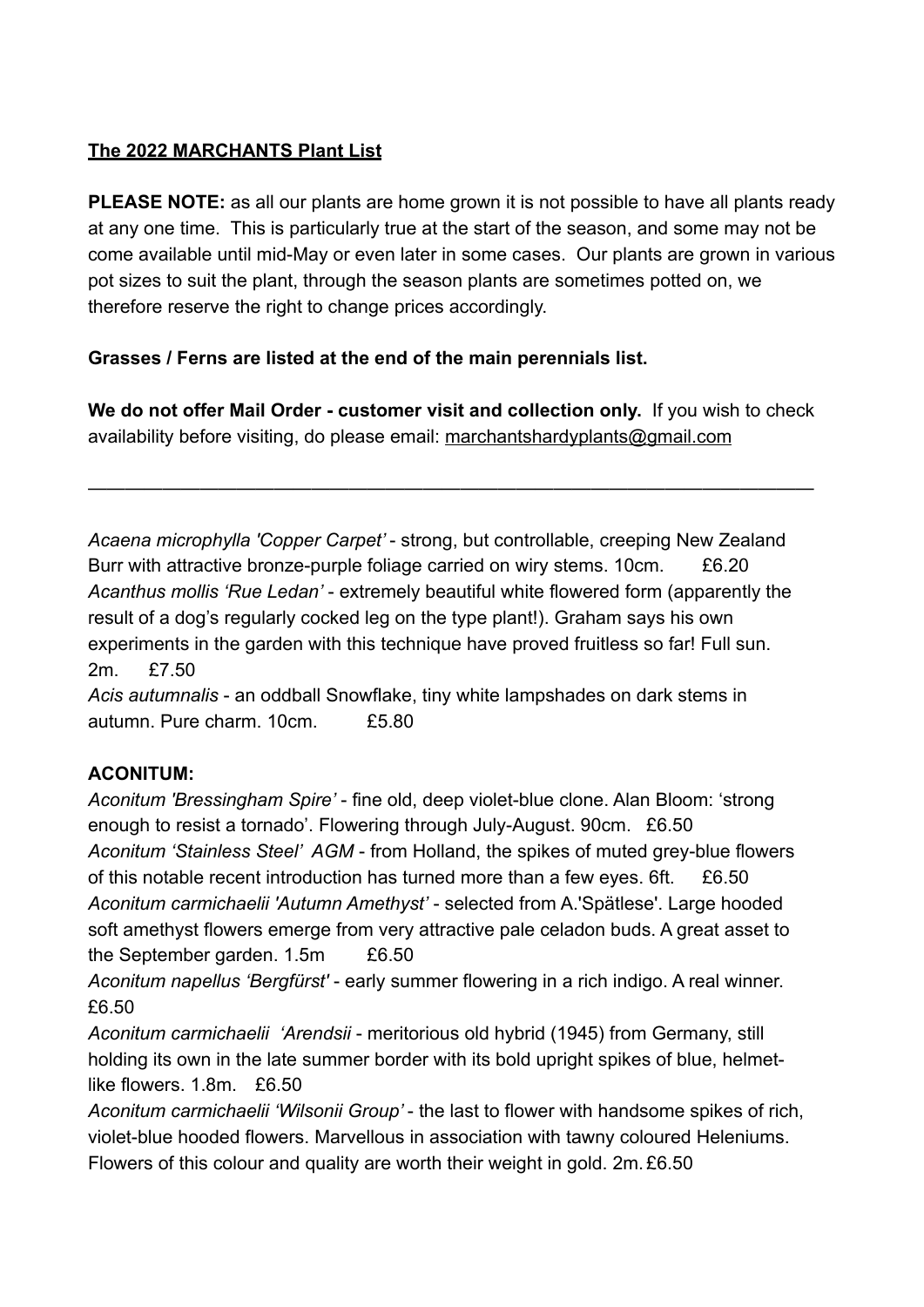# **The 2022 MARCHANTS Plant List**

**PLEASE NOTE:** as all our plants are home grown it is not possible to have all plants ready at any one time. This is particularly true at the start of the season, and some may not be come available until mid-May or even later in some cases. Our plants are grown in various pot sizes to suit the plant, through the season plants are sometimes potted on, we therefore reserve the right to change prices accordingly.

## **Grasses / Ferns are listed at the end of the main perennials list.**

**We do not offer Mail Order - customer visit and collection only.** If you wish to check availability before visiting, do please email: [marchantshardyplants@gmail.com](mailto:marchantshardyplants@gmail.com)

———————————————————————————————————————

*Acaena microphylla 'Copper Carpet'* - strong, but controllable, creeping New Zealand Burr with attractive bronze-purple foliage carried on wiry stems. 10cm. £6.20 *Acanthus mollis 'Rue Ledan'* - extremely beautiful white flowered form (apparently the result of a dog's regularly cocked leg on the type plant!). Graham says his own experiments in the garden with this technique have proved fruitless so far! Full sun. 2m. £7.50

*Acis autumnalis* - an oddball Snowflake, tiny white lampshades on dark stems in autumn. Pure charm. 10cm. £5.80

## **ACONITUM:**

*Aconitum 'Bressingham Spire'* - fine old, deep violet-blue clone. Alan Bloom: 'strong enough to resist a tornado'. Flowering through July-August. 90cm. £6.50 *Aconitum 'Stainless Steel' AGM* - from Holland, the spikes of muted grey-blue flowers of this notable recent introduction has turned more than a few eyes. 6ft. £6.50 *Aconitum carmichaelii 'Autumn Amethyst'* - selected from A.'Spätlese'. Large hooded soft amethyst flowers emerge from very attractive pale celadon buds. A great asset to the September garden. 1.5m £6.50

*Aconitum napellus 'Bergfürst'* - early summer flowering in a rich indigo. A real winner. £6.50

*Aconitum carmichaelii 'Arendsii* - meritorious old hybrid (1945) from Germany, still holding its own in the late summer border with its bold upright spikes of blue, helmetlike flowers. 1.8m £6.50

*Aconitum carmichaelii 'Wilsonii Group'* - the last to flower with handsome spikes of rich, violet-blue hooded flowers. Marvellous in association with tawny coloured Heleniums. Flowers of this colour and quality are worth their weight in gold. 2m. £6.50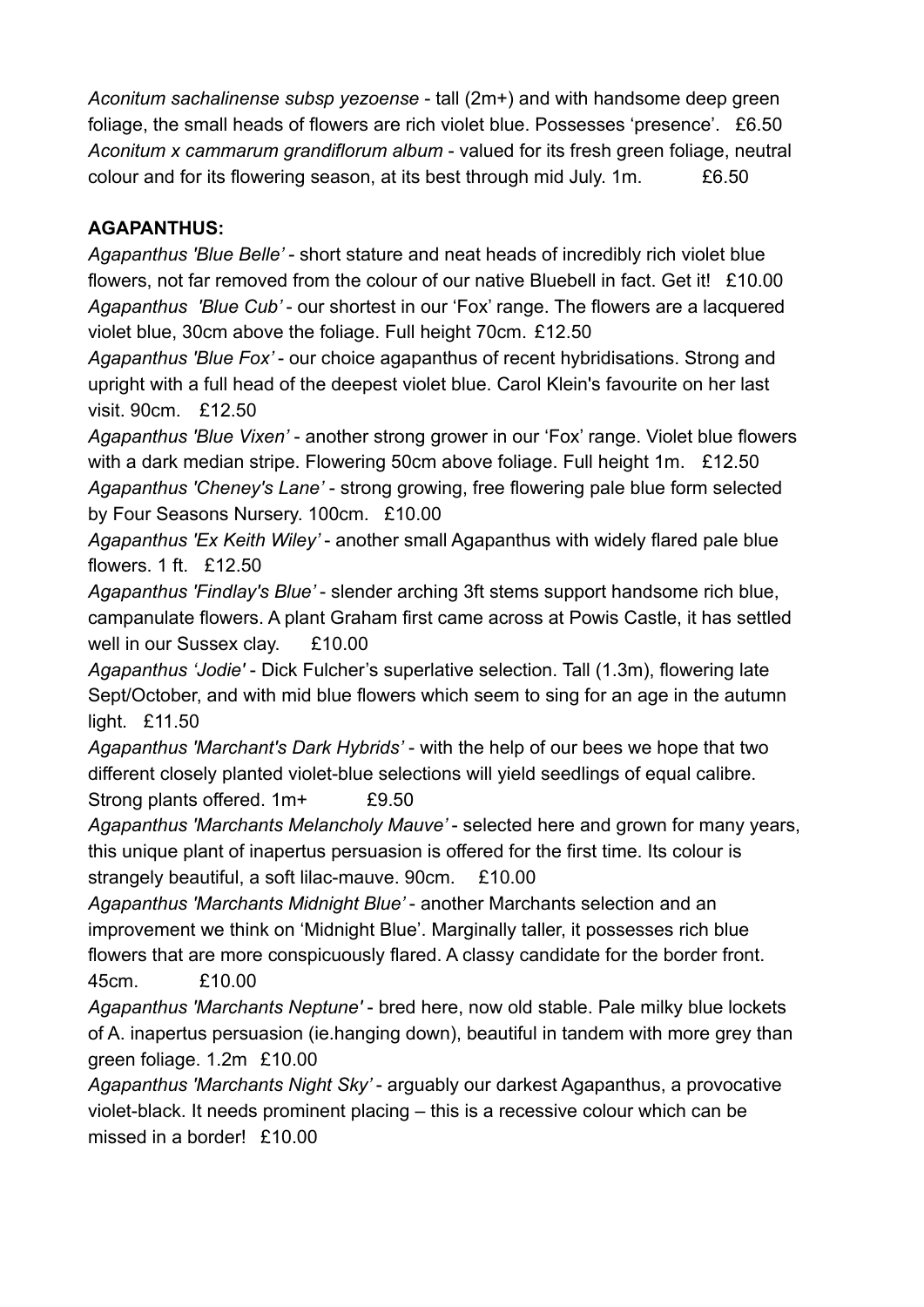*Aconitum sachalinense subsp yezoense* - tall (2m+) and with handsome deep green foliage, the small heads of flowers are rich violet blue. Possesses 'presence'. £6.50 *Aconitum x cammarum grandiflorum album* - valued for its fresh green foliage, neutral colour and for its flowering season, at its best through mid July. 1m. £6.50

## **AGAPANTHUS:**

*Agapanthus 'Blue Belle' -* short stature and neat heads of incredibly rich violet blue flowers, not far removed from the colour of our native Bluebell in fact. Get it! £10.00 *Agapanthus 'Blue Cub'* - our shortest in our 'Fox' range. The flowers are a lacquered violet blue, 30cm above the foliage. Full height 70cm. £12.50

*Agapanthus 'Blue Fox'* - our choice agapanthus of recent hybridisations. Strong and upright with a full head of the deepest violet blue. Carol Klein's favourite on her last visit. 90cm. £12.50

*Agapanthus 'Blue Vixen'* - another strong grower in our 'Fox' range. Violet blue flowers with a dark median stripe. Flowering 50cm above foliage. Full height 1m. £12.50 *Agapanthus 'Cheney's Lane'* - strong growing, free flowering pale blue form selected by Four Seasons Nursery. 100cm. £10.00

*Agapanthus 'Ex Keith Wiley'* - another small Agapanthus with widely flared pale blue flowers. 1 ft. £12.50

*Agapanthus 'Findlay's Blue'* - slender arching 3ft stems support handsome rich blue, campanulate flowers. A plant Graham first came across at Powis Castle, it has settled well in our Sussex clay. £10.00

*Agapanthus 'Jodie'* - Dick Fulcher's superlative selection. Tall (1.3m), flowering late Sept/October, and with mid blue flowers which seem to sing for an age in the autumn light. £11.50

*Agapanthus 'Marchant's Dark Hybrids'* - with the help of our bees we hope that two different closely planted violet-blue selections will yield seedlings of equal calibre.

Strong plants offered. 1m+ £9.50

*Agapanthus 'Marchants Melancholy Mauve'* - selected here and grown for many years, this unique plant of inapertus persuasion is offered for the first time. Its colour is strangely beautiful, a soft lilac-mauve. 90cm. £10.00

*Agapanthus 'Marchants Midnight Blue'* - another Marchants selection and an improvement we think on 'Midnight Blue'. Marginally taller, it possesses rich blue flowers that are more conspicuously flared. A classy candidate for the border front. 45cm. £10.00

*Agapanthus 'Marchants Neptune'* - bred here, now old stable. Pale milky blue lockets of A. inapertus persuasion (ie.hanging down), beautiful in tandem with more grey than green foliage. 1.2m £10.00

*Agapanthus 'Marchants Night Sky'* - arguably our darkest Agapanthus, a provocative violet-black. It needs prominent placing – this is a recessive colour which can be missed in a border! £10.00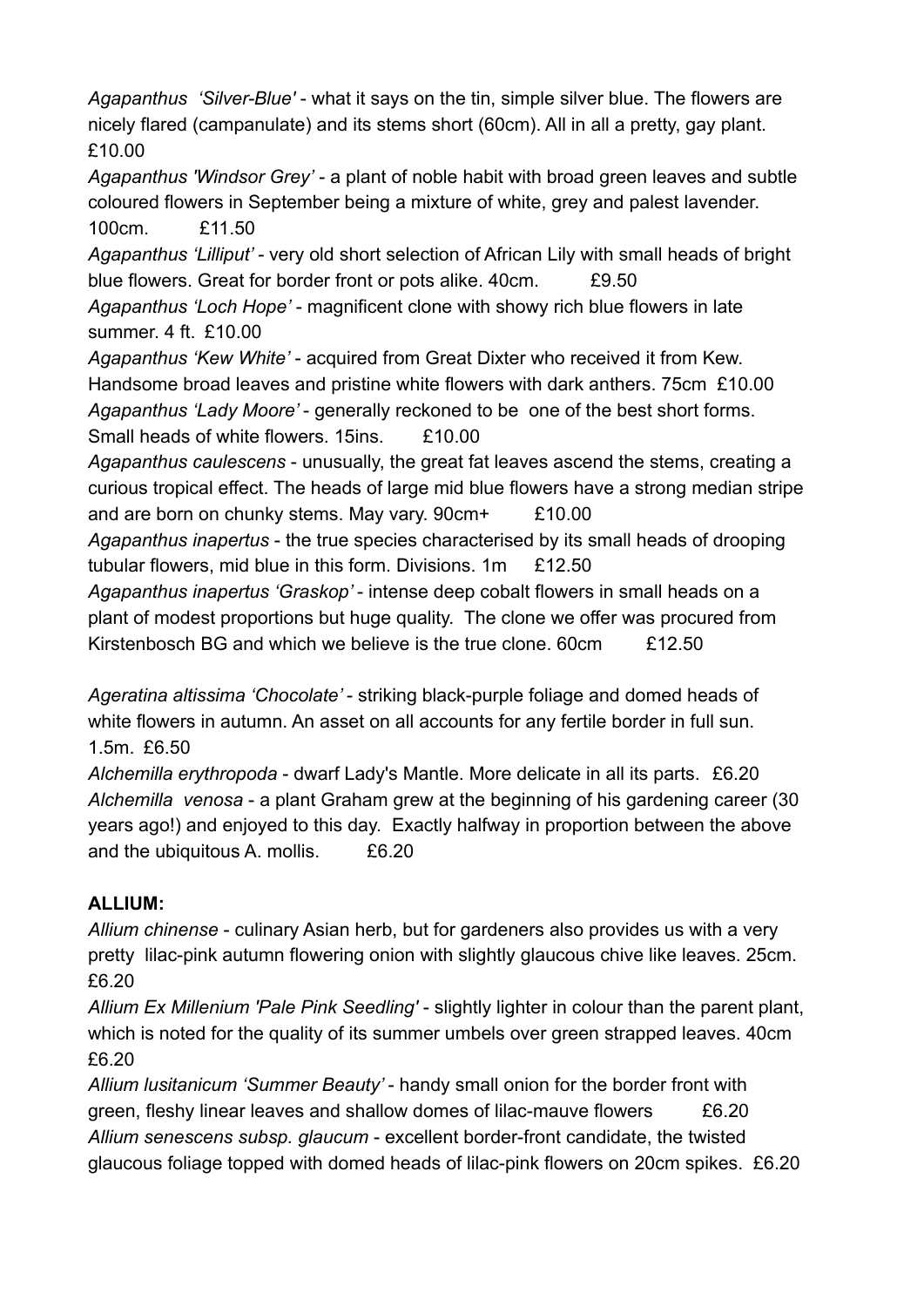*Agapanthus 'Silver-Blue'* - what it says on the tin, simple silver blue. The flowers are nicely flared (campanulate) and its stems short (60cm). All in all a pretty, gay plant. £10.00

*Agapanthus 'Windsor Grey'* - a plant of noble habit with broad green leaves and subtle coloured flowers in September being a mixture of white, grey and palest lavender. 100cm. £11.50

*Agapanthus 'Lilliput' -* very old short selection of African Lily with small heads of bright blue flowers. Great for border front or pots alike. 40cm. £9.50

*Agapanthus 'Loch Hope'* - magnificent clone with showy rich blue flowers in late summer. 4 ft. £10.00

*Agapanthus 'Kew White'* - acquired from Great Dixter who received it from Kew. Handsome broad leaves and pristine white flowers with dark anthers. 75cm £10.00 *Agapanthus 'Lady Moore'* - generally reckoned to be one of the best short forms. Small heads of white flowers. 15ins. £10.00

*Agapanthus caulescens* - unusually, the great fat leaves ascend the stems, creating a curious tropical effect. The heads of large mid blue flowers have a strong median stripe and are born on chunky stems. May vary. 90cm+ £10.00

*Agapanthus inapertus* - the true species characterised by its small heads of drooping tubular flowers, mid blue in this form. Divisions. 1m £12.50

*Agapanthus inapertus 'Graskop'* - intense deep cobalt flowers in small heads on a plant of modest proportions but huge quality. The clone we offer was procured from Kirstenbosch BG and which we believe is the true clone.  $60 \text{cm}$   $\text{£}12.50$ 

*Ageratina altissima 'Chocolate'* - striking black-purple foliage and domed heads of white flowers in autumn. An asset on all accounts for any fertile border in full sun. 1.5m. £6.50

*Alchemilla erythropoda* - dwarf Lady's Mantle. More delicate in all its parts. £6.20 *Alchemilla venosa* - a plant Graham grew at the beginning of his gardening career (30 years ago!) and enjoyed to this day. Exactly halfway in proportion between the above and the ubiquitous A. mollis. £6.20

# **ALLIUM:**

*Allium chinense* - culinary Asian herb, but for gardeners also provides us with a very pretty lilac-pink autumn flowering onion with slightly glaucous chive like leaves. 25cm. £6.20

*Allium Ex Millenium 'Pale Pink Seedling'* - slightly lighter in colour than the parent plant, which is noted for the quality of its summer umbels over green strapped leaves. 40cm £6.20

*Allium lusitanicum 'Summer Beauty'* - handy small onion for the border front with green, fleshy linear leaves and shallow domes of lilac-mauve flowers E6.20 *Allium senescens subsp. glaucum* - excellent border-front candidate, the twisted glaucous foliage topped with domed heads of lilac-pink flowers on 20cm spikes. £6.20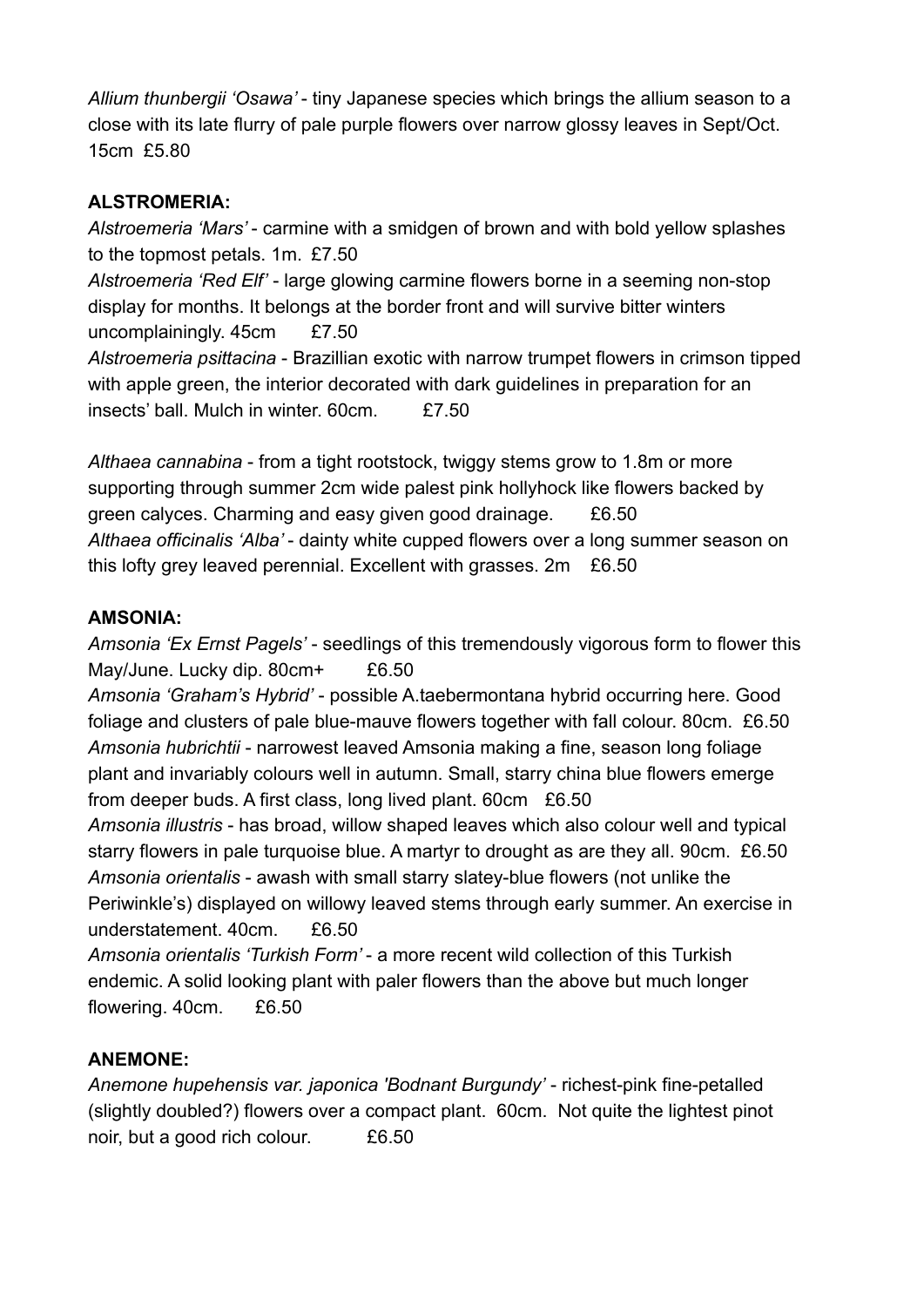*Allium thunbergii 'Osawa'* - tiny Japanese species which brings the allium season to a close with its late flurry of pale purple flowers over narrow glossy leaves in Sept/Oct. 15cm £5.80

## **ALSTROMERIA:**

*Alstroemeria 'Mars'* - carmine with a smidgen of brown and with bold yellow splashes to the topmost petals. 1m. £7.50 *Alstroemeria 'Red Elf'* - large glowing carmine flowers borne in a seeming non-stop display for months. It belongs at the border front and will survive bitter winters uncomplainingly. 45cm £7.50 *Alstroemeria psittacina* - Brazillian exotic with narrow trumpet flowers in crimson tipped with apple green, the interior decorated with dark guidelines in preparation for an insects' ball. Mulch in winter. 60cm. £7.50

*Althaea cannabina* - from a tight rootstock, twiggy stems grow to 1.8m or more supporting through summer 2cm wide palest pink hollyhock like flowers backed by green calyces. Charming and easy given good drainage. £6.50 *Althaea officinalis 'Alba'* - dainty white cupped flowers over a long summer season on this lofty grey leaved perennial. Excellent with grasses. 2m £6.50

# **AMSONIA:**

*Amsonia 'Ex Ernst Pagels'* - seedlings of this tremendously vigorous form to flower this May/June. Lucky dip. 80cm+ £6.50

*Amsonia 'Graham's Hybrid'* - possible A.taebermontana hybrid occurring here. Good foliage and clusters of pale blue-mauve flowers together with fall colour. 80cm. £6.50 *Amsonia hubrichtii* - narrowest leaved Amsonia making a fine, season long foliage plant and invariably colours well in autumn. Small, starry china blue flowers emerge from deeper buds. A first class, long lived plant. 60cm £6.50

*Amsonia illustris* - has broad, willow shaped leaves which also colour well and typical starry flowers in pale turquoise blue. A martyr to drought as are they all. 90cm. £6.50 *Amsonia orientalis* - awash with small starry slatey-blue flowers (not unlike the Periwinkle's) displayed on willowy leaved stems through early summer. An exercise in understatement. 40cm. £6.50

*Amsonia orientalis 'Turkish Form'* - a more recent wild collection of this Turkish endemic. A solid looking plant with paler flowers than the above but much longer flowering. 40cm. £6.50

# **ANEMONE:**

*Anemone hupehensis var. japonica 'Bodnant Burgundy'* - richest-pink fine-petalled (slightly doubled?) flowers over a compact plant. 60cm. Not quite the lightest pinot noir, but a good rich colour. £6.50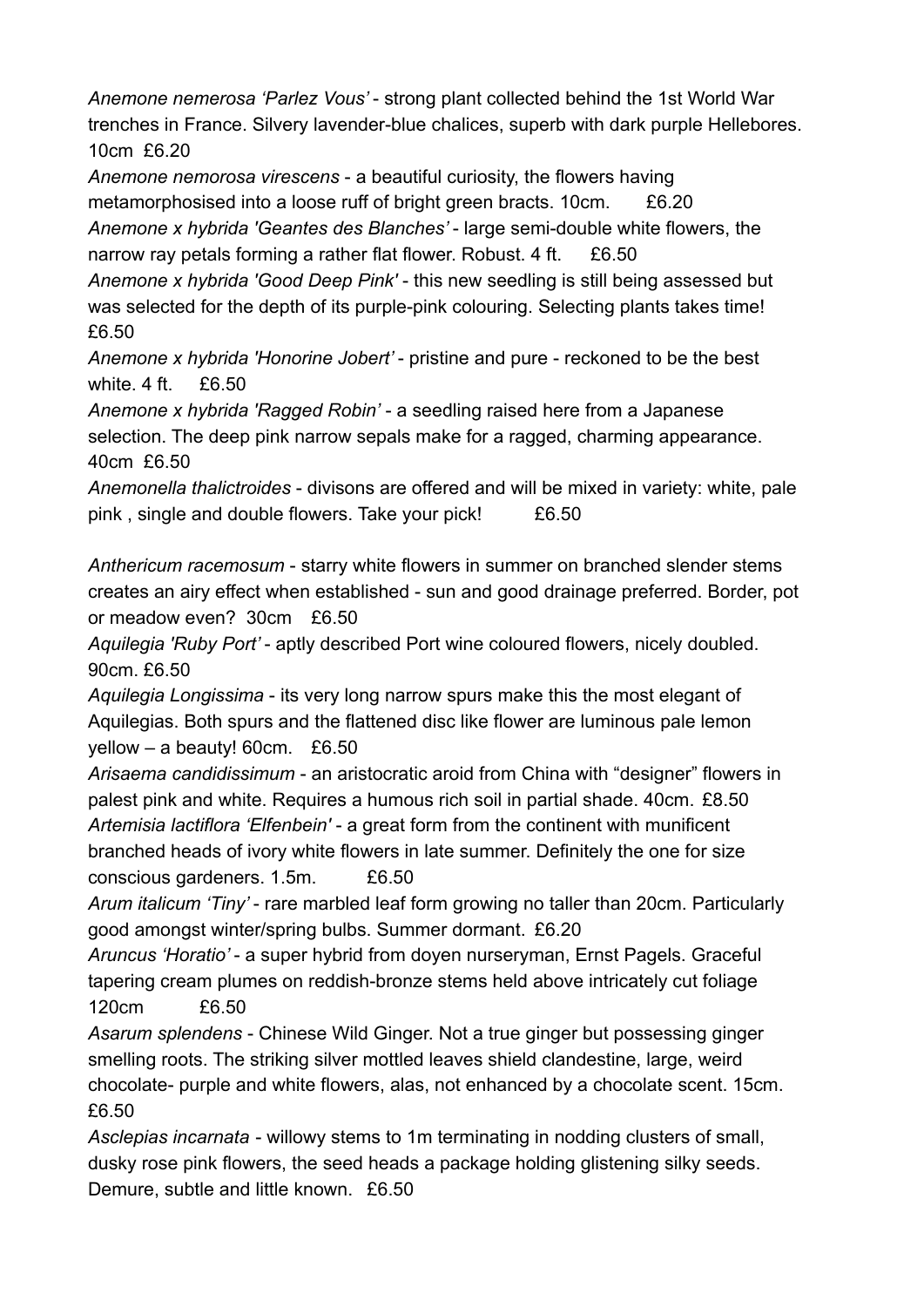*Anemone nemerosa 'Parlez Vous'* - strong plant collected behind the 1st World War trenches in France. Silvery lavender-blue chalices, superb with dark purple Hellebores. 10cm £6.20

*Anemone nemorosa virescens* - a beautiful curiosity, the flowers having metamorphosised into a loose ruff of bright green bracts. 10cm. £6.20 *Anemone x hybrida 'Geantes des Blanches'* - large semi-double white flowers, the

narrow ray petals forming a rather flat flower. Robust. 4 ft. £6.50

*Anemone x hybrida 'Good Deep Pink'* - this new seedling is still being assessed but was selected for the depth of its purple-pink colouring. Selecting plants takes time! £6.50

*Anemone x hybrida 'Honorine Jobert'* - pristine and pure - reckoned to be the best white. 4 ft. £6.50

*Anemone x hybrida 'Ragged Robin'* - a seedling raised here from a Japanese selection. The deep pink narrow sepals make for a ragged, charming appearance. 40cm £6.50

*Anemonella thalictroides* - divisons are offered and will be mixed in variety: white, pale pink , single and double flowers. Take your pick! £6.50

*Anthericum racemosum* - starry white flowers in summer on branched slender stems creates an airy effect when established - sun and good drainage preferred. Border, pot or meadow even? 30cm £6.50

*Aquilegia 'Ruby Port'* - aptly described Port wine coloured flowers, nicely doubled. 90cm. £6.50

*Aquilegia Longissima* - its very long narrow spurs make this the most elegant of Aquilegias. Both spurs and the flattened disc like flower are luminous pale lemon yellow – a beauty! 60cm. £6.50

*Arisaema candidissimum* - an aristocratic aroid from China with "designer" flowers in palest pink and white. Requires a humous rich soil in partial shade. 40cm. £8.50 *Artemisia lactiflora 'Elfenbein'* - a great form from the continent with munificent branched heads of ivory white flowers in late summer. Definitely the one for size conscious gardeners. 1.5m. £6.50

*Arum italicum 'Tiny'* - rare marbled leaf form growing no taller than 20cm. Particularly good amongst winter/spring bulbs. Summer dormant. £6.20

*Aruncus 'Horatio'* - a super hybrid from doyen nurseryman, Ernst Pagels. Graceful tapering cream plumes on reddish-bronze stems held above intricately cut foliage 120cm £6.50

*Asarum splendens* - Chinese Wild Ginger. Not a true ginger but possessing ginger smelling roots. The striking silver mottled leaves shield clandestine, large, weird chocolate- purple and white flowers, alas, not enhanced by a chocolate scent. 15cm. £6.50

*Asclepias incarnata* - willowy stems to 1m terminating in nodding clusters of small, dusky rose pink flowers, the seed heads a package holding glistening silky seeds. Demure, subtle and little known. £6.50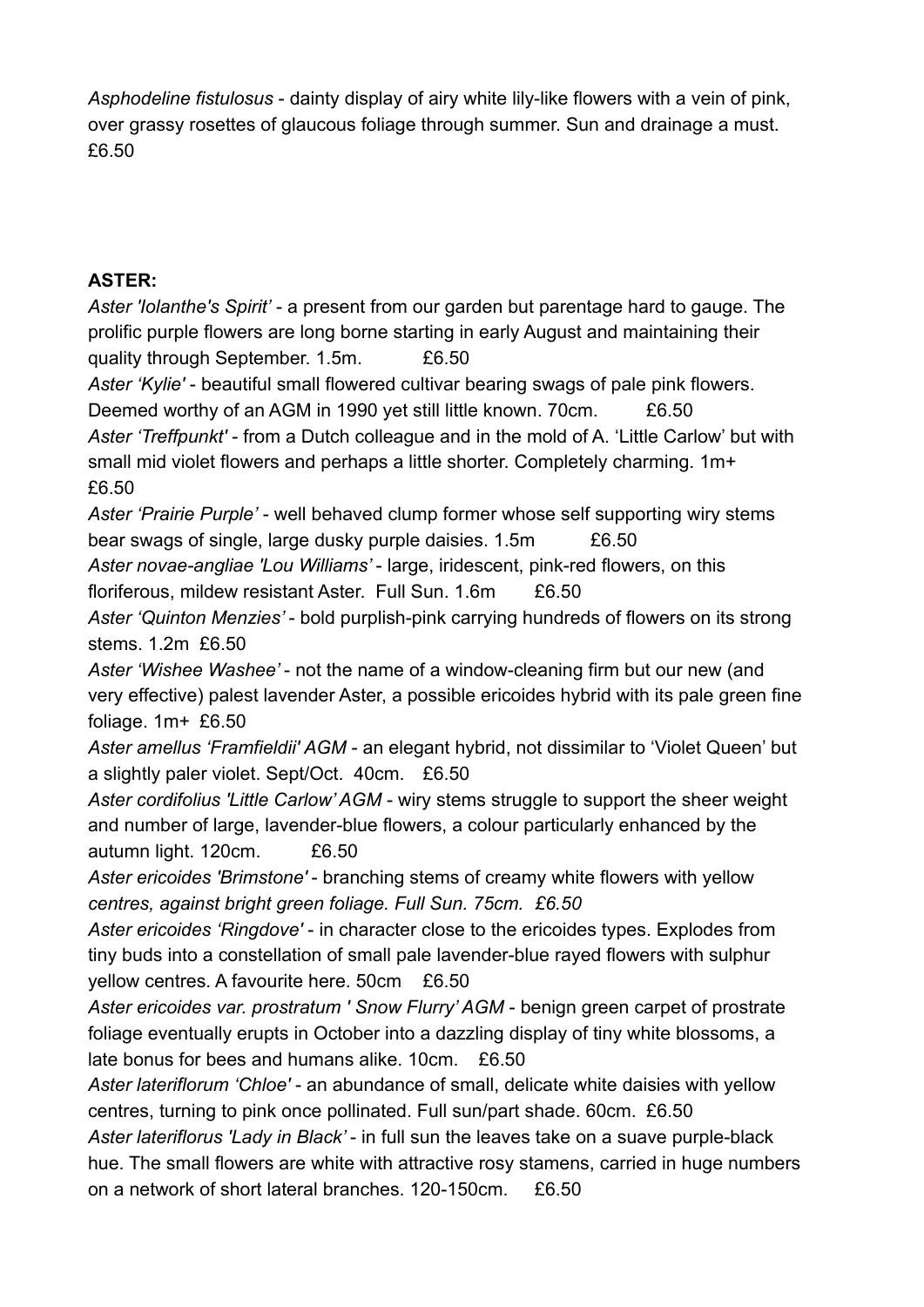*Asphodeline fistulosus* - dainty display of airy white lily-like flowers with a vein of pink, over grassy rosettes of glaucous foliage through summer. Sun and drainage a must. £6.50

## **ASTER:**

*Aster 'Iolanthe's Spirit'* - a present from our garden but parentage hard to gauge. The prolific purple flowers are long borne starting in early August and maintaining their quality through September. 1.5m. £6.50

*Aster 'Kylie'* - beautiful small flowered cultivar bearing swags of pale pink flowers. Deemed worthy of an AGM in 1990 yet still little known. 70cm. £6.50

*Aster 'Treffpunkt'* - from a Dutch colleague and in the mold of A. 'Little Carlow' but with small mid violet flowers and perhaps a little shorter. Completely charming. 1m+ £6.50

*Aster 'Prairie Purple'* - well behaved clump former whose self supporting wiry stems bear swags of single, large dusky purple daisies. 1.5m E6.50

*Aster novae-angliae 'Lou Williams'* - large, iridescent, pink-red flowers, on this floriferous, mildew resistant Aster. Full Sun. 1.6m £6.50

*Aster 'Quinton Menzies'* - bold purplish-pink carrying hundreds of flowers on its strong stems. 1.2m £6.50

*Aster 'Wishee Washee'* - not the name of a window-cleaning firm but our new (and very effective) palest lavender Aster, a possible ericoides hybrid with its pale green fine foliage. 1m+ £6.50

*Aster amellus 'Framfieldii' AGM* - an elegant hybrid, not dissimilar to 'Violet Queen' but a slightly paler violet. Sept/Oct. 40cm. £6.50

*Aster cordifolius 'Little Carlow' AGM* - wiry stems struggle to support the sheer weight and number of large, lavender-blue flowers, a colour particularly enhanced by the autumn light. 120cm. £6.50

*Aster ericoides 'Brimstone'* - branching stems of creamy white flowers with yellow *centres, against bright green foliage. Full Sun. 75cm. £6.50*

*Aster ericoides 'Ringdove'* - in character close to the ericoides types. Explodes from tiny buds into a constellation of small pale lavender-blue rayed flowers with sulphur yellow centres. A favourite here. 50cm £6.50

*Aster ericoides var. prostratum ' Snow Flurry' AGM* - benign green carpet of prostrate foliage eventually erupts in October into a dazzling display of tiny white blossoms, a late bonus for bees and humans alike. 10cm. £6.50

*Aster lateriflorum 'Chloe'* - an abundance of small, delicate white daisies with yellow centres, turning to pink once pollinated. Full sun/part shade. 60cm. £6.50

*Aster lateriflorus 'Lady in Black'* - in full sun the leaves take on a suave purple-black hue. The small flowers are white with attractive rosy stamens, carried in huge numbers on a network of short lateral branches. 120-150cm. £6.50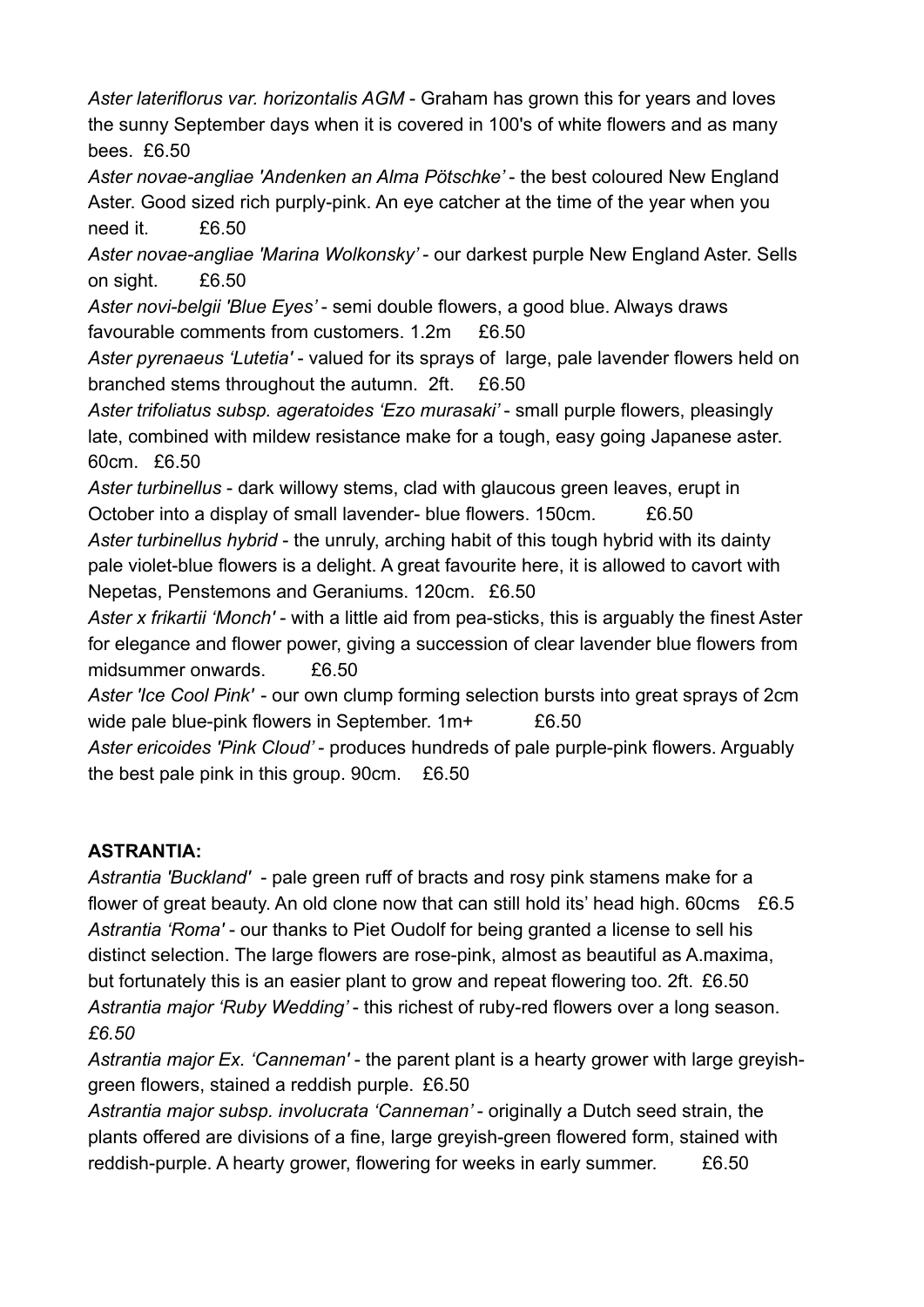*Aster lateriflorus var. horizontalis AGM* - Graham has grown this for years and loves the sunny September days when it is covered in 100's of white flowers and as many bees. £6.50

Aster novae-angliae 'Andenken an Alma Pötschke' - the best coloured New England Aster. Good sized rich purply-pink. An eye catcher at the time of the year when you need it. £6.50

*Aster novae-angliae 'Marina Wolkonsky'* - our darkest purple New England Aster. Sells on sight. £6.50

*Aster novi-belgii 'Blue Eyes'* - semi double flowers, a good blue. Always draws favourable comments from customers. 1.2m £6.50

*Aster pyrenaeus 'Lutetia'* - valued for its sprays of large, pale lavender flowers held on branched stems throughout the autumn. 2ft. £6.50

*Aster trifoliatus subsp. ageratoides 'Ezo murasaki'* - small purple flowers, pleasingly late, combined with mildew resistance make for a tough, easy going Japanese aster. 60cm. £6.50

*Aster turbinellus* - dark willowy stems, clad with glaucous green leaves, erupt in October into a display of small lavender- blue flowers. 150cm. £6.50

*Aster turbinellus hybrid* - the unruly, arching habit of this tough hybrid with its dainty pale violet-blue flowers is a delight. A great favourite here, it is allowed to cavort with Nepetas, Penstemons and Geraniums. 120cm. £6.50

*Aster x frikartii 'Monch'* - with a little aid from pea-sticks, this is arguably the finest Aster for elegance and flower power, giving a succession of clear lavender blue flowers from midsummer onwards. £6.50

*Aster 'Ice Cool Pink'* - our own clump forming selection bursts into great sprays of 2cm wide pale blue-pink flowers in September. 1m+ £6.50

*Aster ericoides 'Pink Cloud'* - produces hundreds of pale purple-pink flowers. Arguably the best pale pink in this group. 90cm. £6.50

## **ASTRANTIA:**

*Astrantia 'Buckland'* - pale green ruff of bracts and rosy pink stamens make for a flower of great beauty. An old clone now that can still hold its' head high. 60cms £6.5 *Astrantia 'Roma'* - our thanks to Piet Oudolf for being granted a license to sell his distinct selection. The large flowers are rose-pink, almost as beautiful as A.maxima, but fortunately this is an easier plant to grow and repeat flowering too. 2ft. £6.50 *Astrantia major 'Ruby Wedding'* - this richest of ruby-red flowers over a long season. *£6.50*

*Astrantia major Ex. 'Canneman'* - the parent plant is a hearty grower with large greyishgreen flowers, stained a reddish purple. £6.50

*Astrantia major subsp. involucrata 'Canneman'* - originally a Dutch seed strain, the plants offered are divisions of a fine, large greyish-green flowered form, stained with reddish-purple. A hearty grower, flowering for weeks in early summer. £6.50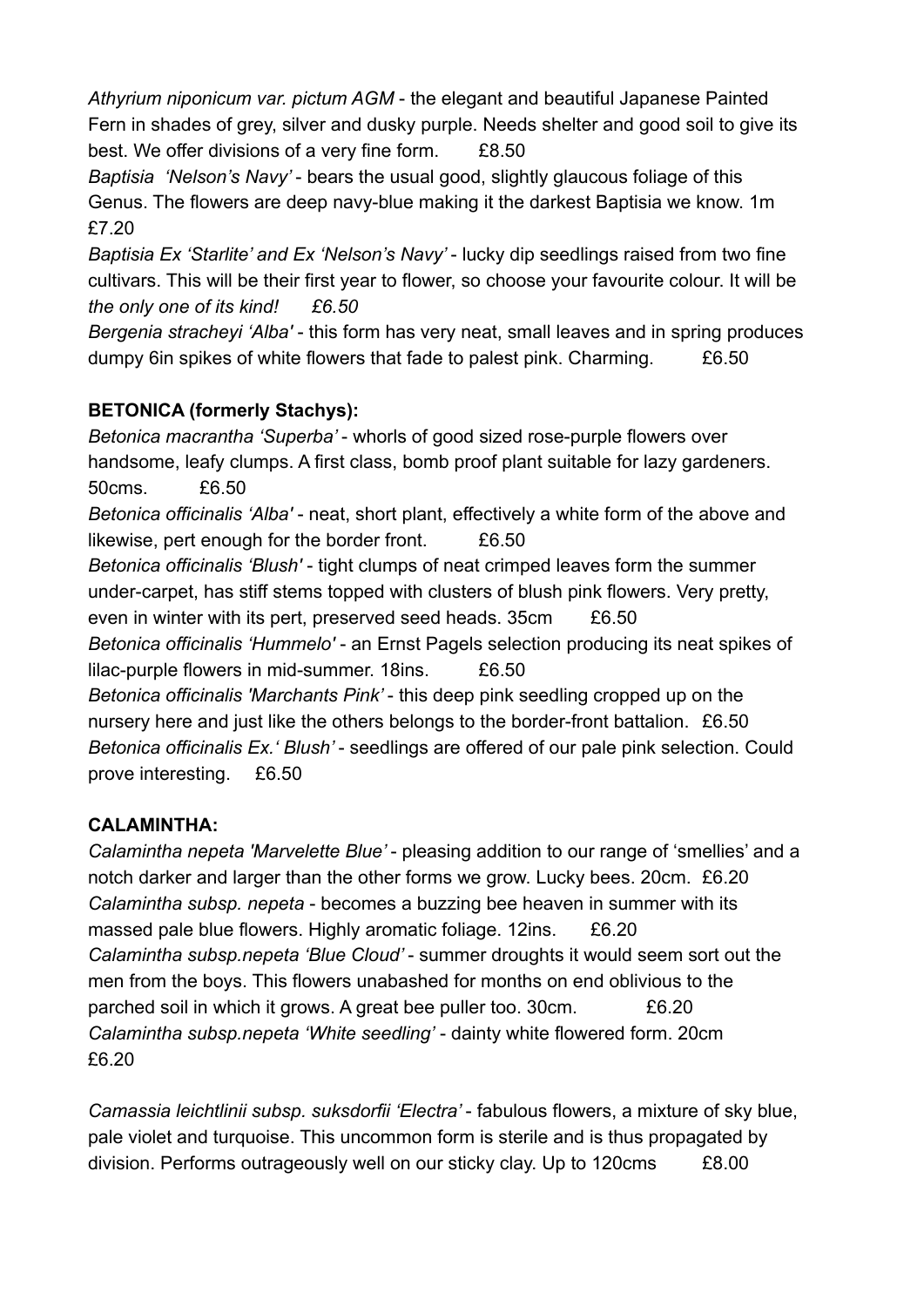*Athyrium niponicum var. pictum AGM* - the elegant and beautiful Japanese Painted Fern in shades of grey, silver and dusky purple. Needs shelter and good soil to give its best. We offer divisions of a very fine form. £8.50

*Baptisia 'Nelson's Navy'* - bears the usual good, slightly glaucous foliage of this Genus. The flowers are deep navy-blue making it the darkest Baptisia we know. 1m £7.20

*Baptisia Ex 'Starlite' and Ex 'Nelson's Navy'* - lucky dip seedlings raised from two fine cultivars. This will be their first year to flower, so choose your favourite colour. It will be *the only one of its kind! £6.50*

*Bergenia stracheyi 'Alba'* - this form has very neat, small leaves and in spring produces dumpy 6in spikes of white flowers that fade to palest pink. Charming. £6.50

# **BETONICA (formerly Stachys):**

*Betonica macrantha 'Superba'* - whorls of good sized rose-purple flowers over handsome, leafy clumps. A first class, bomb proof plant suitable for lazy gardeners. 50cms. £6.50 *Betonica officinalis 'Alba'* - neat, short plant, effectively a white form of the above and likewise, pert enough for the border front. £6.50 *Betonica officinalis 'Blush'* - tight clumps of neat crimped leaves form the summer under-carpet, has stiff stems topped with clusters of blush pink flowers. Very pretty, even in winter with its pert, preserved seed heads. 35cm £6.50 *Betonica officinalis 'Hummelo'* - an Ernst Pagels selection producing its neat spikes of lilac-purple flowers in mid-summer. 18ins. £6.50 *Betonica officinalis 'Marchants Pink'* - this deep pink seedling cropped up on the nursery here and just like the others belongs to the border-front battalion. £6.50 *Betonica officinalis Ex.' Blush'* - seedlings are offered of our pale pink selection. Could prove interesting. £6.50

# **CALAMINTHA:**

*Calamintha nepeta 'Marvelette Blue'* - pleasing addition to our range of 'smellies' and a notch darker and larger than the other forms we grow. Lucky bees. 20cm. £6.20 *Calamintha subsp. nepeta* - becomes a buzzing bee heaven in summer with its massed pale blue flowers. Highly aromatic foliage. 12ins. £6.20 *Calamintha subsp.nepeta 'Blue Cloud'* - summer droughts it would seem sort out the men from the boys. This flowers unabashed for months on end oblivious to the parched soil in which it grows. A great bee puller too. 30cm. £6.20 *Calamintha subsp.nepeta 'White seedling'* - dainty white flowered form. 20cm £6.20

*Camassia leichtlinii subsp. suksdorfii 'Electra'* - fabulous flowers, a mixture of sky blue, pale violet and turquoise. This uncommon form is sterile and is thus propagated by division. Performs outrageously well on our sticky clay. Up to 120cms £8.00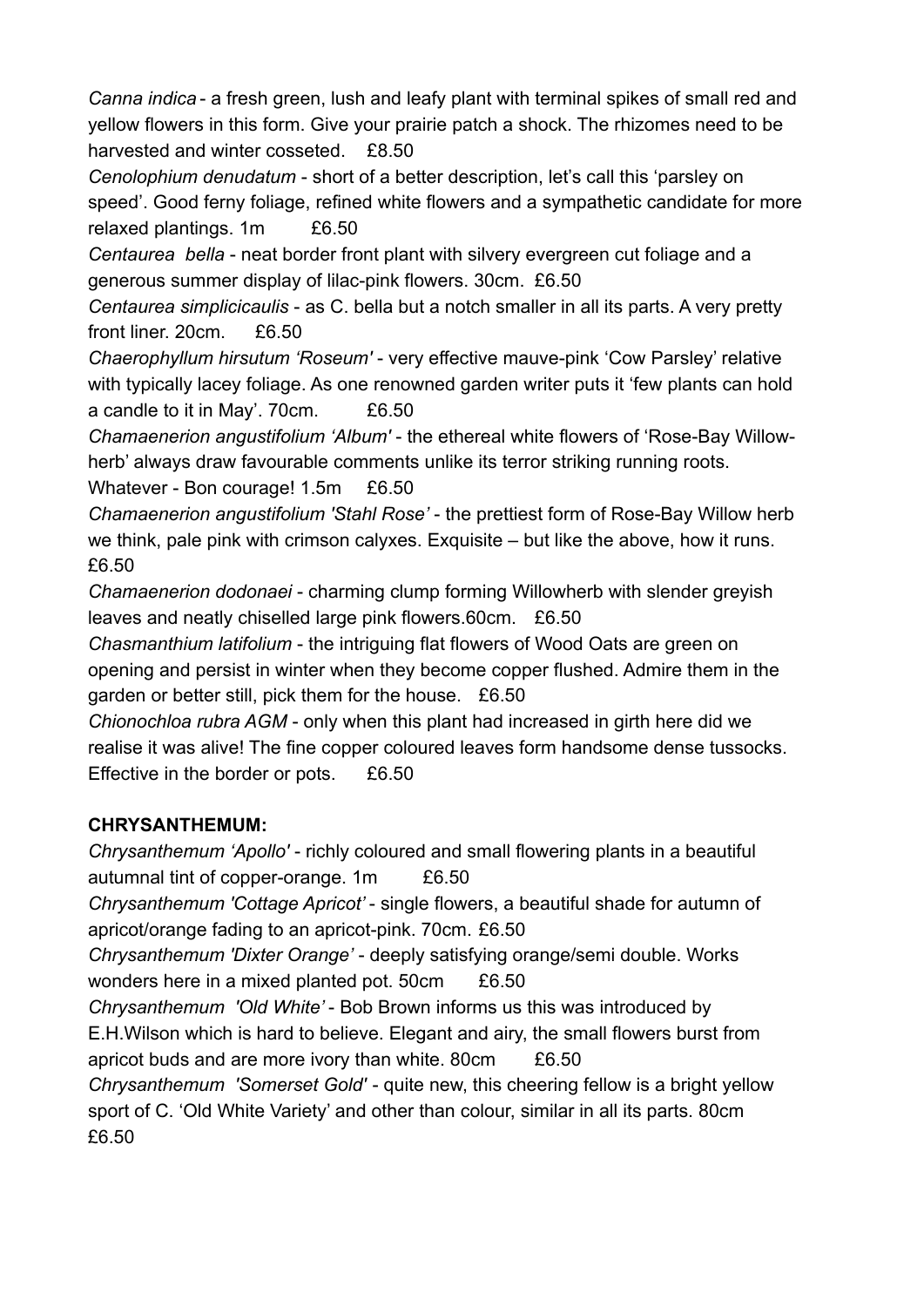*Canna indica* - a fresh green, lush and leafy plant with terminal spikes of small red and yellow flowers in this form. Give your prairie patch a shock. The rhizomes need to be harvested and winter cosseted. £8.50

*Cenolophium denudatum* - short of a better description, let's call this 'parsley on speed'. Good ferny foliage, refined white flowers and a sympathetic candidate for more relaxed plantings. 1m £6.50

*Centaurea bella* - neat border front plant with silvery evergreen cut foliage and a generous summer display of lilac-pink flowers. 30cm. £6.50

*Centaurea simplicicaulis* - as C. bella but a notch smaller in all its parts. A very pretty front liner. 20cm. £6.50

*Chaerophyllum hirsutum 'Roseum'* - very effective mauve-pink 'Cow Parsley' relative with typically lacey foliage. As one renowned garden writer puts it 'few plants can hold a candle to it in May'. 70cm. £6.50

*Chamaenerion angustifolium 'Album'* - the ethereal white flowers of 'Rose-Bay Willowherb' always draw favourable comments unlike its terror striking running roots. Whatever - Bon courage! 1.5m £6.50

*Chamaenerion angustifolium 'Stahl Rose'* - the prettiest form of Rose-Bay Willow herb we think, pale pink with crimson calyxes. Exquisite – but like the above, how it runs. £6.50

*Chamaenerion dodonaei* - charming clump forming Willowherb with slender greyish leaves and neatly chiselled large pink flowers.60cm. £6.50

*Chasmanthium latifolium* - the intriguing flat flowers of Wood Oats are green on opening and persist in winter when they become copper flushed. Admire them in the garden or better still, pick them for the house. £6.50

*Chionochloa rubra AGM* - only when this plant had increased in girth here did we realise it was alive! The fine copper coloured leaves form handsome dense tussocks. Effective in the border or pots. £6.50

## **CHRYSANTHEMUM:**

*Chrysanthemum 'Apollo'* - richly coloured and small flowering plants in a beautiful autumnal tint of copper-orange. 1m £6.50

*Chrysanthemum 'Cottage Apricot'* - single flowers, a beautiful shade for autumn of apricot/orange fading to an apricot-pink. 70cm. £6.50

*Chrysanthemum 'Dixter Orange'* - deeply satisfying orange/semi double. Works wonders here in a mixed planted pot. 50cm £6.50

*Chrysanthemum 'Old White'* - Bob Brown informs us this was introduced by E.H.Wilson which is hard to believe. Elegant and airy, the small flowers burst from apricot buds and are more ivory than white. 80cm £6.50

*Chrysanthemum 'Somerset Gold'* - quite new, this cheering fellow is a bright yellow sport of C. 'Old White Variety' and other than colour, similar in all its parts. 80cm £6.50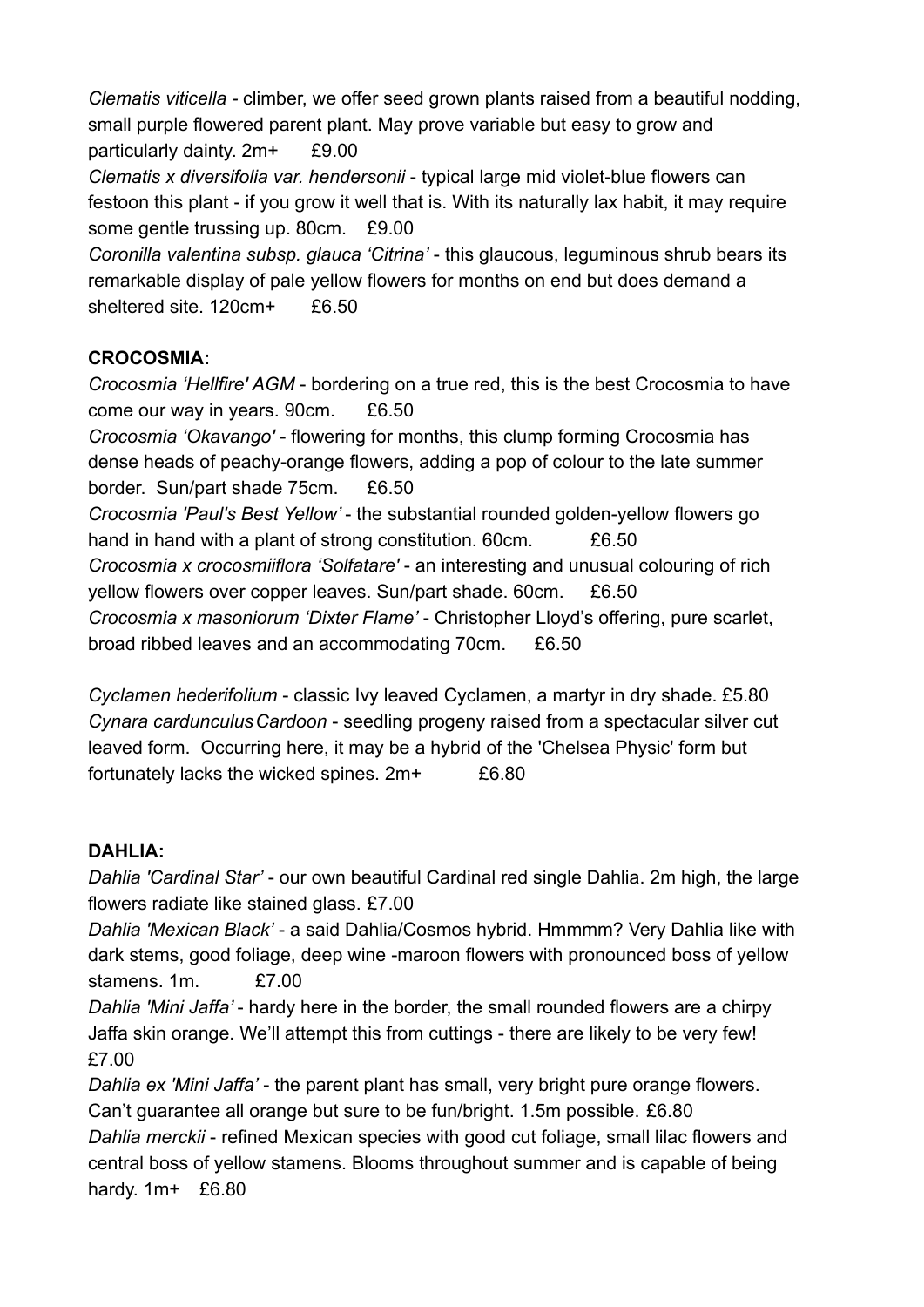*Clematis viticella -* climber, we offer seed grown plants raised from a beautiful nodding, small purple flowered parent plant. May prove variable but easy to grow and particularly dainty. 2m+ £9.00 *Clematis x diversifolia var. hendersonii* - typical large mid violet-blue flowers can festoon this plant - if you grow it well that is. With its naturally lax habit, it may require some gentle trussing up. 80cm. £9.00 *Coronilla valentina subsp. glauca 'Citrina'* - this glaucous, leguminous shrub bears its

remarkable display of pale yellow flowers for months on end but does demand a sheltered site. 120cm+ £6.50

### **CROCOSMIA:**

*Crocosmia 'Hellfire' AGM* - bordering on a true red, this is the best Crocosmia to have come our way in years. 90cm. £6.50

*Crocosmia 'Okavango'* - flowering for months, this clump forming Crocosmia has dense heads of peachy-orange flowers, adding a pop of colour to the late summer border. Sun/part shade 75cm. £6.50

*Crocosmia 'Paul's Best Yellow'* - the substantial rounded golden-yellow flowers go hand in hand with a plant of strong constitution. 60cm. £6.50 *Crocosmia x crocosmiiflora 'Solfatare'* - an interesting and unusual colouring of rich yellow flowers over copper leaves. Sun/part shade. 60cm. £6.50

*Crocosmia x masoniorum 'Dixter Flame'* - Christopher Lloyd's offering, pure scarlet, broad ribbed leaves and an accommodating 70cm. £6.50

*Cyclamen hederifolium* - classic Ivy leaved Cyclamen, a martyr in dry shade. £5.80 *Cynara cardunculusCardoon* - seedling progeny raised from a spectacular silver cut leaved form. Occurring here, it may be a hybrid of the 'Chelsea Physic' form but fortunately lacks the wicked spines. 2m+ £6.80

## **DAHLIA:**

*Dahlia 'Cardinal Star'* - our own beautiful Cardinal red single Dahlia. 2m high, the large flowers radiate like stained glass. £7.00

*Dahlia 'Mexican Black'* - a said Dahlia/Cosmos hybrid. Hmmmm? Very Dahlia like with dark stems, good foliage, deep wine -maroon flowers with pronounced boss of yellow stamens. 1m. £7.00

*Dahlia 'Mini Jaffa'* - hardy here in the border, the small rounded flowers are a chirpy Jaffa skin orange. We'll attempt this from cuttings - there are likely to be very few! £7.00

*Dahlia ex 'Mini Jaffa'* - the parent plant has small, very bright pure orange flowers. Can't guarantee all orange but sure to be fun/bright. 1.5m possible. £6.80 *Dahlia merckii* - refined Mexican species with good cut foliage, small lilac flowers and central boss of yellow stamens. Blooms throughout summer and is capable of being hardy. 1m+ £6.80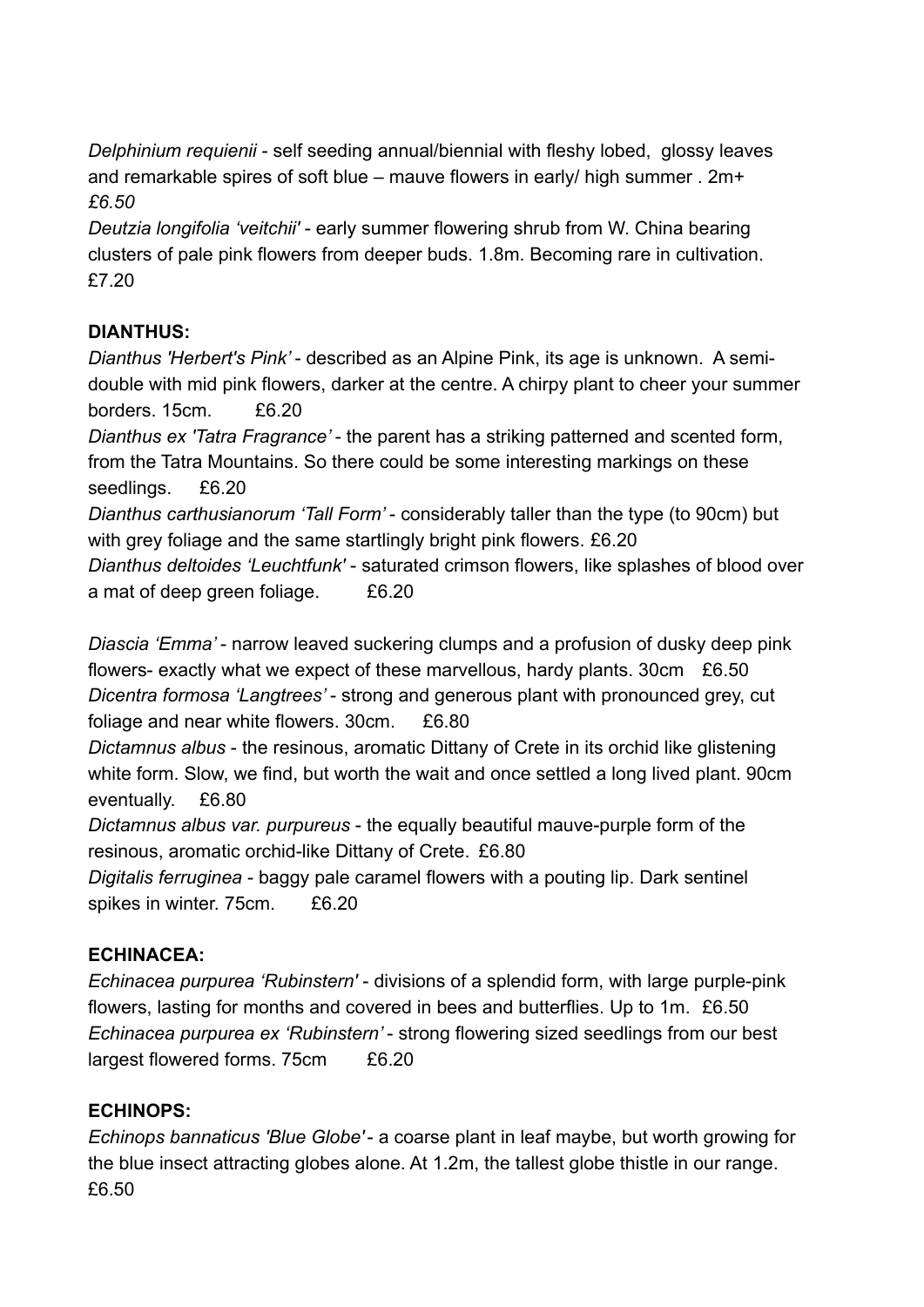*Delphinium requienii* - self seeding annual/biennial with fleshy lobed, glossy leaves and remarkable spires of soft blue – mauve flowers in early/ high summer . 2m+ *£6.50*

*Deutzia longifolia 'veitchii'* - early summer flowering shrub from W. China bearing clusters of pale pink flowers from deeper buds. 1.8m. Becoming rare in cultivation. £7.20

## **DIANTHUS:**

*Dianthus 'Herbert's Pink'* - described as an Alpine Pink, its age is unknown. A semidouble with mid pink flowers, darker at the centre. A chirpy plant to cheer your summer borders. 15cm. £6.20

*Dianthus ex 'Tatra Fragrance'* - the parent has a striking patterned and scented form, from the Tatra Mountains. So there could be some interesting markings on these seedlings. £6.20

*Dianthus carthusianorum 'Tall Form'* - considerably taller than the type (to 90cm) but with grey foliage and the same startlingly bright pink flowers. £6.20

*Dianthus deltoides 'Leuchtfunk'* - saturated crimson flowers, like splashes of blood over a mat of deep green foliage. £6.20

*Diascia 'Emma'* - narrow leaved suckering clumps and a profusion of dusky deep pink flowers- exactly what we expect of these marvellous, hardy plants. 30cm £6.50 *Dicentra formosa 'Langtrees'* - strong and generous plant with pronounced grey, cut foliage and near white flowers. 30cm. £6.80

*Dictamnus albus* - the resinous, aromatic Dittany of Crete in its orchid like glistening white form. Slow, we find, but worth the wait and once settled a long lived plant. 90cm eventually. £6.80

*Dictamnus albus var. purpureus* - the equally beautiful mauve-purple form of the resinous, aromatic orchid-like Dittany of Crete. £6.80

*Digitalis ferruginea* - baggy pale caramel flowers with a pouting lip. Dark sentinel spikes in winter. 75cm. £6.20

# **ECHINACEA:**

*Echinacea purpurea 'Rubinstern'* - divisions of a splendid form, with large purple-pink flowers, lasting for months and covered in bees and butterflies. Up to 1m. £6.50 *Echinacea purpurea ex 'Rubinstern'* - strong flowering sized seedlings from our best largest flowered forms. 75cm £6.20

## **ECHINOPS:**

*Echinops bannaticus 'Blue Globe'*- a coarse plant in leaf maybe, but worth growing for the blue insect attracting globes alone. At 1.2m, the tallest globe thistle in our range. £6.50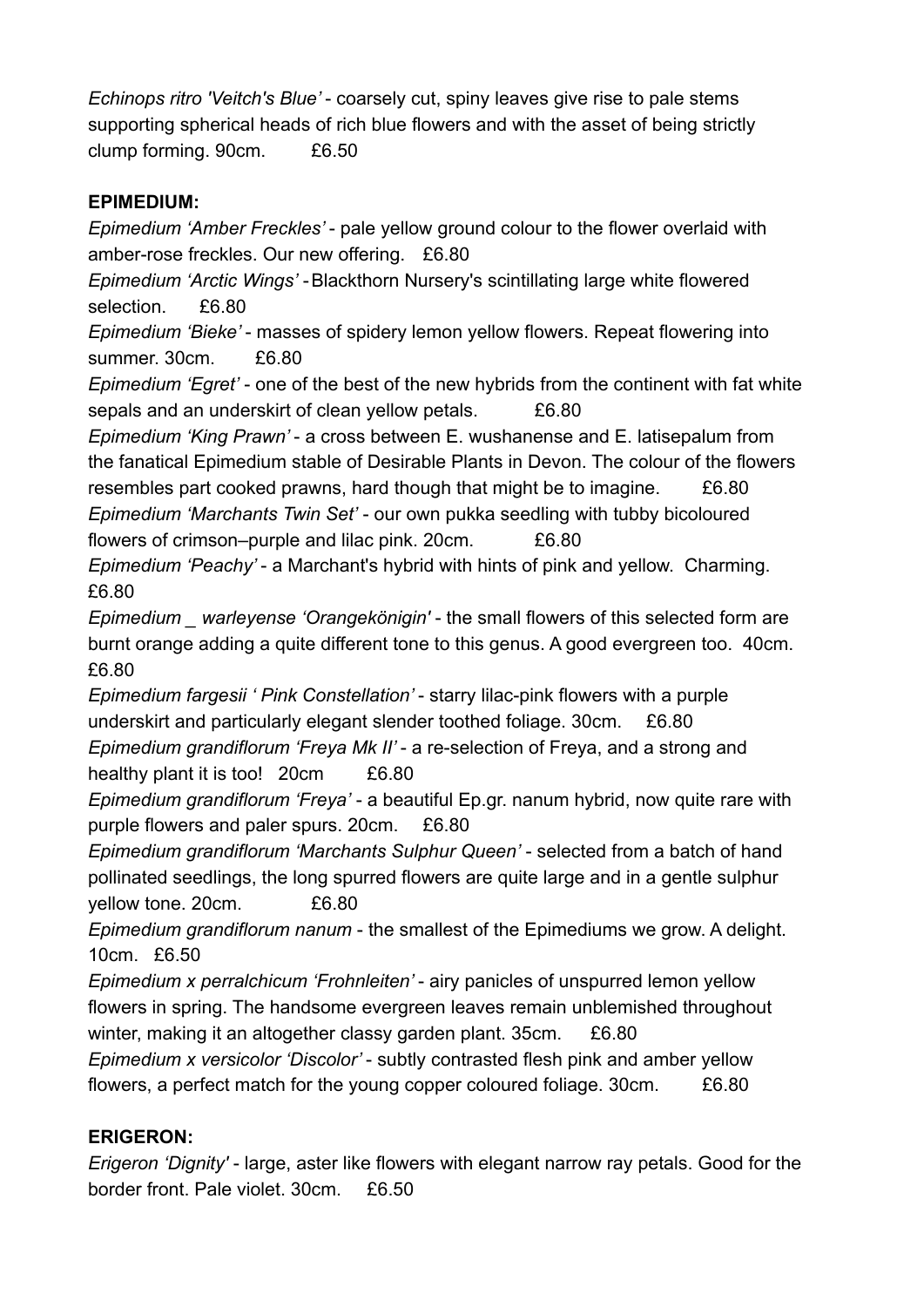*Echinops ritro 'Veitch's Blue'* - coarsely cut, spiny leaves give rise to pale stems supporting spherical heads of rich blue flowers and with the asset of being strictly clump forming. 90cm. £6.50

#### **EPIMEDIUM:**

*Epimedium 'Amber Freckles'* - pale yellow ground colour to the flower overlaid with amber-rose freckles. Our new offering. £6.80

*Epimedium 'Arctic Wings'* -Blackthorn Nursery's scintillating large white flowered selection. £6.80

*Epimedium 'Bieke'* - masses of spidery lemon yellow flowers. Repeat flowering into summer. 30cm. £6.80

*Epimedium 'Egret'* - one of the best of the new hybrids from the continent with fat white sepals and an underskirt of clean yellow petals. £6.80

*Epimedium 'King Prawn'* - a cross between E. wushanense and E. latisepalum from the fanatical Epimedium stable of Desirable Plants in Devon. The colour of the flowers resembles part cooked prawns, hard though that might be to imagine. £6.80 *Epimedium 'Marchants Twin Set'* - our own pukka seedling with tubby bicoloured flowers of crimson–purple and lilac pink. 20cm. £6.80

*Epimedium 'Peachy'* - a Marchant's hybrid with hints of pink and yellow. Charming. £6.80

*Epimedium \_ warleyense 'Orangekönigin'* - the small flowers of this selected form are burnt orange adding a quite different tone to this genus. A good evergreen too. 40cm. £6.80

*Epimedium fargesii ' Pink Constellation'* - starry lilac-pink flowers with a purple underskirt and particularly elegant slender toothed foliage. 30cm. £6.80 *Epimedium grandiflorum 'Freya Mk II'* - a re-selection of Freya, and a strong and

healthy plant it is too! 20cm £6.80

*Epimedium grandiflorum 'Freya'* - a beautiful Ep.gr. nanum hybrid, now quite rare with purple flowers and paler spurs. 20cm. £6.80

*Epimedium grandiflorum 'Marchants Sulphur Queen'* - selected from a batch of hand pollinated seedlings, the long spurred flowers are quite large and in a gentle sulphur yellow tone. 20cm. £6.80

*Epimedium grandiflorum nanum* - the smallest of the Epimediums we grow. A delight. 10cm. £6.50

*Epimedium x perralchicum 'Frohnleiten'* - airy panicles of unspurred lemon yellow flowers in spring. The handsome evergreen leaves remain unblemished throughout winter, making it an altogether classy garden plant. 35cm. £6.80

*Epimedium x versicolor 'Discolor'* - subtly contrasted flesh pink and amber yellow flowers, a perfect match for the young copper coloured foliage. 30cm. £6.80

## **ERIGERON:**

*Erigeron 'Dignity'* - large, aster like flowers with elegant narrow ray petals. Good for the border front. Pale violet. 30cm. £6.50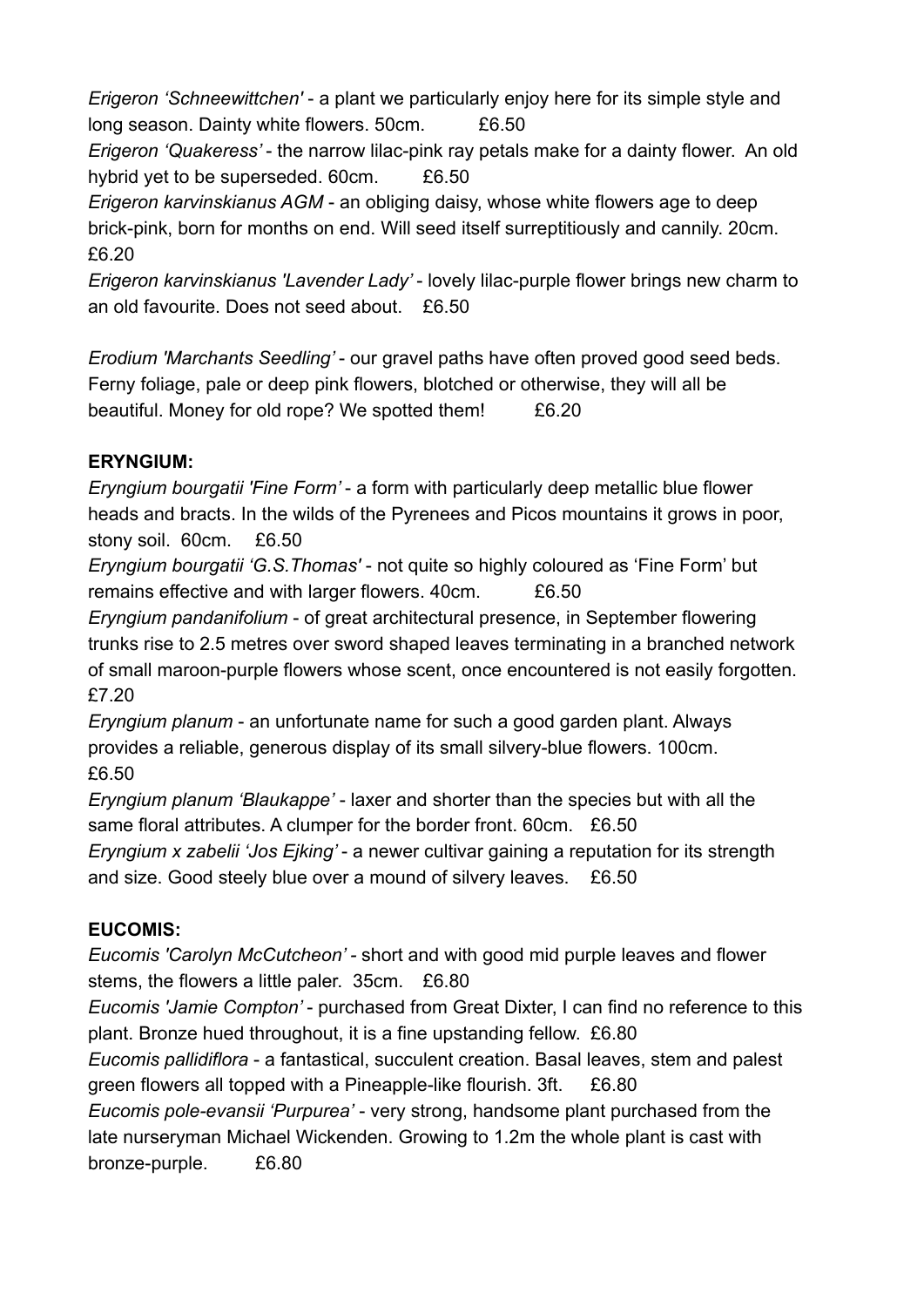*Erigeron 'Schneewittchen'* - a plant we particularly enjoy here for its simple style and long season. Dainty white flowers. 50cm. £6.50

*Erigeron 'Quakeress'* - the narrow lilac-pink ray petals make for a dainty flower. An old hybrid yet to be superseded. 60cm. £6.50

*Erigeron karvinskianus AGM* - an obliging daisy, whose white flowers age to deep brick-pink, born for months on end. Will seed itself surreptitiously and cannily. 20cm. £6.20

*Erigeron karvinskianus 'Lavender Lady'* - lovely lilac-purple flower brings new charm to an old favourite. Does not seed about. £6.50

*Erodium 'Marchants Seedling'* - our gravel paths have often proved good seed beds. Ferny foliage, pale or deep pink flowers, blotched or otherwise, they will all be beautiful. Money for old rope? We spotted them! £6.20

# **ERYNGIUM:**

*Eryngium bourgatii 'Fine Form'* - a form with particularly deep metallic blue flower heads and bracts. In the wilds of the Pyrenees and Picos mountains it grows in poor, stony soil. 60cm. £6.50

*Eryngium bourgatii 'G.S.Thomas'* - not quite so highly coloured as 'Fine Form' but remains effective and with larger flowers. 40cm. £6.50

*Eryngium pandanifolium* - of great architectural presence, in September flowering trunks rise to 2.5 metres over sword shaped leaves terminating in a branched network of small maroon-purple flowers whose scent, once encountered is not easily forgotten. £7.20

*Eryngium planum* - an unfortunate name for such a good garden plant. Always provides a reliable, generous display of its small silvery-blue flowers. 100cm. £6.50

*Eryngium planum 'Blaukappe'* - laxer and shorter than the species but with all the same floral attributes. A clumper for the border front. 60cm. £6.50

*Eryngium x zabelii 'Jos Ejking'* - a newer cultivar gaining a reputation for its strength and size. Good steely blue over a mound of silvery leaves. £6.50

# **EUCOMIS:**

*Eucomis 'Carolyn McCutcheon' -* short and with good mid purple leaves and flower stems, the flowers a little paler. 35cm. £6.80

*Eucomis 'Jamie Compton'* - purchased from Great Dixter, I can find no reference to this plant. Bronze hued throughout, it is a fine upstanding fellow. £6.80

*Eucomis pallidiflora* - a fantastical, succulent creation. Basal leaves, stem and palest green flowers all topped with a Pineapple-like flourish. 3ft. £6.80

*Eucomis pole-evansii 'Purpurea'* - very strong, handsome plant purchased from the late nurseryman Michael Wickenden. Growing to 1.2m the whole plant is cast with bronze-purple. £6.80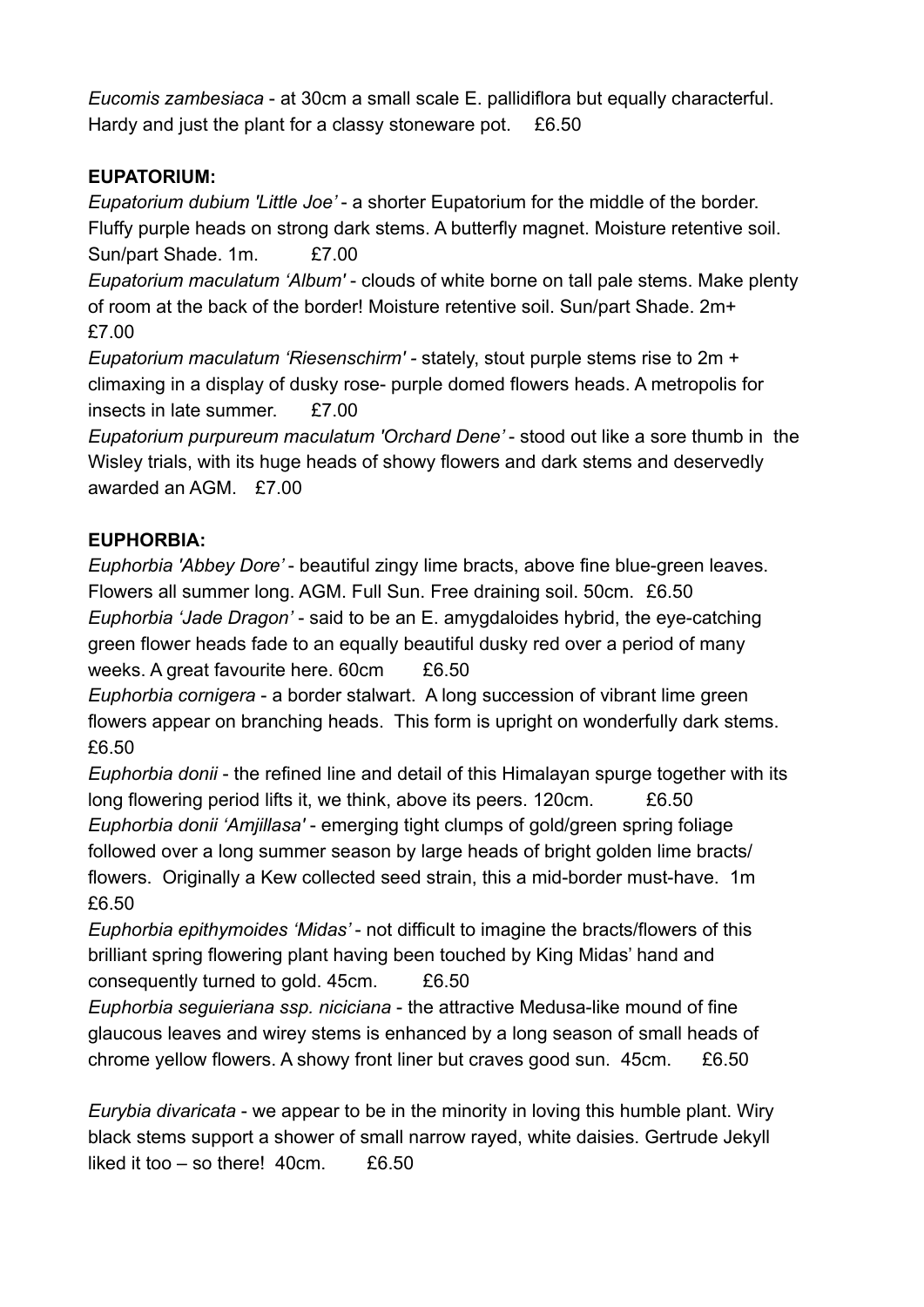*Eucomis zambesiaca* - at 30cm a small scale E. pallidiflora but equally characterful. Hardy and just the plant for a classy stoneware pot. £6.50

## **EUPATORIUM:**

*Eupatorium dubium 'Little Joe'* - a shorter Eupatorium for the middle of the border. Fluffy purple heads on strong dark stems. A butterfly magnet. Moisture retentive soil. Sun/part Shade. 1m. £7.00

*Eupatorium maculatum 'Album'* - clouds of white borne on tall pale stems. Make plenty of room at the back of the border! Moisture retentive soil. Sun/part Shade. 2m+ £7.00

*Eupatorium maculatum 'Riesenschirm' -* stately, stout purple stems rise to 2m + climaxing in a display of dusky rose- purple domed flowers heads. A metropolis for insects in late summer. £7.00

*Eupatorium purpureum maculatum 'Orchard Dene'* - stood out like a sore thumb in the Wisley trials, with its huge heads of showy flowers and dark stems and deservedly awarded an AGM. £7.00

### **EUPHORBIA:**

*Euphorbia 'Abbey Dore'* - beautiful zingy lime bracts, above fine blue-green leaves. Flowers all summer long. AGM. Full Sun. Free draining soil. 50cm. £6.50 *Euphorbia 'Jade Dragon'* - said to be an E. amygdaloides hybrid, the eye-catching green flower heads fade to an equally beautiful dusky red over a period of many weeks. A great favourite here. 60cm £6.50

*Euphorbia cornigera* - a border stalwart. A long succession of vibrant lime green flowers appear on branching heads. This form is upright on wonderfully dark stems. £6.50

*Euphorbia donii* - the refined line and detail of this Himalayan spurge together with its long flowering period lifts it, we think, above its peers. 120cm. £6.50 *Euphorbia donii 'Amjillasa'* - emerging tight clumps of gold/green spring foliage followed over a long summer season by large heads of bright golden lime bracts/ flowers. Originally a Kew collected seed strain, this a mid-border must-have. 1m £6.50

*Euphorbia epithymoides 'Midas'* - not difficult to imagine the bracts/flowers of this brilliant spring flowering plant having been touched by King Midas' hand and consequently turned to gold. 45cm. £6.50

*Euphorbia seguieriana ssp. niciciana* - the attractive Medusa-like mound of fine glaucous leaves and wirey stems is enhanced by a long season of small heads of chrome yellow flowers. A showy front liner but craves good sun. 45cm. £6.50

*Eurybia divaricata* - we appear to be in the minority in loving this humble plant. Wiry black stems support a shower of small narrow rayed, white daisies. Gertrude Jekyll liked it too  $-$  so there! 40cm.  $£6.50$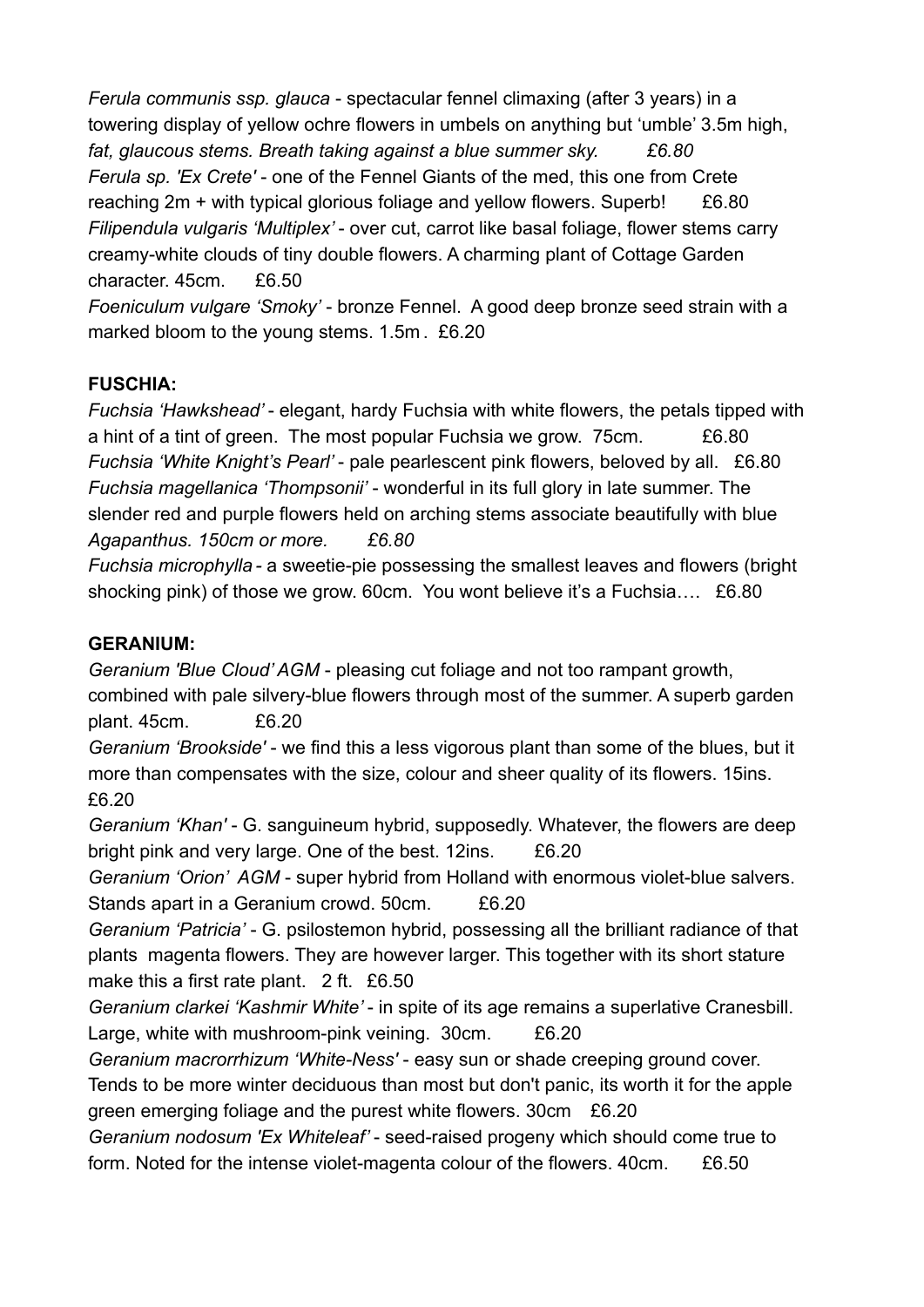*Ferula communis ssp. glauca* - spectacular fennel climaxing (after 3 years) in a towering display of yellow ochre flowers in umbels on anything but 'umble' 3.5m high, *fat, glaucous stems. Breath taking against a blue summer sky. £6.80 Ferula sp. 'Ex Crete'* - one of the Fennel Giants of the med, this one from Crete reaching 2m + with typical glorious foliage and yellow flowers. Superb! £6.80 *Filipendula vulgaris 'Multiplex'* - over cut, carrot like basal foliage, flower stems carry creamy-white clouds of tiny double flowers. A charming plant of Cottage Garden character. 45cm. £6.50

*Foeniculum vulgare 'Smoky'* - bronze Fennel. A good deep bronze seed strain with a marked bloom to the young stems. 1.5m . £6.20

## **FUSCHIA:**

*Fuchsia 'Hawkshead'* - elegant, hardy Fuchsia with white flowers, the petals tipped with a hint of a tint of green. The most popular Fuchsia we grow. 75cm. £6.80 *Fuchsia 'White Knight's Pearl'* - pale pearlescent pink flowers, beloved by all. £6.80 *Fuchsia magellanica 'Thompsonii'* - wonderful in its full glory in late summer. The slender red and purple flowers held on arching stems associate beautifully with blue *Agapanthus. 150cm or more. £6.80*

*Fuchsia microphylla -* a sweetie-pie possessing the smallest leaves and flowers (bright shocking pink) of those we grow. 60cm. You wont believe it's a Fuchsia.... £6.80

#### **GERANIUM:**

*Geranium 'Blue Cloud' AGM* - pleasing cut foliage and not too rampant growth, combined with pale silvery-blue flowers through most of the summer. A superb garden plant. 45cm. £6.20

*Geranium 'Brookside'* - we find this a less vigorous plant than some of the blues, but it more than compensates with the size, colour and sheer quality of its flowers. 15ins. £6.20

*Geranium 'Khan'* - G. sanguineum hybrid, supposedly. Whatever, the flowers are deep bright pink and very large. One of the best. 12ins. £6.20

*Geranium 'Orion' AGM* - super hybrid from Holland with enormous violet-blue salvers. Stands apart in a Geranium crowd. 50cm. £6.20

*Geranium 'Patricia'* - G. psilostemon hybrid, possessing all the brilliant radiance of that plants magenta flowers. They are however larger. This together with its short stature make this a first rate plant. 2 ft. £6.50

*Geranium clarkei 'Kashmir White'* - in spite of its age remains a superlative Cranesbill. Large, white with mushroom-pink veining. 30cm. £6.20

*Geranium macrorrhizum 'White-Ness'* - easy sun or shade creeping ground cover. Tends to be more winter deciduous than most but don't panic, its worth it for the apple green emerging foliage and the purest white flowers. 30cm £6.20

*Geranium nodosum 'Ex Whiteleaf'* - seed-raised progeny which should come true to form. Noted for the intense violet-magenta colour of the flowers. 40cm. £6.50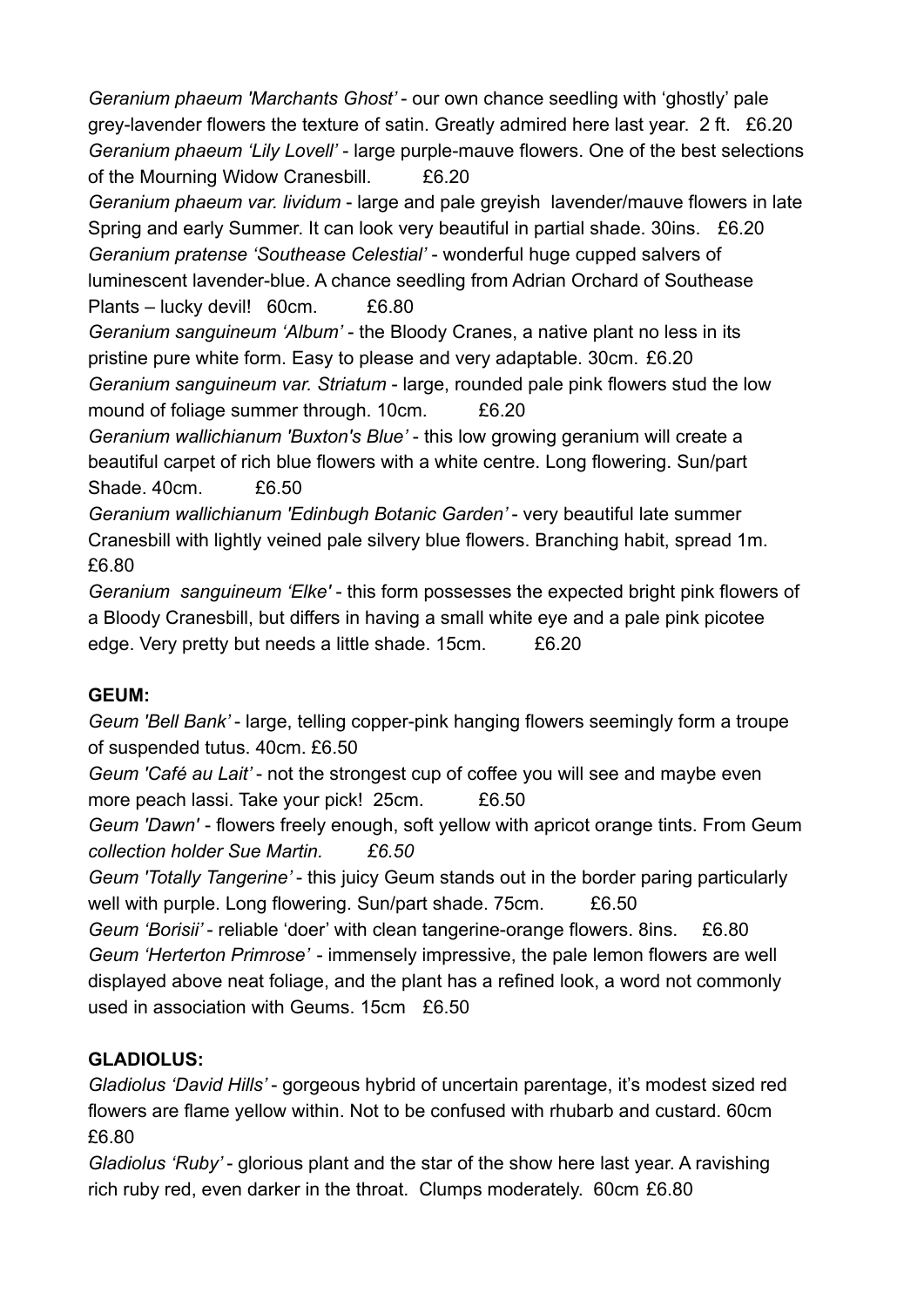*Geranium phaeum 'Marchants Ghost'* - our own chance seedling with 'ghostly' pale grey-lavender flowers the texture of satin. Greatly admired here last year. 2 ft. £6.20 *Geranium phaeum 'Lily Lovell'* - large purple-mauve flowers. One of the best selections of the Mourning Widow Cranesbill. £6.20

*Geranium phaeum var. lividum* - large and pale greyish lavender/mauve flowers in late Spring and early Summer. It can look very beautiful in partial shade. 30ins. £6.20 *Geranium pratense 'Southease Celestial'* - wonderful huge cupped salvers of luminescent lavender-blue. A chance seedling from Adrian Orchard of Southease Plants – lucky devil! 60cm. £6.80

*Geranium sanguineum 'Album'* - the Bloody Cranes, a native plant no less in its pristine pure white form. Easy to please and very adaptable. 30cm. £6.20 *Geranium sanguineum var. Striatum* - large, rounded pale pink flowers stud the low mound of foliage summer through. 10cm. £6.20

*Geranium wallichianum 'Buxton's Blue'* - this low growing geranium will create a beautiful carpet of rich blue flowers with a white centre. Long flowering. Sun/part Shade. 40cm. £6.50

*Geranium wallichianum 'Edinbugh Botanic Garden'* - very beautiful late summer Cranesbill with lightly veined pale silvery blue flowers. Branching habit, spread 1m. £6.80

*Geranium sanguineum 'Elke'* - this form possesses the expected bright pink flowers of a Bloody Cranesbill, but differs in having a small white eye and a pale pink picotee edge. Very pretty but needs a little shade. 15cm. £6.20

## **GEUM:**

*Geum 'Bell Bank'* - large, telling copper-pink hanging flowers seemingly form a troupe of suspended tutus. 40cm. £6.50

*Geum 'Café au Lait'* - not the strongest cup of coffee you will see and maybe even more peach lassi. Take your pick! 25cm. £6.50

*Geum 'Dawn'* - flowers freely enough, soft yellow with apricot orange tints. From Geum *collection holder Sue Martin. £6.50*

*Geum 'Totally Tangerine'* - this juicy Geum stands out in the border paring particularly well with purple. Long flowering. Sun/part shade. 75cm. £6.50

*Geum 'Borisii'* - reliable 'doer' with clean tangerine-orange flowers. 8ins. £6.80 *Geum 'Herterton Primrose'* - immensely impressive, the pale lemon flowers are well displayed above neat foliage, and the plant has a refined look, a word not commonly used in association with Geums. 15cm £6.50

## **GLADIOLUS:**

*Gladiolus 'David Hills'* - gorgeous hybrid of uncertain parentage, it's modest sized red flowers are flame yellow within. Not to be confused with rhubarb and custard. 60cm £6.80

*Gladiolus 'Ruby'* - glorious plant and the star of the show here last year. A ravishing rich ruby red, even darker in the throat. Clumps moderately. 60cm £6.80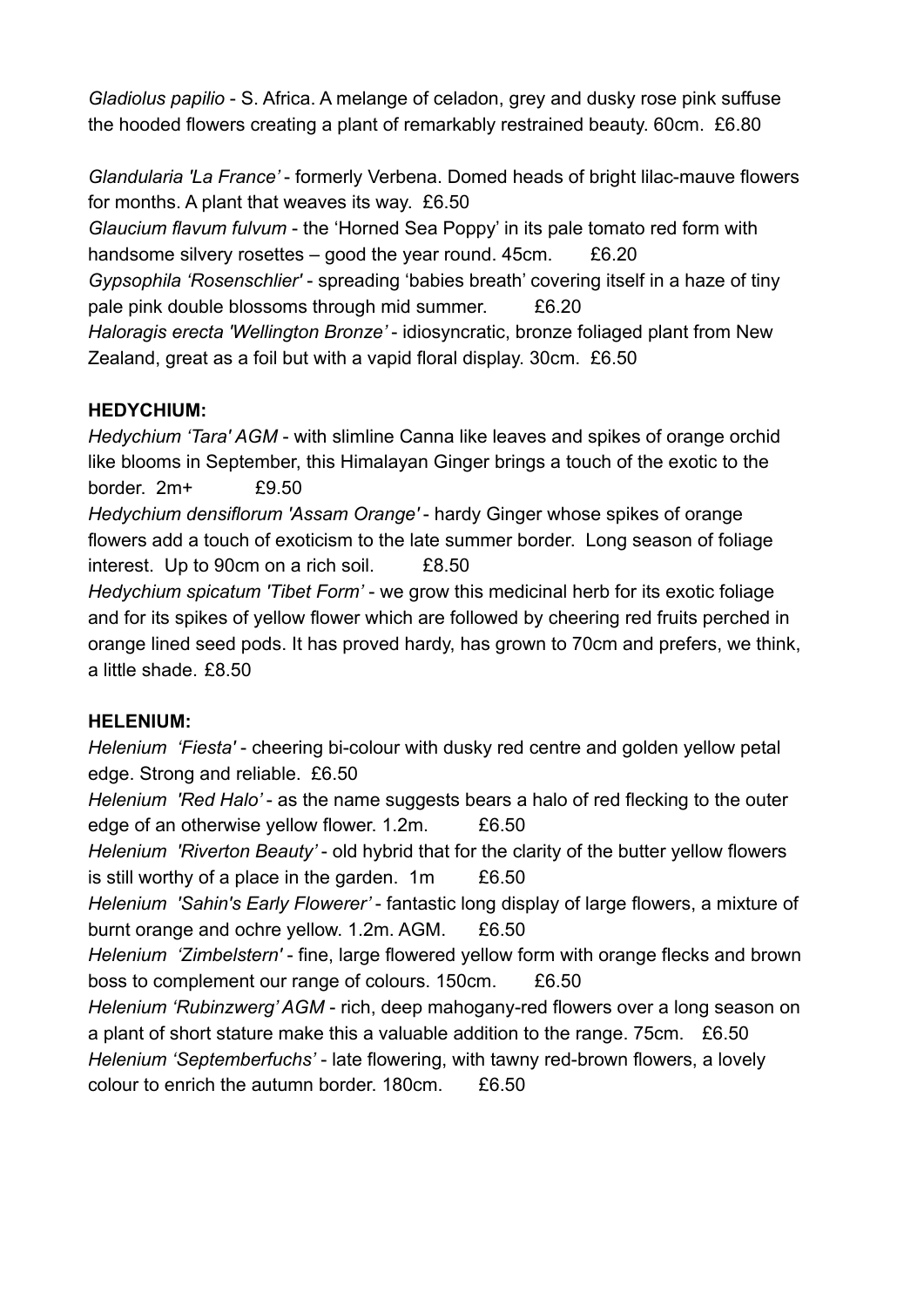*Gladiolus papilio* - S. Africa. A melange of celadon, grey and dusky rose pink suffuse the hooded flowers creating a plant of remarkably restrained beauty. 60cm. £6.80

*Glandularia 'La France'* - formerly Verbena. Domed heads of bright lilac-mauve flowers for months. A plant that weaves its way. £6.50

*Glaucium flavum fulvum* - the 'Horned Sea Poppy' in its pale tomato red form with handsome silvery rosettes  $-$  good the year round. 45cm.  $£6.20$ *Gypsophila 'Rosenschlier'* - spreading 'babies breath' covering itself in a haze of tiny pale pink double blossoms through mid summer. £6.20 *Haloragis erecta 'Wellington Bronze'* - idiosyncratic, bronze foliaged plant from New Zealand, great as a foil but with a vapid floral display. 30cm. £6.50

## **HEDYCHIUM:**

*Hedychium 'Tara' AGM* - with slimline Canna like leaves and spikes of orange orchid like blooms in September, this Himalayan Ginger brings a touch of the exotic to the border. 2m+ £9.50

*Hedychium densiflorum 'Assam Orange'* - hardy Ginger whose spikes of orange flowers add a touch of exoticism to the late summer border. Long season of foliage interest. Up to 90cm on a rich soil. £8.50

*Hedychium spicatum 'Tibet Form'* - we grow this medicinal herb for its exotic foliage and for its spikes of yellow flower which are followed by cheering red fruits perched in orange lined seed pods. It has proved hardy, has grown to 70cm and prefers, we think, a little shade. £8.50

## **HELENIUM:**

*Helenium 'Fiesta'* - cheering bi-colour with dusky red centre and golden yellow petal edge. Strong and reliable. £6.50

*Helenium 'Red Halo'* - as the name suggests bears a halo of red flecking to the outer edge of an otherwise yellow flower. 1.2m. £6.50

*Helenium 'Riverton Beauty'* - old hybrid that for the clarity of the butter yellow flowers is still worthy of a place in the garden.  $1m \t E6.50$ 

*Helenium 'Sahin's Early Flowerer'* - fantastic long display of large flowers, a mixture of burnt orange and ochre yellow. 1.2m. AGM. £6.50

*Helenium 'Zimbelstern'* - fine, large flowered yellow form with orange flecks and brown boss to complement our range of colours. 150cm. £6.50

*Helenium 'Rubinzwerg' AGM* - rich, deep mahogany-red flowers over a long season on a plant of short stature make this a valuable addition to the range. 75cm. £6.50 *Helenium 'Septemberfuchs'* - late flowering, with tawny red-brown flowers, a lovely

colour to enrich the autumn border. 180cm. £6.50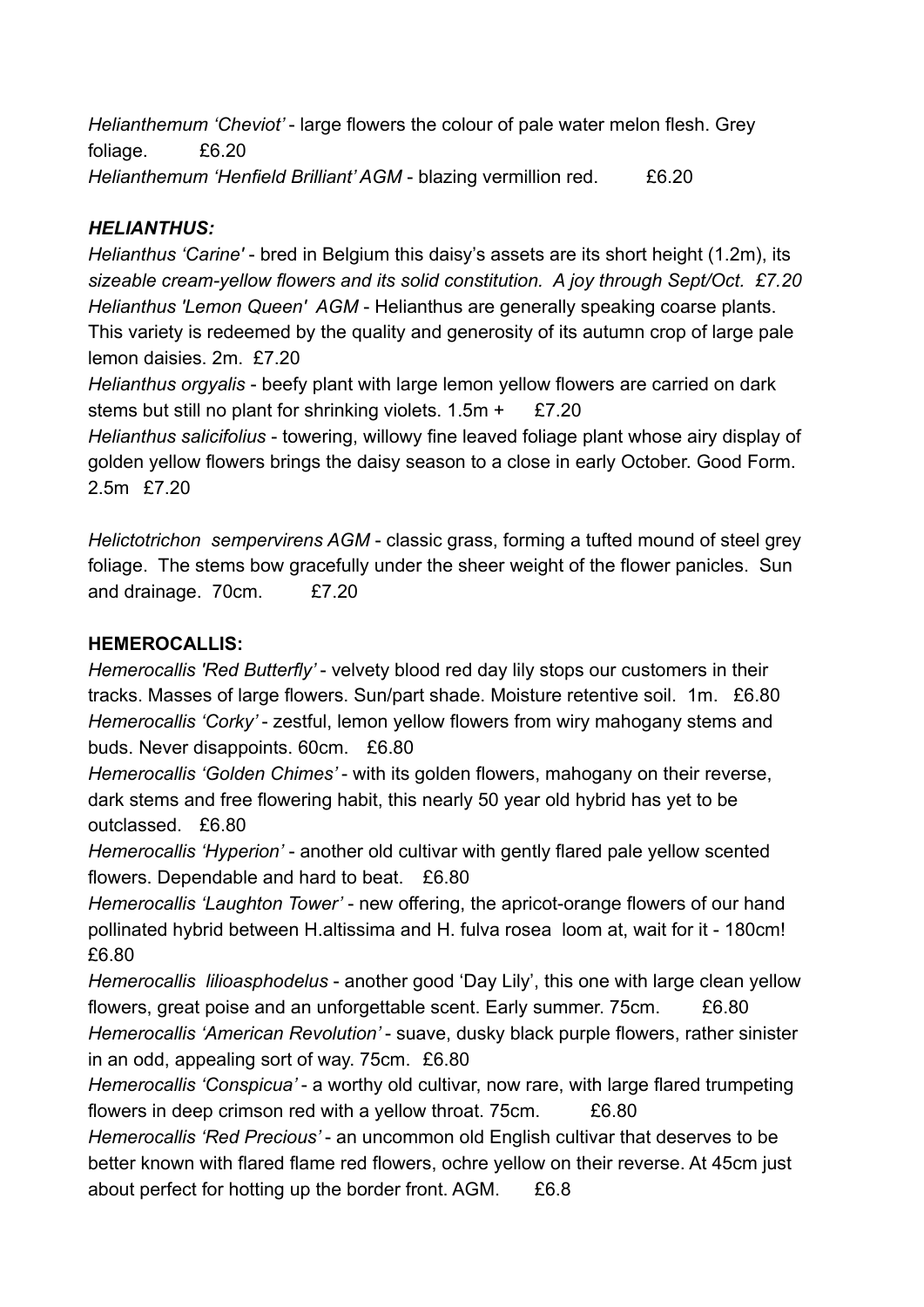*Helianthemum 'Cheviot'* - large flowers the colour of pale water melon flesh. Grey foliage. £6.20 *Helianthemum 'Henfield Brilliant' AGM* - blazing vermillion red. £6.20

#### *HELIANTHUS:*

*Helianthus 'Carine'* - bred in Belgium this daisy's assets are its short height (1.2m), its *sizeable cream-yellow flowers and its solid constitution. A joy through Sept/Oct. £7.20 Helianthus 'Lemon Queen' AGM* - Helianthus are generally speaking coarse plants. This variety is redeemed by the quality and generosity of its autumn crop of large pale lemon daisies. 2m. £7.20

*Helianthus orgyalis* - beefy plant with large lemon yellow flowers are carried on dark stems but still no plant for shrinking violets.  $1.5m + E7.20$ *Helianthus salicifolius* - towering, willowy fine leaved foliage plant whose airy display of golden yellow flowers brings the daisy season to a close in early October. Good Form.

2.5m £7.20

*Helictotrichon sempervirens AGM* - classic grass, forming a tufted mound of steel grey foliage. The stems bow gracefully under the sheer weight of the flower panicles. Sun and drainage. 70cm. £7.20

#### **HEMEROCALLIS:**

*Hemerocallis 'Red Butterfly'* - velvety blood red day lily stops our customers in their tracks. Masses of large flowers. Sun/part shade. Moisture retentive soil. 1m. £6.80 *Hemerocallis 'Corky'* - zestful, lemon yellow flowers from wiry mahogany stems and buds. Never disappoints. 60cm. £6.80

*Hemerocallis 'Golden Chimes'* - with its golden flowers, mahogany on their reverse, dark stems and free flowering habit, this nearly 50 year old hybrid has yet to be outclassed. £6.80

*Hemerocallis 'Hyperion'* - another old cultivar with gently flared pale yellow scented flowers. Dependable and hard to beat. £6.80

*Hemerocallis 'Laughton Tower'* - new offering, the apricot-orange flowers of our hand pollinated hybrid between H.altissima and H. fulva rosea loom at, wait for it - 180cm! £6.80

*Hemerocallis lilioasphodelus* - another good 'Day Lily', this one with large clean yellow flowers, great poise and an unforgettable scent. Early summer. 75cm. £6.80

*Hemerocallis 'American Revolution'* - suave, dusky black purple flowers, rather sinister in an odd, appealing sort of way. 75cm. £6.80

*Hemerocallis 'Conspicua'* - a worthy old cultivar, now rare, with large flared trumpeting flowers in deep crimson red with a yellow throat. 75cm. £6.80

*Hemerocallis 'Red Precious'* - an uncommon old English cultivar that deserves to be better known with flared flame red flowers, ochre yellow on their reverse. At 45cm just about perfect for hotting up the border front. AGM. £6.8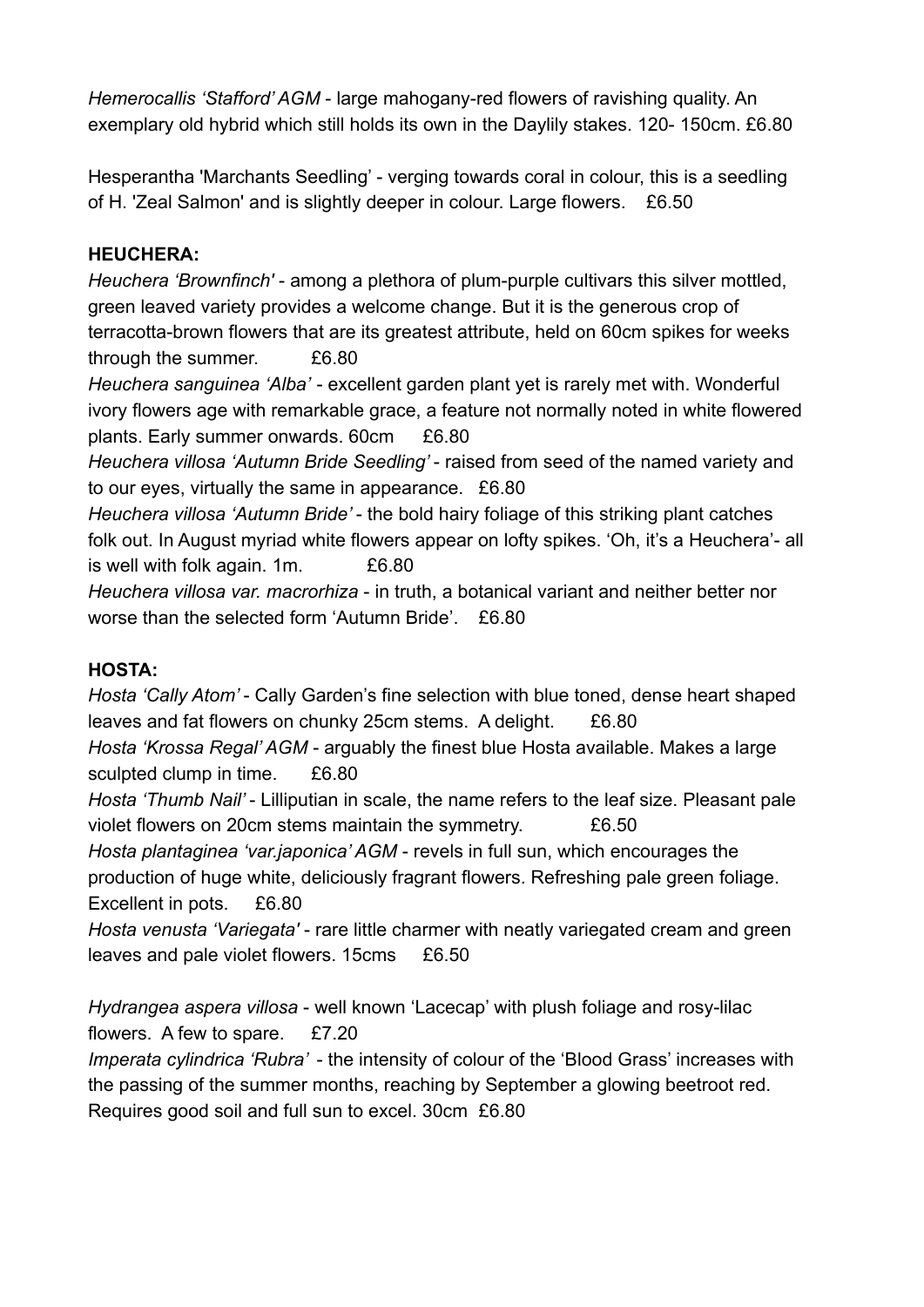*Hemerocallis 'Stafford' AGM* - large mahogany-red flowers of ravishing quality. An exemplary old hybrid which still holds its own in the Daylily stakes. 120- 150cm. £6.80

Hesperantha 'Marchants Seedling' - verging towards coral in colour, this is a seedling of H. 'Zeal Salmon' and is slightly deeper in colour. Large flowers. £6.50

## **HEUCHERA:**

*Heuchera 'Brownfinch'* - among a plethora of plum-purple cultivars this silver mottled, green leaved variety provides a welcome change. But it is the generous crop of terracotta-brown flowers that are its greatest attribute, held on 60cm spikes for weeks through the summer. £6.80

*Heuchera sanguinea 'Alba'* - excellent garden plant yet is rarely met with. Wonderful ivory flowers age with remarkable grace, a feature not normally noted in white flowered plants. Early summer onwards. 60cm £6.80

*Heuchera villosa 'Autumn Bride Seedling'* - raised from seed of the named variety and to our eyes, virtually the same in appearance. £6.80

*Heuchera villosa 'Autumn Bride'* - the bold hairy foliage of this striking plant catches folk out. In August myriad white flowers appear on lofty spikes. 'Oh, it's a Heuchera'- all is well with folk again. 1m. E6.80

*Heuchera villosa var. macrorhiza* - in truth, a botanical variant and neither better nor worse than the selected form 'Autumn Bride'. £6.80

## **HOSTA:**

*Hosta 'Cally Atom'* - Cally Garden's fine selection with blue toned, dense heart shaped leaves and fat flowers on chunky 25cm stems. A delight. £6.80 *Hosta 'Krossa Regal' AGM* - arguably the finest blue Hosta available. Makes a large

sculpted clump in time. £6.80

*Hosta 'Thumb Nail'* - Lilliputian in scale, the name refers to the leaf size. Pleasant pale violet flowers on 20cm stems maintain the symmetry. £6.50

*Hosta plantaginea 'var.japonica' AGM* - revels in full sun, which encourages the production of huge white, deliciously fragrant flowers. Refreshing pale green foliage. Excellent in pots. £6.80

*Hosta venusta 'Variegata'* - rare little charmer with neatly variegated cream and green leaves and pale violet flowers. 15cms £6.50

*Hydrangea aspera villosa* - well known 'Lacecap' with plush foliage and rosy-lilac flowers. A few to spare. £7.20

*Imperata cylindrica 'Rubra'* - the intensity of colour of the 'Blood Grass' increases with the passing of the summer months, reaching by September a glowing beetroot red. Requires good soil and full sun to excel. 30cm £6.80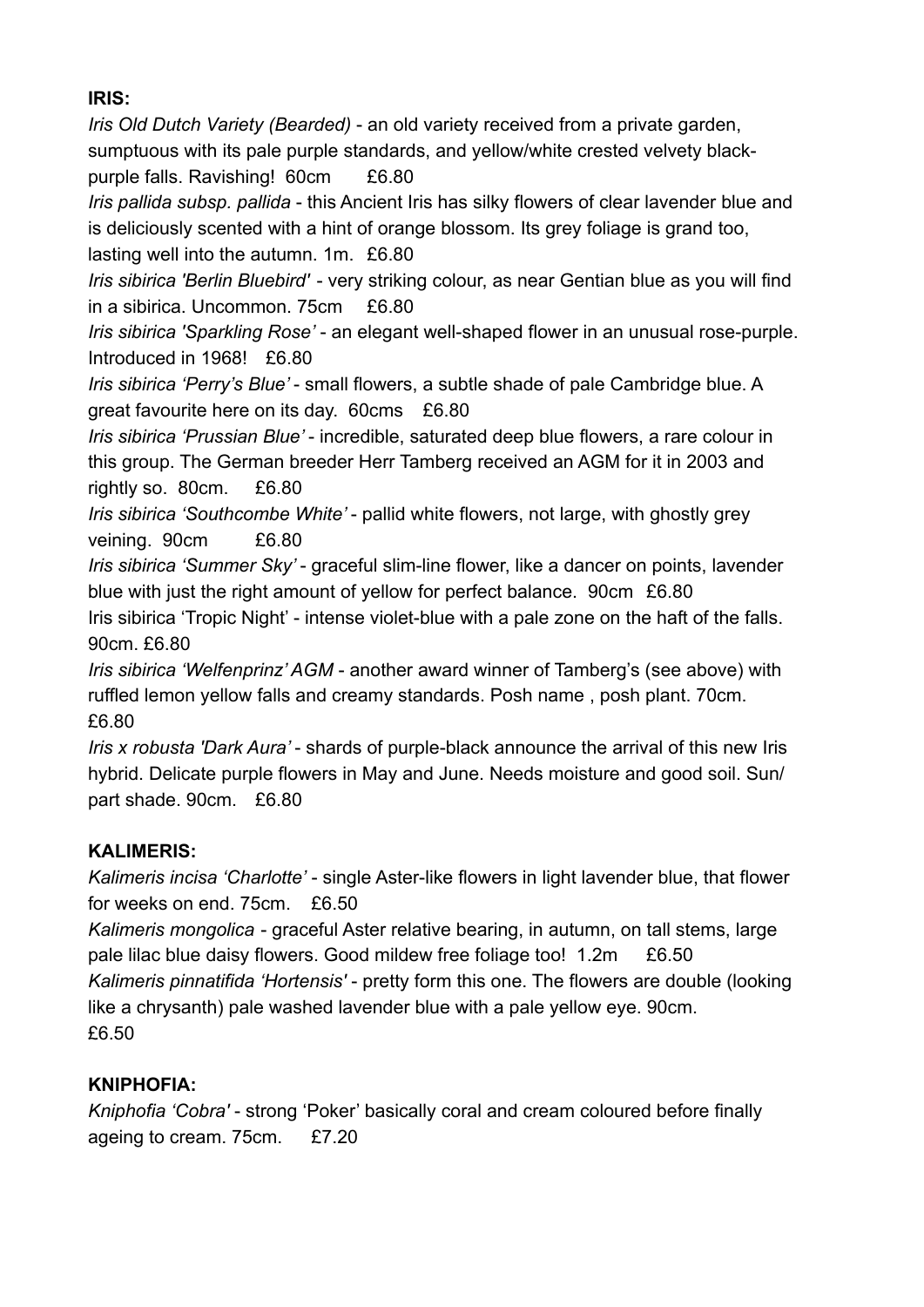## **IRIS:**

*Iris Old Dutch Variety (Bearded)* - an old variety received from a private garden, sumptuous with its pale purple standards, and yellow/white crested velvety blackpurple falls. Ravishing! 60cm £6.80 *Iris pallida subsp. pallida* - this Ancient Iris has silky flowers of clear lavender blue and is deliciously scented with a hint of orange blossom. Its grey foliage is grand too, lasting well into the autumn. 1m. £6.80 *Iris sibirica 'Berlin Bluebird'* - very striking colour, as near Gentian blue as you will find in a sibirica. Uncommon. 75cm £6.80 *Iris sibirica 'Sparkling Rose'* - an elegant well-shaped flower in an unusual rose-purple. Introduced in 1968! £6.80 *Iris sibirica 'Perry's Blue'* - small flowers, a subtle shade of pale Cambridge blue. A great favourite here on its day. 60cms £6.80 *Iris sibirica 'Prussian Blue'* - incredible, saturated deep blue flowers, a rare colour in this group. The German breeder Herr Tamberg received an AGM for it in 2003 and rightly so. 80cm. £6.80 *Iris sibirica 'Southcombe White'* - pallid white flowers, not large, with ghostly grey veining. 90cm £6.80 *Iris sibirica 'Summer Sky'* - graceful slim-line flower, like a dancer on points, lavender blue with just the right amount of yellow for perfect balance. 90cm £6.80 Iris sibirica 'Tropic Night' - intense violet-blue with a pale zone on the haft of the falls. 90cm. £6.80 *Iris sibirica 'Welfenprinz' AGM* - another award winner of Tamberg's (see above) with ruffled lemon yellow falls and creamy standards. Posh name , posh plant. 70cm. £6.80

*Iris x robusta 'Dark Aura'* - shards of purple-black announce the arrival of this new Iris hybrid. Delicate purple flowers in May and June. Needs moisture and good soil. Sun/ part shade. 90cm. £6.80

## **KALIMERIS:**

*Kalimeris incisa 'Charlotte'* - single Aster-like flowers in light lavender blue, that flower for weeks on end. 75cm. £6.50

*Kalimeris mongolica* - graceful Aster relative bearing, in autumn, on tall stems, large pale lilac blue daisy flowers. Good mildew free foliage too! 1.2m £6.50 *Kalimeris pinnatifida 'Hortensis'* - pretty form this one. The flowers are double (looking like a chrysanth) pale washed lavender blue with a pale yellow eye. 90cm. £6.50

# **KNIPHOFIA:**

*Kniphofia 'Cobra'* - strong 'Poker' basically coral and cream coloured before finally ageing to cream. 75cm. £7.20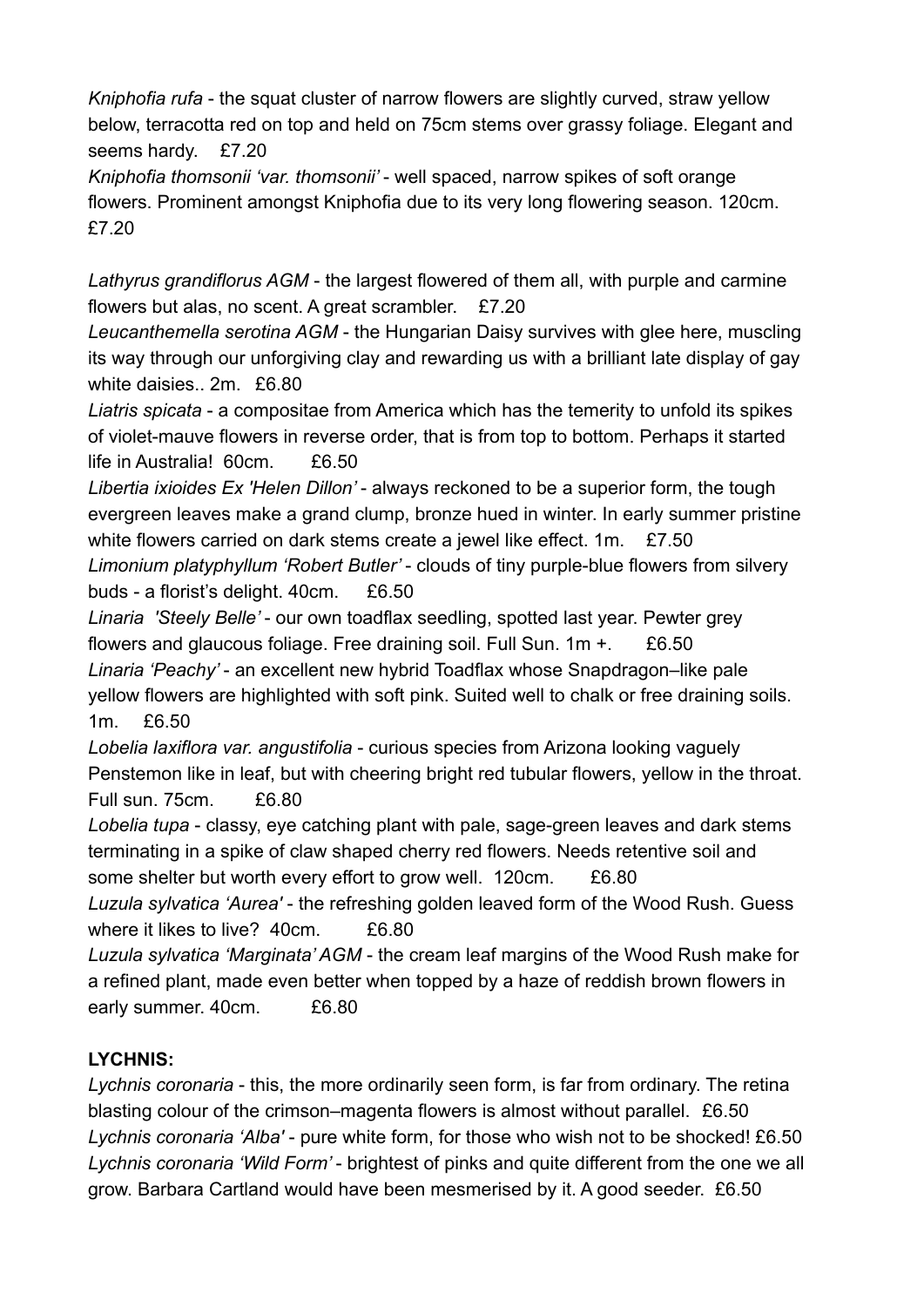*Kniphofia rufa* - the squat cluster of narrow flowers are slightly curved, straw yellow below, terracotta red on top and held on 75cm stems over grassy foliage. Elegant and seems hardy. £7.20

*Kniphofia thomsonii 'var. thomsonii'* - well spaced, narrow spikes of soft orange flowers. Prominent amongst Kniphofia due to its very long flowering season. 120cm. £7.20

*Lathyrus grandiflorus AGM* - the largest flowered of them all, with purple and carmine flowers but alas, no scent. A great scrambler. £7.20

*Leucanthemella serotina AGM* - the Hungarian Daisy survives with glee here, muscling its way through our unforgiving clay and rewarding us with a brilliant late display of gay white daisies.. 2m. £6.80

*Liatris spicata* - a compositae from America which has the temerity to unfold its spikes of violet-mauve flowers in reverse order, that is from top to bottom. Perhaps it started life in Australia! 60cm. £6.50

*Libertia ixioides Ex 'Helen Dillon'* - always reckoned to be a superior form, the tough evergreen leaves make a grand clump, bronze hued in winter. In early summer pristine white flowers carried on dark stems create a jewel like effect. 1m. £7.50 *Limonium platyphyllum 'Robert Butler'* - clouds of tiny purple-blue flowers from silvery buds - a florist's delight. 40cm. £6.50

*Linaria 'Steely Belle'* - our own toadflax seedling, spotted last year. Pewter grey flowers and glaucous foliage. Free draining soil. Full Sun. 1m +. £6.50

*Linaria 'Peachy'* - an excellent new hybrid Toadflax whose Snapdragon–like pale yellow flowers are highlighted with soft pink. Suited well to chalk or free draining soils. 1m. £6.50

*Lobelia laxiflora var. angustifolia* - curious species from Arizona looking vaguely Penstemon like in leaf, but with cheering bright red tubular flowers, yellow in the throat. Full sun. 75cm. £6.80

*Lobelia tupa* - classy, eye catching plant with pale, sage-green leaves and dark stems terminating in a spike of claw shaped cherry red flowers. Needs retentive soil and some shelter but worth every effort to grow well. 120cm. £6.80

*Luzula sylvatica 'Aurea'* - the refreshing golden leaved form of the Wood Rush. Guess where it likes to live? 40cm. £6.80

*Luzula sylvatica 'Marginata' AGM* - the cream leaf margins of the Wood Rush make for a refined plant, made even better when topped by a haze of reddish brown flowers in early summer. 40cm. £6.80

# **LYCHNIS:**

*Lychnis coronaria* - this, the more ordinarily seen form, is far from ordinary. The retina blasting colour of the crimson–magenta flowers is almost without parallel. £6.50 *Lychnis coronaria 'Alba'* - pure white form, for those who wish not to be shocked! £6.50 *Lychnis coronaria 'Wild Form'* - brightest of pinks and quite different from the one we all grow. Barbara Cartland would have been mesmerised by it. A good seeder. £6.50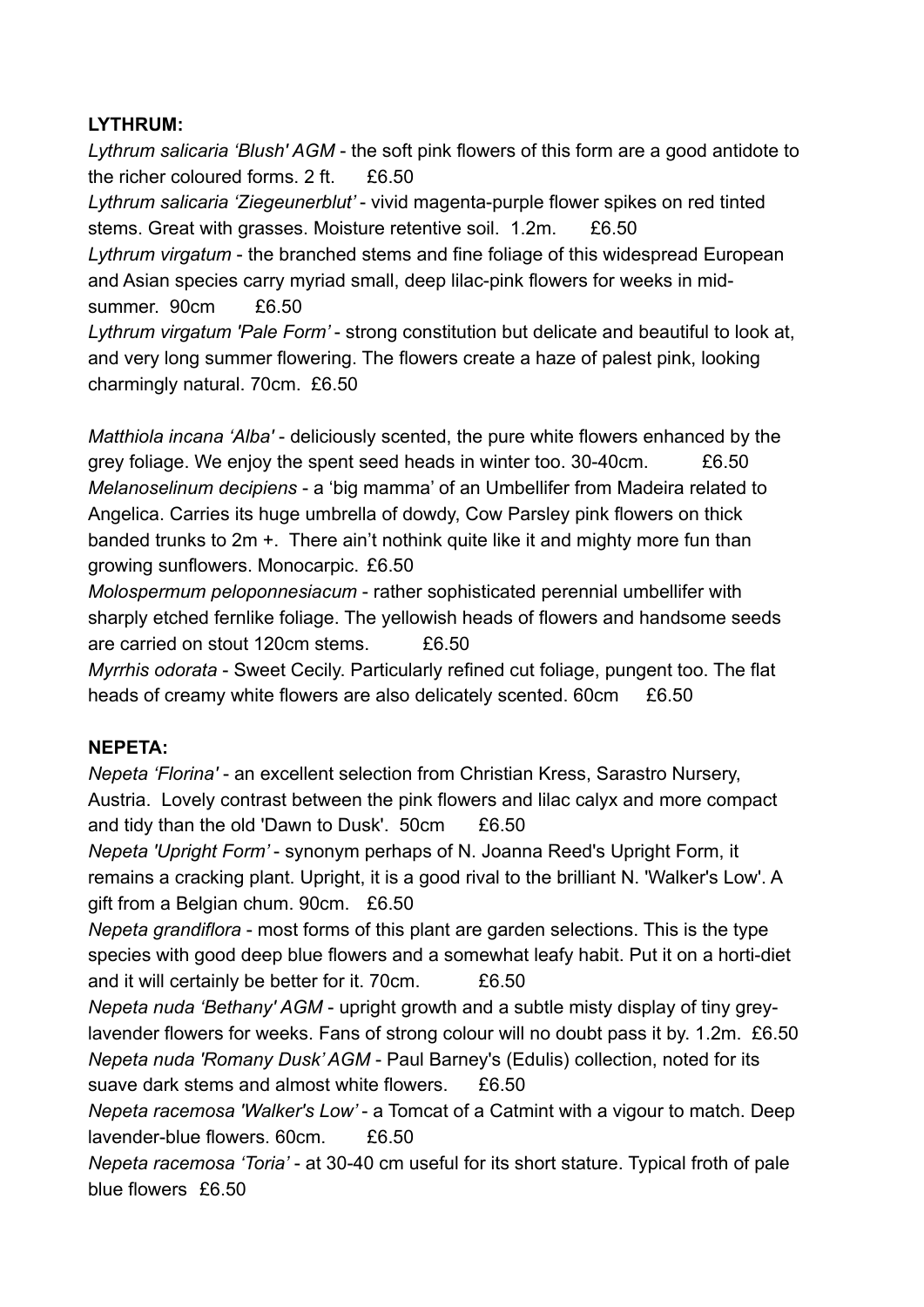#### **LYTHRUM:**

*Lythrum salicaria 'Blush' AGM* - the soft pink flowers of this form are a good antidote to the richer coloured forms. 2 ft. £6.50

*Lythrum salicaria 'Ziegeunerblut'* - vivid magenta-purple flower spikes on red tinted stems. Great with grasses. Moisture retentive soil. 1.2m. £6.50 *Lythrum virgatum* - the branched stems and fine foliage of this widespread European and Asian species carry myriad small, deep lilac-pink flowers for weeks in midsummer. 90cm £6.50

*Lythrum virgatum 'Pale Form'* - strong constitution but delicate and beautiful to look at, and very long summer flowering. The flowers create a haze of palest pink, looking charmingly natural. 70cm. £6.50

*Matthiola incana 'Alba'* - deliciously scented, the pure white flowers enhanced by the grey foliage. We enjoy the spent seed heads in winter too. 30-40cm. £6.50 *Melanoselinum decipiens* - a 'big mamma' of an Umbellifer from Madeira related to Angelica. Carries its huge umbrella of dowdy, Cow Parsley pink flowers on thick banded trunks to 2m +. There ain't nothink quite like it and mighty more fun than growing sunflowers. Monocarpic. £6.50

*Molospermum peloponnesiacum* - rather sophisticated perennial umbellifer with sharply etched fernlike foliage. The yellowish heads of flowers and handsome seeds are carried on stout 120cm stems. £6.50

*Myrrhis odorata* - Sweet Cecily. Particularly refined cut foliage, pungent too. The flat heads of creamy white flowers are also delicately scented. 60cm £6.50

## **NEPETA:**

*Nepeta 'Florina'* - an excellent selection from Christian Kress, Sarastro Nursery, Austria. Lovely contrast between the pink flowers and lilac calyx and more compact and tidy than the old 'Dawn to Dusk'. 50cm £6.50 *Nepeta 'Upright Form'* - synonym perhaps of N. Joanna Reed's Upright Form, it remains a cracking plant. Upright, it is a good rival to the brilliant N. 'Walker's Low'. A gift from a Belgian chum. 90cm. £6.50 *Nepeta grandiflora* - most forms of this plant are garden selections. This is the type species with good deep blue flowers and a somewhat leafy habit. Put it on a horti-diet and it will certainly be better for it. 70cm. £6.50 *Nepeta nuda 'Bethany' AGM* - upright growth and a subtle misty display of tiny greylavender flowers for weeks. Fans of strong colour will no doubt pass it by. 1.2m. £6.50 *Nepeta nuda 'Romany Dusk' AGM* - Paul Barney's (Edulis) collection, noted for its suave dark stems and almost white flowers. £6.50 *Nepeta racemosa 'Walker's Low'* - a Tomcat of a Catmint with a vigour to match. Deep lavender-blue flowers. 60cm. £6.50

*Nepeta racemosa 'Toria'* - at 30-40 cm useful for its short stature. Typical froth of pale blue flowers £6.50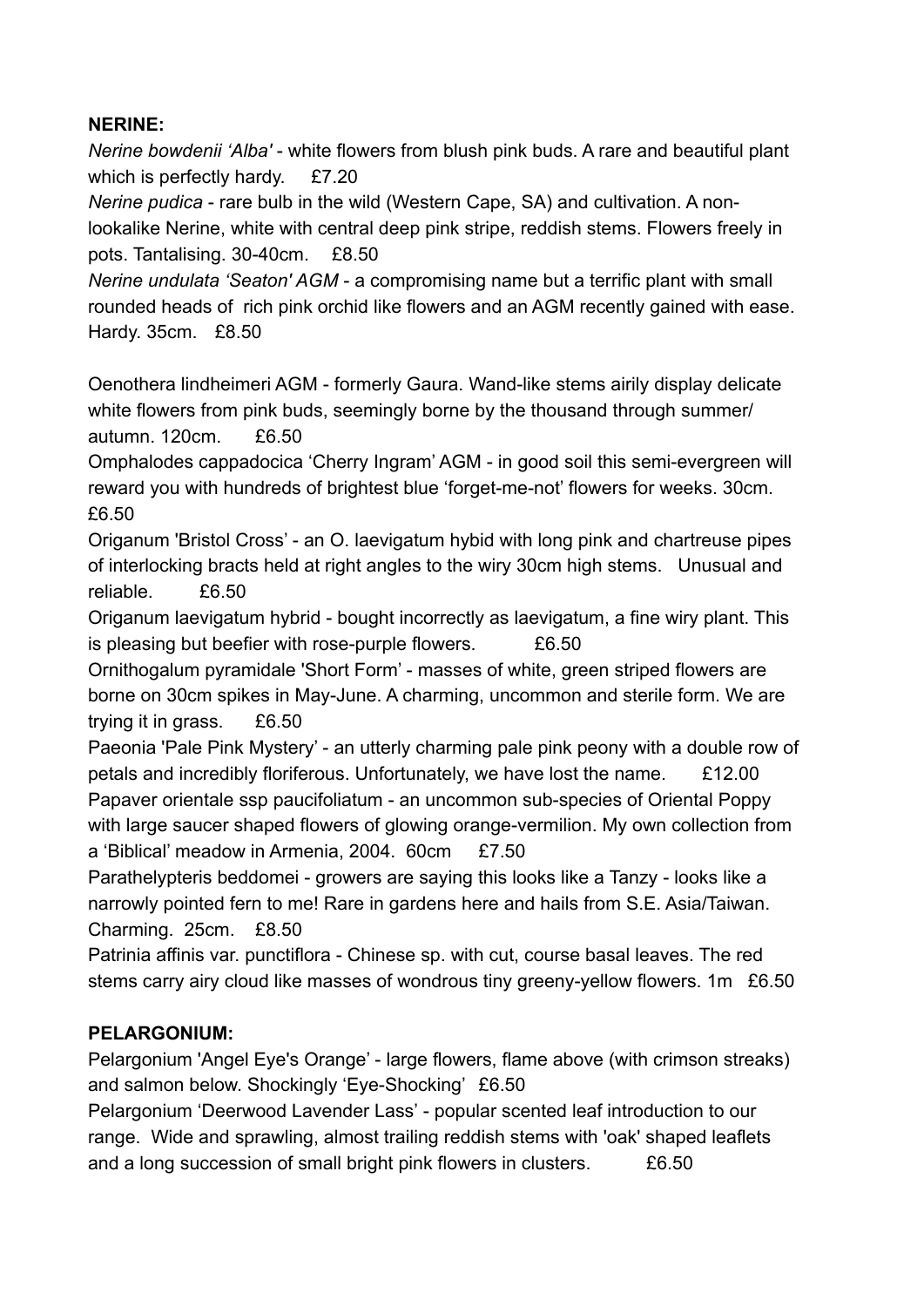#### **NERINE:**

*Nerine bowdenii 'Alba'* - white flowers from blush pink buds. A rare and beautiful plant which is perfectly hardy. £7.20

*Nerine pudica* - rare bulb in the wild (Western Cape, SA) and cultivation. A nonlookalike Nerine, white with central deep pink stripe, reddish stems. Flowers freely in pots. Tantalising. 30-40cm. £8.50

*Nerine undulata 'Seaton' AGM* - a compromising name but a terrific plant with small rounded heads of rich pink orchid like flowers and an AGM recently gained with ease. Hardy. 35cm. £8.50

Oenothera lindheimeri AGM - formerly Gaura. Wand-like stems airily display delicate white flowers from pink buds, seemingly borne by the thousand through summer/ autumn. 120cm. £6.50

Omphalodes cappadocica 'Cherry Ingram' AGM - in good soil this semi-evergreen will reward you with hundreds of brightest blue 'forget-me-not' flowers for weeks. 30cm. £6.50

Origanum 'Bristol Cross' - an O. laevigatum hybid with long pink and chartreuse pipes of interlocking bracts held at right angles to the wiry 30cm high stems. Unusual and reliable. £6.50

Origanum laevigatum hybrid - bought incorrectly as laevigatum, a fine wiry plant. This is pleasing but beefier with rose-purple flowers.  $£6.50$ 

Ornithogalum pyramidale 'Short Form' - masses of white, green striped flowers are borne on 30cm spikes in May-June. A charming, uncommon and sterile form. We are trying it in grass. £6.50

Paeonia 'Pale Pink Mystery' - an utterly charming pale pink peony with a double row of petals and incredibly floriferous. Unfortunately, we have lost the name. £12.00 Papaver orientale ssp paucifoliatum - an uncommon sub-species of Oriental Poppy with large saucer shaped flowers of glowing orange-vermilion. My own collection from

a 'Biblical' meadow in Armenia, 2004. 60cm £7.50

Parathelypteris beddomei - growers are saying this looks like a Tanzy - looks like a narrowly pointed fern to me! Rare in gardens here and hails from S.E. Asia/Taiwan. Charming. 25cm. £8.50

Patrinia affinis var. punctiflora - Chinese sp. with cut, course basal leaves. The red stems carry airy cloud like masses of wondrous tiny greeny-yellow flowers. 1m £6.50

#### **PELARGONIUM:**

Pelargonium 'Angel Eye's Orange' - large flowers, flame above (with crimson streaks) and salmon below. Shockingly 'Eye-Shocking' £6.50

Pelargonium 'Deerwood Lavender Lass' - popular scented leaf introduction to our range. Wide and sprawling, almost trailing reddish stems with 'oak' shaped leaflets and a long succession of small bright pink flowers in clusters.  $\overline{E6.50}$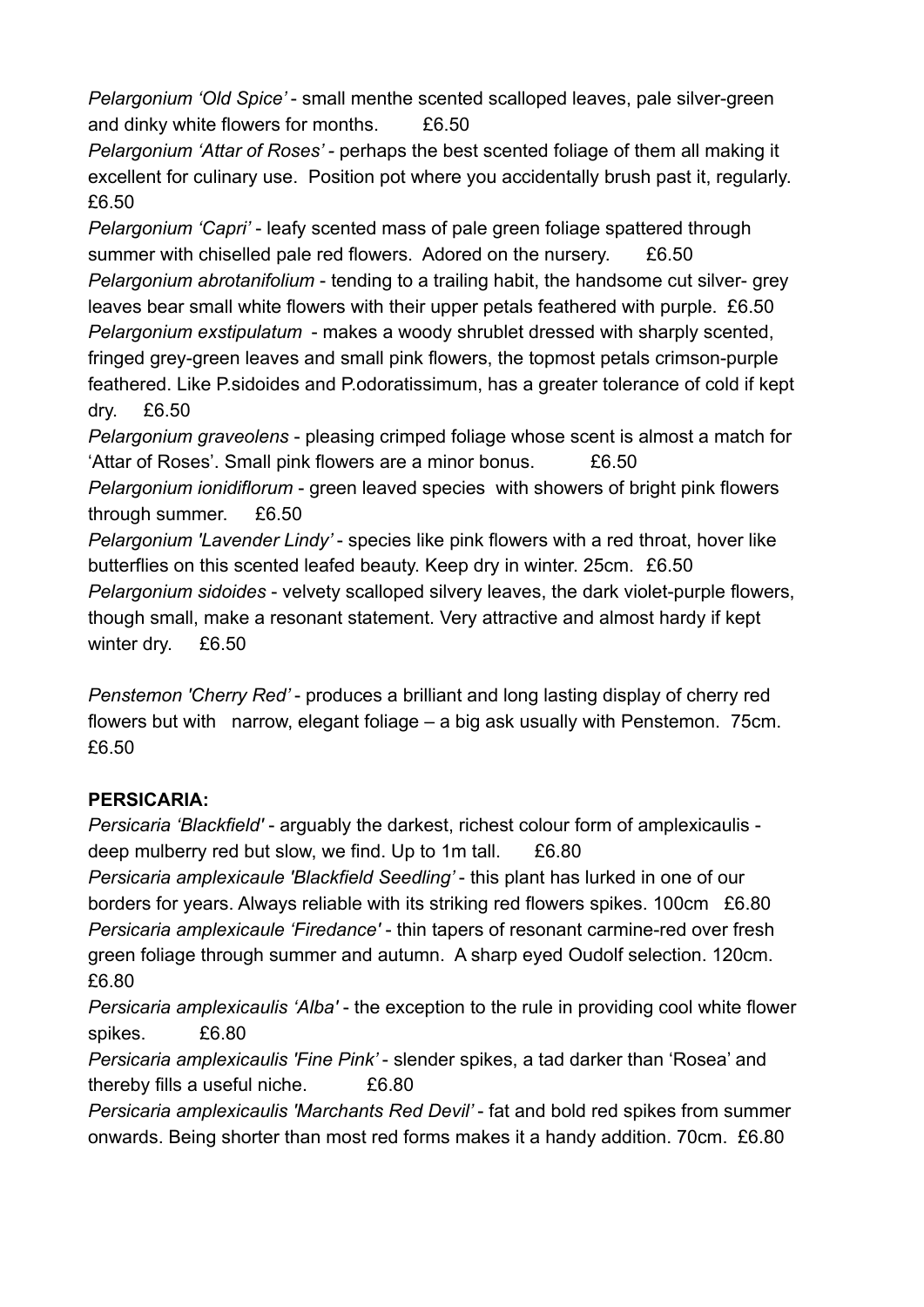*Pelargonium 'Old Spice'* - small menthe scented scalloped leaves, pale silver-green and dinky white flowers for months. £6.50

*Pelargonium 'Attar of Roses' -* perhaps the best scented foliage of them all making it excellent for culinary use. Position pot where you accidentally brush past it, regularly. £6.50

*Pelargonium 'Capri'* - leafy scented mass of pale green foliage spattered through summer with chiselled pale red flowers. Adored on the nursery. £6.50 *Pelargonium abrotanifolium* - tending to a trailing habit, the handsome cut silver- grey leaves bear small white flowers with their upper petals feathered with purple. £6.50 *Pelargonium exstipulatum* - makes a woody shrublet dressed with sharply scented, fringed grey-green leaves and small pink flowers, the topmost petals crimson-purple feathered. Like P.sidoides and P.odoratissimum, has a greater tolerance of cold if kept dry. £6.50

*Pelargonium graveolens* - pleasing crimped foliage whose scent is almost a match for 'Attar of Roses'. Small pink flowers are a minor bonus. £6.50

*Pelargonium ionidiflorum* - green leaved species with showers of bright pink flowers through summer. £6.50

*Pelargonium 'Lavender Lindy'* - species like pink flowers with a red throat, hover like butterflies on this scented leafed beauty. Keep dry in winter. 25cm. £6.50 *Pelargonium sidoides* - velvety scalloped silvery leaves, the dark violet-purple flowers, though small, make a resonant statement. Very attractive and almost hardy if kept winter dry. £6.50

*Penstemon 'Cherry Red'* - produces a brilliant and long lasting display of cherry red flowers but with narrow, elegant foliage – a big ask usually with Penstemon. 75cm. £6.50

## **PERSICARIA:**

*Persicaria 'Blackfield'* - arguably the darkest, richest colour form of amplexicaulis deep mulberry red but slow, we find. Up to 1m tall.  $£6.80$ 

*Persicaria amplexicaule 'Blackfield Seedling'* - this plant has lurked in one of our borders for years. Always reliable with its striking red flowers spikes. 100cm £6.80 *Persicaria amplexicaule 'Firedance'* - thin tapers of resonant carmine-red over fresh green foliage through summer and autumn. A sharp eyed Oudolf selection. 120cm. £6.80

*Persicaria amplexicaulis 'Alba'* - the exception to the rule in providing cool white flower spikes. £6.80

*Persicaria amplexicaulis 'Fine Pink'* - slender spikes, a tad darker than 'Rosea' and thereby fills a useful niche. £6.80

*Persicaria amplexicaulis 'Marchants Red Devil'* - fat and bold red spikes from summer onwards. Being shorter than most red forms makes it a handy addition. 70cm. £6.80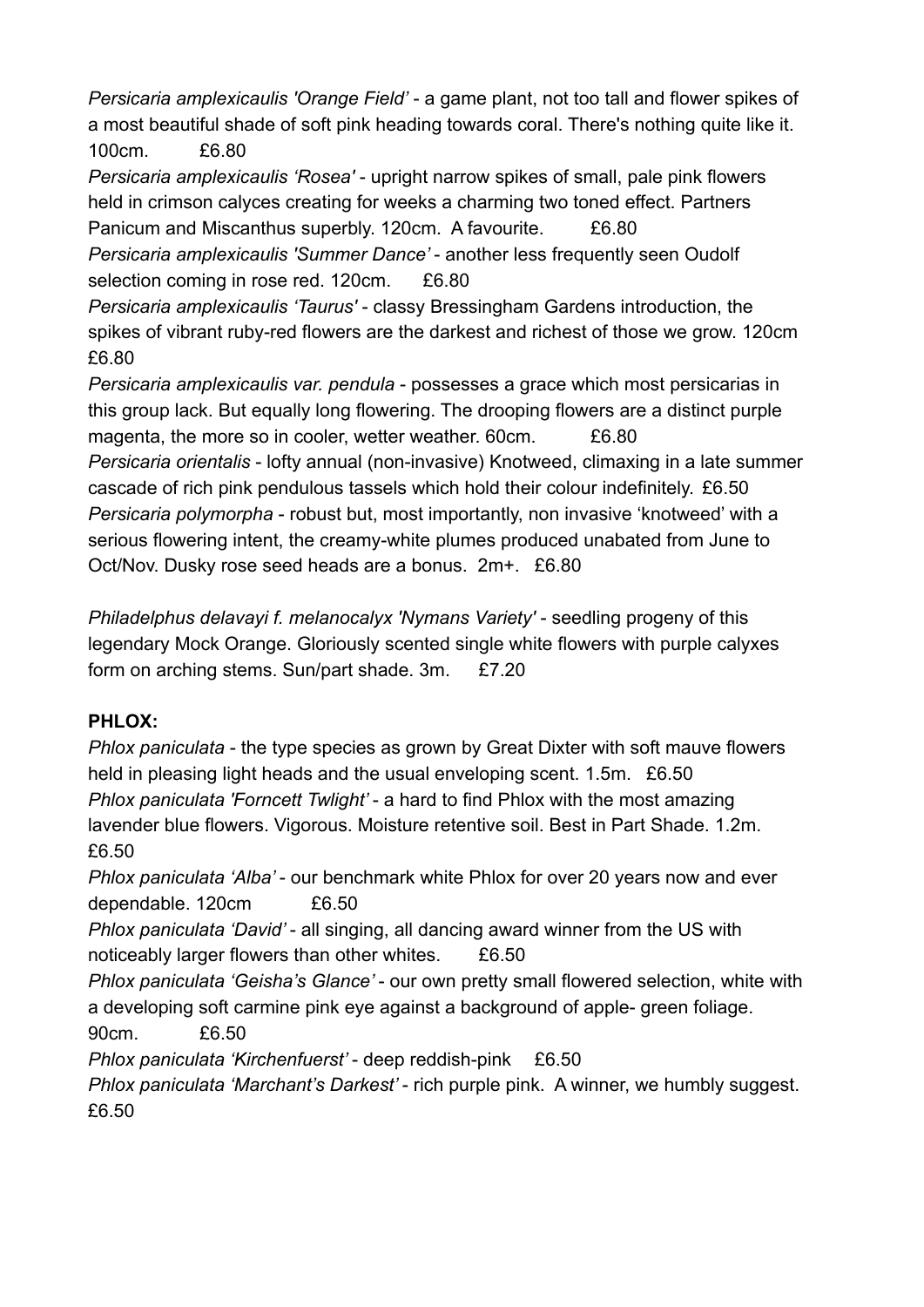*Persicaria amplexicaulis 'Orange Field'* - a game plant, not too tall and flower spikes of a most beautiful shade of soft pink heading towards coral. There's nothing quite like it. 100cm. £6.80

*Persicaria amplexicaulis 'Rosea'* - upright narrow spikes of small, pale pink flowers held in crimson calyces creating for weeks a charming two toned effect. Partners Panicum and Miscanthus superbly. 120cm. A favourite. £6.80 *Persicaria amplexicaulis 'Summer Dance'* - another less frequently seen Oudolf

selection coming in rose red. 120cm. £6.80

*Persicaria amplexicaulis 'Taurus'* - classy Bressingham Gardens introduction, the spikes of vibrant ruby-red flowers are the darkest and richest of those we grow. 120cm £6.80

*Persicaria amplexicaulis var. pendula* - possesses a grace which most persicarias in this group lack. But equally long flowering. The drooping flowers are a distinct purple magenta, the more so in cooler, wetter weather, 60cm. £6.80 *Persicaria orientalis* - lofty annual (non-invasive) Knotweed, climaxing in a late summer cascade of rich pink pendulous tassels which hold their colour indefinitely. £6.50 *Persicaria polymorpha* - robust but, most importantly, non invasive 'knotweed' with a serious flowering intent, the creamy-white plumes produced unabated from June to Oct/Nov. Dusky rose seed heads are a bonus. 2m+. £6.80

*Philadelphus delavayi f. melanocalyx 'Nymans Variety'* - seedling progeny of this legendary Mock Orange. Gloriously scented single white flowers with purple calyxes form on arching stems. Sun/part shade. 3m. £7.20

## **PHLOX:**

*Phlox paniculata* - the type species as grown by Great Dixter with soft mauve flowers held in pleasing light heads and the usual enveloping scent. 1.5m. £6.50 *Phlox paniculata 'Forncett Twlight'* - a hard to find Phlox with the most amazing lavender blue flowers. Vigorous. Moisture retentive soil. Best in Part Shade. 1.2m. £6.50

*Phlox paniculata 'Alba'* - our benchmark white Phlox for over 20 years now and ever dependable. 120cm £6.50

*Phlox paniculata 'David'* - all singing, all dancing award winner from the US with noticeably larger flowers than other whites. £6.50

*Phlox paniculata 'Geisha's Glance'* - our own pretty small flowered selection, white with a developing soft carmine pink eye against a background of apple- green foliage. 90cm. £6.50

*Phlox paniculata 'Kirchenfuerst'* - deep reddish-pink £6.50

*Phlox paniculata 'Marchant's Darkest'* - rich purple pink. A winner, we humbly suggest. £6.50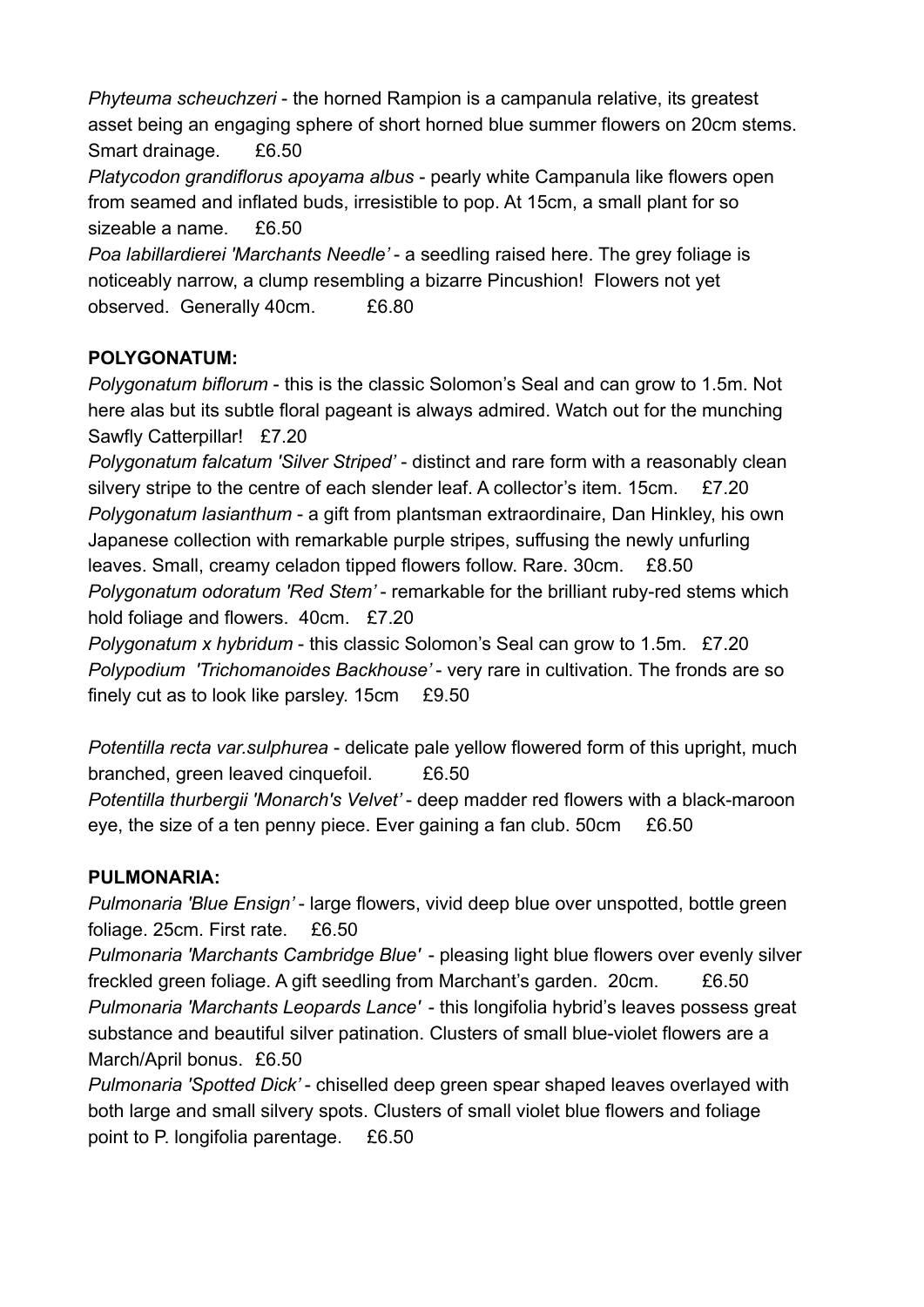*Phyteuma scheuchzeri* - the horned Rampion is a campanula relative, its greatest asset being an engaging sphere of short horned blue summer flowers on 20cm stems. Smart drainage. £6.50

*Platycodon grandiflorus apoyama albus* - pearly white Campanula like flowers open from seamed and inflated buds, irresistible to pop. At 15cm, a small plant for so sizeable a name. £6.50

*Poa labillardierei 'Marchants Needle'* - a seedling raised here. The grey foliage is noticeably narrow, a clump resembling a bizarre Pincushion! Flowers not yet observed. Generally 40cm. £6.80

### **POLYGONATUM:**

*Polygonatum biflorum* - this is the classic Solomon's Seal and can grow to 1.5m. Not here alas but its subtle floral pageant is always admired. Watch out for the munching Sawfly Catterpillar! £7.20

*Polygonatum falcatum 'Silver Striped'* - distinct and rare form with a reasonably clean silvery stripe to the centre of each slender leaf. A collector's item. 15cm. £7.20 *Polygonatum lasianthum* - a gift from plantsman extraordinaire, Dan Hinkley, his own Japanese collection with remarkable purple stripes, suffusing the newly unfurling leaves. Small, creamy celadon tipped flowers follow. Rare. 30cm. £8.50 *Polygonatum odoratum 'Red Stem'* - remarkable for the brilliant ruby-red stems which hold foliage and flowers. 40cm. £7.20

*Polygonatum x hybridum* - this classic Solomon's Seal can grow to 1.5m. £7.20 *Polypodium 'Trichomanoides Backhouse'* - very rare in cultivation. The fronds are so finely cut as to look like parsley. 15cm £9.50

*Potentilla recta var.sulphurea* - delicate pale yellow flowered form of this upright, much branched, green leaved cinquefoil. £6.50 *Potentilla thurbergii 'Monarch's Velvet'* - deep madder red flowers with a black-maroon eye, the size of a ten penny piece. Ever gaining a fan club. 50cm £6.50

## **PULMONARIA:**

*Pulmonaria 'Blue Ensign'* - large flowers, vivid deep blue over unspotted, bottle green foliage. 25cm. First rate. £6.50

*Pulmonaria 'Marchants Cambridge Blue'* - pleasing light blue flowers over evenly silver freckled green foliage. A gift seedling from Marchant's garden. 20cm. £6.50 *Pulmonaria 'Marchants Leopards Lance'* - this longifolia hybrid's leaves possess great substance and beautiful silver patination. Clusters of small blue-violet flowers are a March/April bonus. £6.50

*Pulmonaria 'Spotted Dick'* - chiselled deep green spear shaped leaves overlayed with both large and small silvery spots. Clusters of small violet blue flowers and foliage point to P. longifolia parentage. £6.50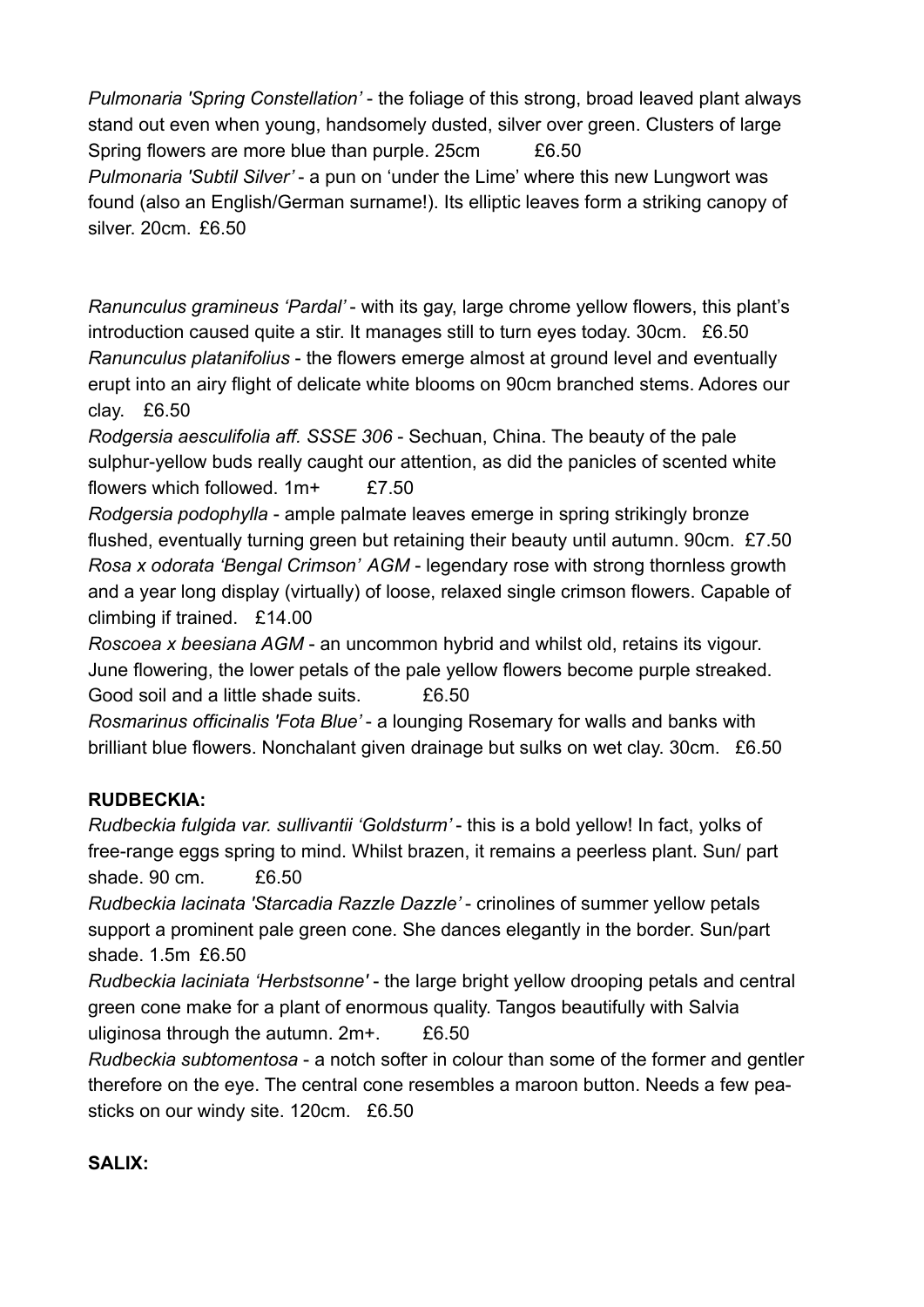*Pulmonaria 'Spring Constellation'* - the foliage of this strong, broad leaved plant always stand out even when young, handsomely dusted, silver over green. Clusters of large Spring flowers are more blue than purple. 25cm £6.50 *Pulmonaria 'Subtil Silver'* - a pun on 'under the Lime' where this new Lungwort was found (also an English/German surname!). Its elliptic leaves form a striking canopy of silver. 20cm. £6.50

*Ranunculus gramineus 'Pardal'* - with its gay, large chrome yellow flowers, this plant's introduction caused quite a stir. It manages still to turn eyes today. 30cm. £6.50 *Ranunculus platanifolius* - the flowers emerge almost at ground level and eventually erupt into an airy flight of delicate white blooms on 90cm branched stems. Adores our clay. £6.50

*Rodgersia aesculifolia aff. SSSE 306* - Sechuan, China. The beauty of the pale sulphur-yellow buds really caught our attention, as did the panicles of scented white flowers which followed  $1m+$   $f7.50$ 

*Rodgersia podophylla* - ample palmate leaves emerge in spring strikingly bronze flushed, eventually turning green but retaining their beauty until autumn. 90cm. £7.50 *Rosa x odorata 'Bengal Crimson' AGM* - legendary rose with strong thornless growth and a year long display (virtually) of loose, relaxed single crimson flowers. Capable of climbing if trained. £14.00

*Roscoea x beesiana AGM* - an uncommon hybrid and whilst old, retains its vigour. June flowering, the lower petals of the pale yellow flowers become purple streaked. Good soil and a little shade suits. £6.50

*Rosmarinus officinalis 'Fota Blue'* - a lounging Rosemary for walls and banks with brilliant blue flowers. Nonchalant given drainage but sulks on wet clay. 30cm. £6.50

## **RUDBECKIA:**

*Rudbeckia fulgida var. sullivantii 'Goldsturm'* - this is a bold yellow! In fact, yolks of free-range eggs spring to mind. Whilst brazen, it remains a peerless plant. Sun/ part shade. 90 cm. £6.50

*Rudbeckia lacinata 'Starcadia Razzle Dazzle'* - crinolines of summer yellow petals support a prominent pale green cone. She dances elegantly in the border. Sun/part shade. 1.5m £6.50

*Rudbeckia laciniata 'Herbstsonne'* - the large bright yellow drooping petals and central green cone make for a plant of enormous quality. Tangos beautifully with Salvia uliginosa through the autumn.  $2m+$ .  $£6.50$ 

*Rudbeckia subtomentosa* - a notch softer in colour than some of the former and gentler therefore on the eye. The central cone resembles a maroon button. Needs a few peasticks on our windy site. 120cm. £6.50

#### **SALIX:**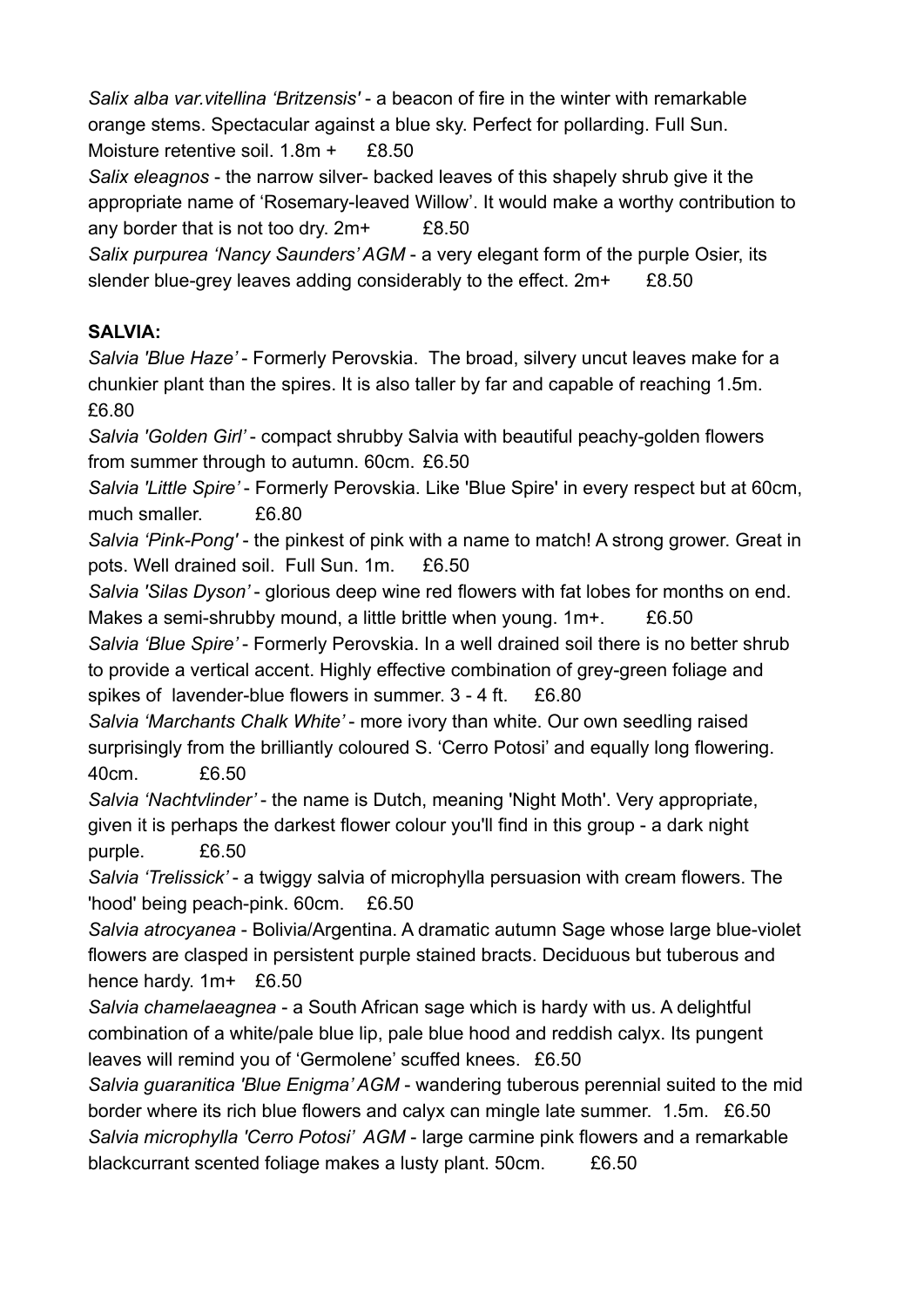*Salix alba var.vitellina 'Britzensis'* - a beacon of fire in the winter with remarkable orange stems. Spectacular against a blue sky. Perfect for pollarding. Full Sun. Moisture retentive soil. 1.8m + £8.50

*Salix eleagnos* - the narrow silver- backed leaves of this shapely shrub give it the appropriate name of 'Rosemary-leaved Willow'. It would make a worthy contribution to any border that is not too dry. 2m+ £8.50

*Salix purpurea 'Nancy Saunders' AGM* - a very elegant form of the purple Osier, its slender blue-grey leaves adding considerably to the effect.  $2m+$  £8.50

# **SALVIA:**

*Salvia 'Blue Haze'* - Formerly Perovskia. The broad, silvery uncut leaves make for a chunkier plant than the spires. It is also taller by far and capable of reaching 1.5m. £6.80

*Salvia 'Golden Girl'* - compact shrubby Salvia with beautiful peachy-golden flowers from summer through to autumn. 60cm. £6.50

*Salvia 'Little Spire'* - Formerly Perovskia. Like 'Blue Spire' in every respect but at 60cm, much smaller. £6.80

*Salvia 'Pink-Pong'* - the pinkest of pink with a name to match! A strong grower. Great in pots. Well drained soil. Full Sun. 1m. £6.50

*Salvia 'Silas Dyson'* - glorious deep wine red flowers with fat lobes for months on end. Makes a semi-shrubby mound, a little brittle when young. 1m+. £6.50

*Salvia 'Blue Spire'* - Formerly Perovskia. In a well drained soil there is no better shrub to provide a vertical accent. Highly effective combination of grey-green foliage and spikes of lavender-blue flowers in summer. 3 - 4 ft. £6.80

*Salvia 'Marchants Chalk White'* - more ivory than white. Our own seedling raised surprisingly from the brilliantly coloured S. 'Cerro Potosi' and equally long flowering. 40cm. £6.50

*Salvia 'Nachtvlinder'* - the name is Dutch, meaning 'Night Moth'. Very appropriate, given it is perhaps the darkest flower colour you'll find in this group - a dark night purple. £6.50

*Salvia 'Trelissick'* - a twiggy salvia of microphylla persuasion with cream flowers. The 'hood' being peach-pink. 60cm. £6.50

*Salvia atrocyanea* - Bolivia/Argentina. A dramatic autumn Sage whose large blue-violet flowers are clasped in persistent purple stained bracts. Deciduous but tuberous and hence hardy. 1m+ £6.50

*Salvia chamelaeagnea* - a South African sage which is hardy with us. A delightful combination of a white/pale blue lip, pale blue hood and reddish calyx. Its pungent leaves will remind you of 'Germolene' scuffed knees. £6.50

*Salvia guaranitica 'Blue Enigma' AGM* - wandering tuberous perennial suited to the mid border where its rich blue flowers and calyx can mingle late summer. 1.5m. £6.50 *Salvia microphylla 'Cerro Potosi' AGM* - large carmine pink flowers and a remarkable blackcurrant scented foliage makes a lusty plant. 50cm. £6.50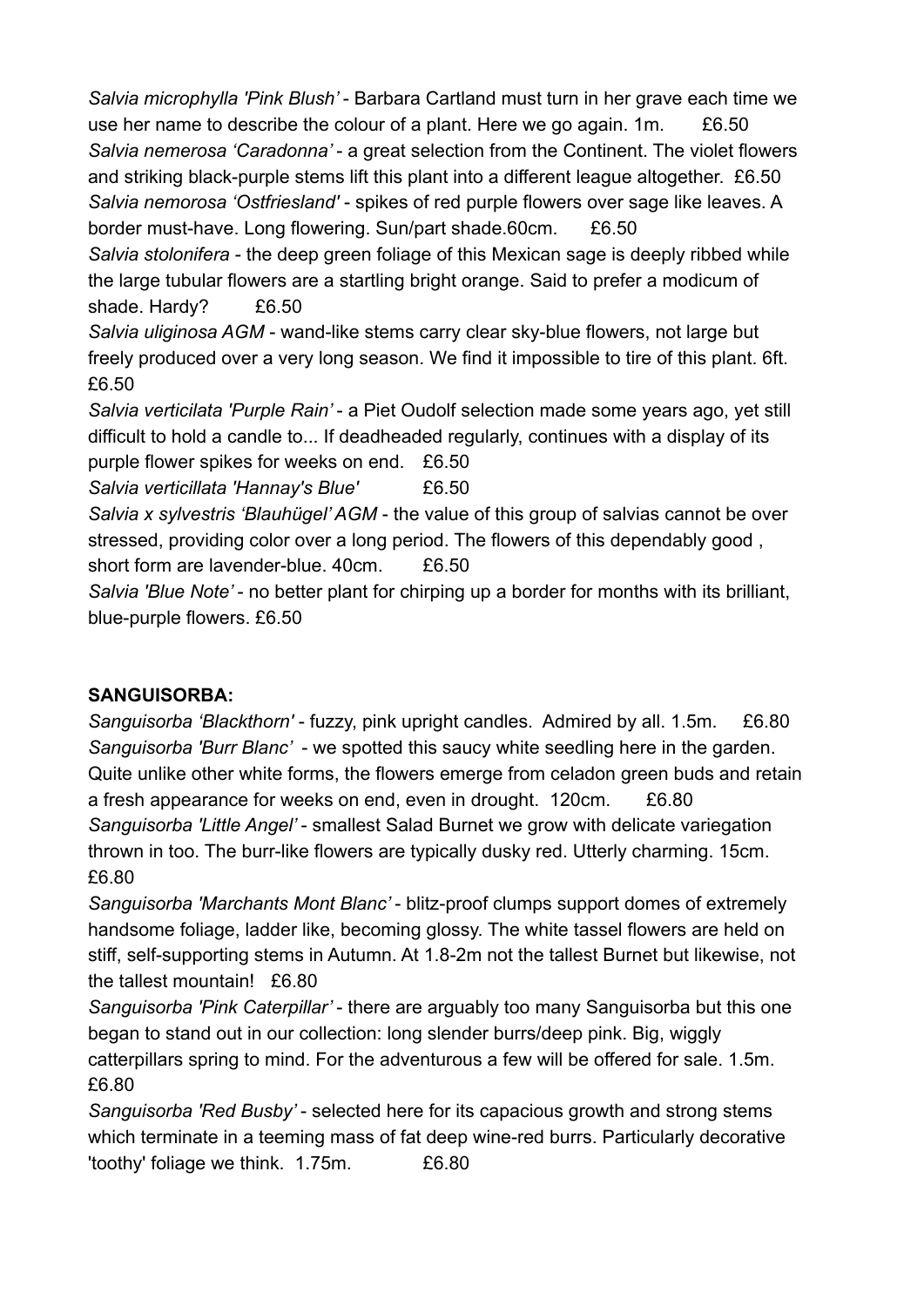*Salvia microphylla 'Pink Blush'* - Barbara Cartland must turn in her grave each time we use her name to describe the colour of a plant. Here we go again. 1m. £6.50 *Salvia nemerosa 'Caradonna'* - a great selection from the Continent. The violet flowers and striking black-purple stems lift this plant into a different league altogether. £6.50 *Salvia nemorosa 'Ostfriesland'* - spikes of red purple flowers over sage like leaves. A border must-have. Long flowering. Sun/part shade.60cm. £6.50

*Salvia stolonifera* - the deep green foliage of this Mexican sage is deeply ribbed while the large tubular flowers are a startling bright orange. Said to prefer a modicum of shade. Hardy? £6.50

*Salvia uliginosa AGM* - wand-like stems carry clear sky-blue flowers, not large but freely produced over a very long season. We find it impossible to tire of this plant. 6ft. £6.50

*Salvia verticilata 'Purple Rain'* - a Piet Oudolf selection made some years ago, yet still difficult to hold a candle to... If deadheaded regularly, continues with a display of its

purple flower spikes for weeks on end. £6.50

*Salvia verticillata 'Hannay's Blue'* £6.50

*Salvia x sylvestris 'Blauhügel' AGM* - the value of this group of salvias cannot be over stressed, providing color over a long period. The flowers of this dependably good , short form are lavender-blue. 40cm. £6.50

*Salvia 'Blue Note'* - no better plant for chirping up a border for months with its brilliant, blue-purple flowers. £6.50

## **SANGUISORBA:**

*Sanguisorba 'Blackthorn'* - fuzzy, pink upright candles. Admired by all. 1.5m. £6.80 *Sanguisorba 'Burr Blanc'* - we spotted this saucy white seedling here in the garden. Quite unlike other white forms, the flowers emerge from celadon green buds and retain a fresh appearance for weeks on end, even in drought. 120cm. £6.80 *Sanguisorba 'Little Angel'* - smallest Salad Burnet we grow with delicate variegation thrown in too. The burr-like flowers are typically dusky red. Utterly charming. 15cm. £6.80

*Sanguisorba 'Marchants Mont Blanc'* - blitz-proof clumps support domes of extremely handsome foliage, ladder like, becoming glossy. The white tassel flowers are held on stiff, self-supporting stems in Autumn. At 1.8-2m not the tallest Burnet but likewise, not the tallest mountain! £6.80

*Sanguisorba 'Pink Caterpillar'* - there are arguably too many Sanguisorba but this one began to stand out in our collection: long slender burrs/deep pink. Big, wiggly catterpillars spring to mind. For the adventurous a few will be offered for sale. 1.5m. £6.80

*Sanguisorba 'Red Busby'* - selected here for its capacious growth and strong stems which terminate in a teeming mass of fat deep wine-red burrs. Particularly decorative 'toothy' foliage we think. 1.75m. £6.80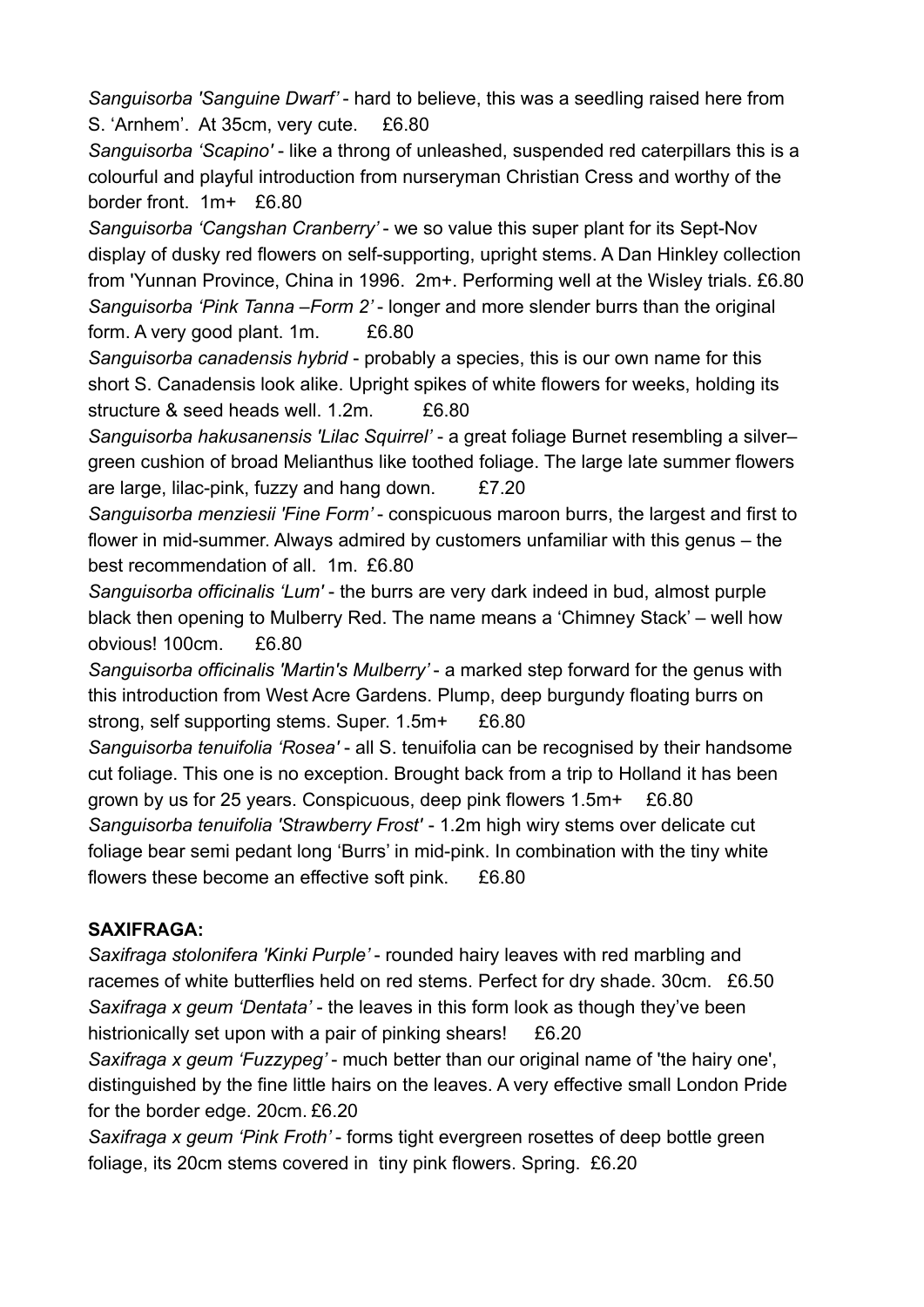*Sanguisorba 'Sanguine Dwarf'* - hard to believe, this was a seedling raised here from S. 'Arnhem'. At 35cm, very cute. £6.80

*Sanguisorba 'Scapino'* - like a throng of unleashed, suspended red caterpillars this is a colourful and playful introduction from nurseryman Christian Cress and worthy of the border front. 1m+ £6.80

*Sanguisorba 'Cangshan Cranberry'* - we so value this super plant for its Sept-Nov display of dusky red flowers on self-supporting, upright stems. A Dan Hinkley collection from 'Yunnan Province, China in 1996. 2m+. Performing well at the Wisley trials. £6.80 *Sanguisorba 'Pink Tanna –Form 2'* - longer and more slender burrs than the original form. A very good plant. 1m. £6.80

*Sanguisorba canadensis hybrid* - probably a species, this is our own name for this short S. Canadensis look alike. Upright spikes of white flowers for weeks, holding its structure & seed heads well. 1.2m. £6.80

*Sanguisorba hakusanensis 'Lilac Squirrel'* - a great foliage Burnet resembling a silver– green cushion of broad Melianthus like toothed foliage. The large late summer flowers are large, lilac-pink, fuzzy and hang down. £7.20

*Sanguisorba menziesii 'Fine Form'* - conspicuous maroon burrs, the largest and first to flower in mid-summer. Always admired by customers unfamiliar with this genus – the best recommendation of all. 1m. £6.80

*Sanguisorba officinalis 'Lum'* - the burrs are very dark indeed in bud, almost purple black then opening to Mulberry Red. The name means a 'Chimney Stack' – well how obvious! 100cm. £6.80

*Sanguisorba officinalis 'Martin's Mulberry'* - a marked step forward for the genus with this introduction from West Acre Gardens. Plump, deep burgundy floating burrs on strong, self supporting stems. Super. 1.5m+ £6.80

*Sanguisorba tenuifolia 'Rosea'* - all S. tenuifolia can be recognised by their handsome cut foliage. This one is no exception. Brought back from a trip to Holland it has been grown by us for 25 years. Conspicuous, deep pink flowers 1.5m+ £6.80 *Sanguisorba tenuifolia 'Strawberry Frost'* - 1.2m high wiry stems over delicate cut foliage bear semi pedant long 'Burrs' in mid-pink. In combination with the tiny white flowers these become an effective soft pink. £6.80

## **SAXIFRAGA:**

*Saxifraga stolonifera 'Kinki Purple'* - rounded hairy leaves with red marbling and racemes of white butterflies held on red stems. Perfect for dry shade. 30cm. £6.50 *Saxifraga x geum 'Dentata'* - the leaves in this form look as though they've been histrionically set upon with a pair of pinking shears! £6.20

*Saxifraga x geum 'Fuzzypeg'* - much better than our original name of 'the hairy one', distinguished by the fine little hairs on the leaves. A very effective small London Pride for the border edge. 20cm. £6.20

*Saxifraga x geum 'Pink Froth'* - forms tight evergreen rosettes of deep bottle green foliage, its 20cm stems covered in tiny pink flowers. Spring. £6.20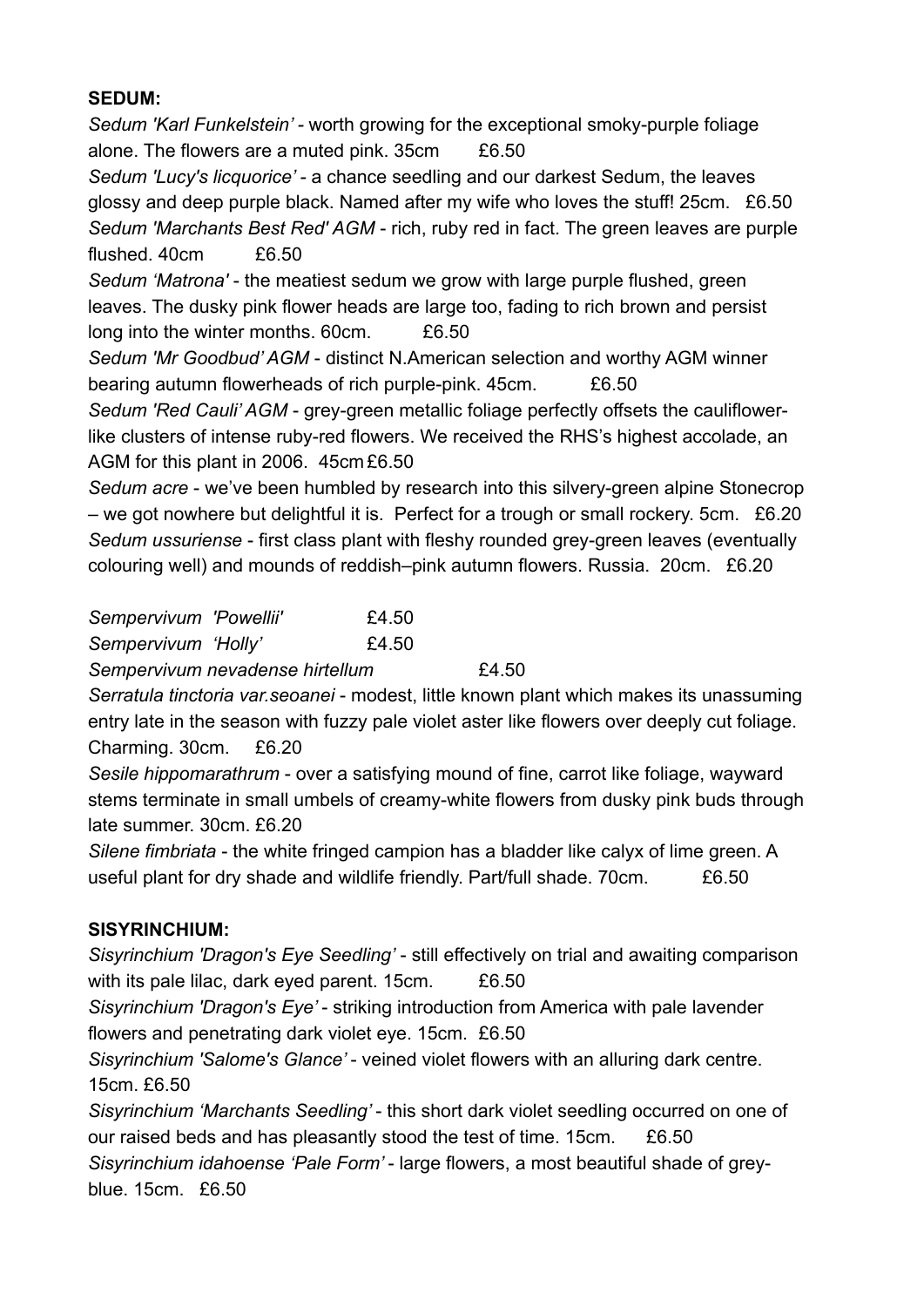#### **SEDUM:**

*Sedum 'Karl Funkelstein' -* worth growing for the exceptional smoky-purple foliage alone. The flowers are a muted pink. 35cm £6.50 *Sedum 'Lucy's licquorice' -* a chance seedling and our darkest Sedum, the leaves glossy and deep purple black. Named after my wife who loves the stuff! 25cm. £6.50 *Sedum 'Marchants Best Red' AGM* - rich, ruby red in fact. The green leaves are purple flushed. 40cm £6.50

*Sedum 'Matrona'* - the meatiest sedum we grow with large purple flushed, green leaves. The dusky pink flower heads are large too, fading to rich brown and persist long into the winter months. 60cm. £6.50

*Sedum 'Mr Goodbud' AGM* - distinct N.American selection and worthy AGM winner bearing autumn flowerheads of rich purple-pink. 45cm. £6.50

*Sedum 'Red Cauli' AGM* - grey-green metallic foliage perfectly offsets the cauliflowerlike clusters of intense ruby-red flowers. We received the RHS's highest accolade, an AGM for this plant in 2006. 45cm £6.50

*Sedum acre* - we've been humbled by research into this silvery-green alpine Stonecrop – we got nowhere but delightful it is. Perfect for a trough or small rockery. 5cm. £6.20 *Sedum ussuriense* - first class plant with fleshy rounded grey-green leaves (eventually colouring well) and mounds of reddish–pink autumn flowers. Russia. 20cm. £6.20

| Sempervivum 'Powellii'          |  | £4.50 |       |
|---------------------------------|--|-------|-------|
| Sempervivum 'Holly'             |  | £4.50 |       |
| Sempervivum nevadense hirtellum |  |       | £4.50 |

*Serratula tinctoria var.seoanei* - modest, little known plant which makes its unassuming entry late in the season with fuzzy pale violet aster like flowers over deeply cut foliage. Charming. 30cm. £6.20

*Sesile hippomarathrum* - over a satisfying mound of fine, carrot like foliage, wayward stems terminate in small umbels of creamy-white flowers from dusky pink buds through late summer. 30cm. £6.20

*Silene fimbriata* - the white fringed campion has a bladder like calyx of lime green. A useful plant for dry shade and wildlife friendly. Part/full shade. 70cm. £6.50

#### **SISYRINCHIUM:**

*Sisyrinchium 'Dragon's Eye Seedling'* - still effectively on trial and awaiting comparison with its pale lilac, dark eyed parent. 15cm. £6.50

*Sisyrinchium 'Dragon's Eye'* - striking introduction from America with pale lavender flowers and penetrating dark violet eye. 15cm. £6.50

*Sisyrinchium 'Salome's Glance'* - veined violet flowers with an alluring dark centre. 15cm. £6.50

*Sisyrinchium 'Marchants Seedling'* - this short dark violet seedling occurred on one of our raised beds and has pleasantly stood the test of time. 15cm. £6.50 *Sisyrinchium idahoense 'Pale Form'* - large flowers, a most beautiful shade of grey-

blue. 15cm. £6.50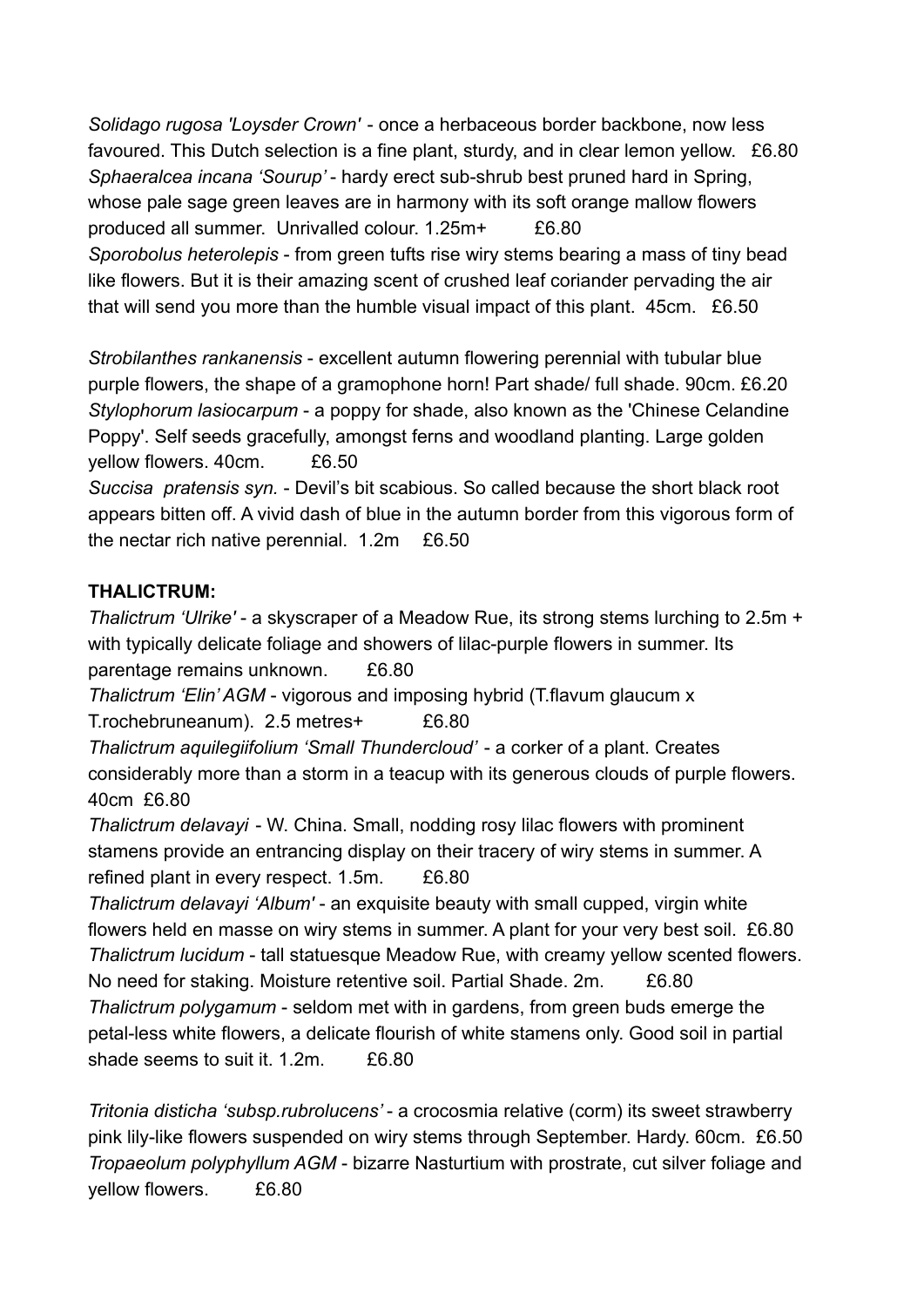*Solidago rugosa 'Loysder Crown'* - once a herbaceous border backbone, now less favoured. This Dutch selection is a fine plant, sturdy, and in clear lemon yellow. £6.80 *Sphaeralcea incana 'Sourup'* - hardy erect sub-shrub best pruned hard in Spring, whose pale sage green leaves are in harmony with its soft orange mallow flowers produced all summer. Unrivalled colour. 1.25m+ £6.80 *Sporobolus heterolepis* - from green tufts rise wiry stems bearing a mass of tiny bead like flowers. But it is their amazing scent of crushed leaf coriander pervading the air that will send you more than the humble visual impact of this plant. 45cm. £6.50

*Strobilanthes rankanensis* - excellent autumn flowering perennial with tubular blue purple flowers, the shape of a gramophone horn! Part shade/ full shade. 90cm. £6.20 *Stylophorum lasiocarpum* - a poppy for shade, also known as the 'Chinese Celandine Poppy'. Self seeds gracefully, amongst ferns and woodland planting. Large golden yellow flowers. 40cm. £6.50

*Succisa pratensis syn.* - Devil's bit scabious. So called because the short black root appears bitten off. A vivid dash of blue in the autumn border from this vigorous form of the nectar rich native perennial. 1.2m £6.50

## **THALICTRUM:**

*Thalictrum 'Ulrike'* - a skyscraper of a Meadow Rue, its strong stems lurching to 2.5m + with typically delicate foliage and showers of lilac-purple flowers in summer. Its parentage remains unknown. £6.80 *Thalictrum 'Elin' AGM* - vigorous and imposing hybrid (T.flavum glaucum x T.rochebruneanum). 2.5 metres+ £6.80 *Thalictrum aquilegiifolium 'Small Thundercloud'* - a corker of a plant. Creates considerably more than a storm in a teacup with its generous clouds of purple flowers. 40cm £6.80 *Thalictrum delavayi* - W. China. Small, nodding rosy lilac flowers with prominent stamens provide an entrancing display on their tracery of wiry stems in summer. A refined plant in every respect. 1.5m. £6.80 *Thalictrum delavayi 'Album'* - an exquisite beauty with small cupped, virgin white flowers held en masse on wiry stems in summer. A plant for your very best soil. £6.80 *Thalictrum lucidum* - tall statuesque Meadow Rue, with creamy yellow scented flowers. No need for staking. Moisture retentive soil. Partial Shade. 2m. £6.80 *Thalictrum polygamum* - seldom met with in gardens, from green buds emerge the petal-less white flowers, a delicate flourish of white stamens only. Good soil in partial shade seems to suit it. 1.2m. £6.80

*Tritonia disticha 'subsp.rubrolucens'* - a crocosmia relative (corm) its sweet strawberry pink lily-like flowers suspended on wiry stems through September. Hardy. 60cm. £6.50 *Tropaeolum polyphyllum AGM* - bizarre Nasturtium with prostrate, cut silver foliage and yellow flowers. £6.80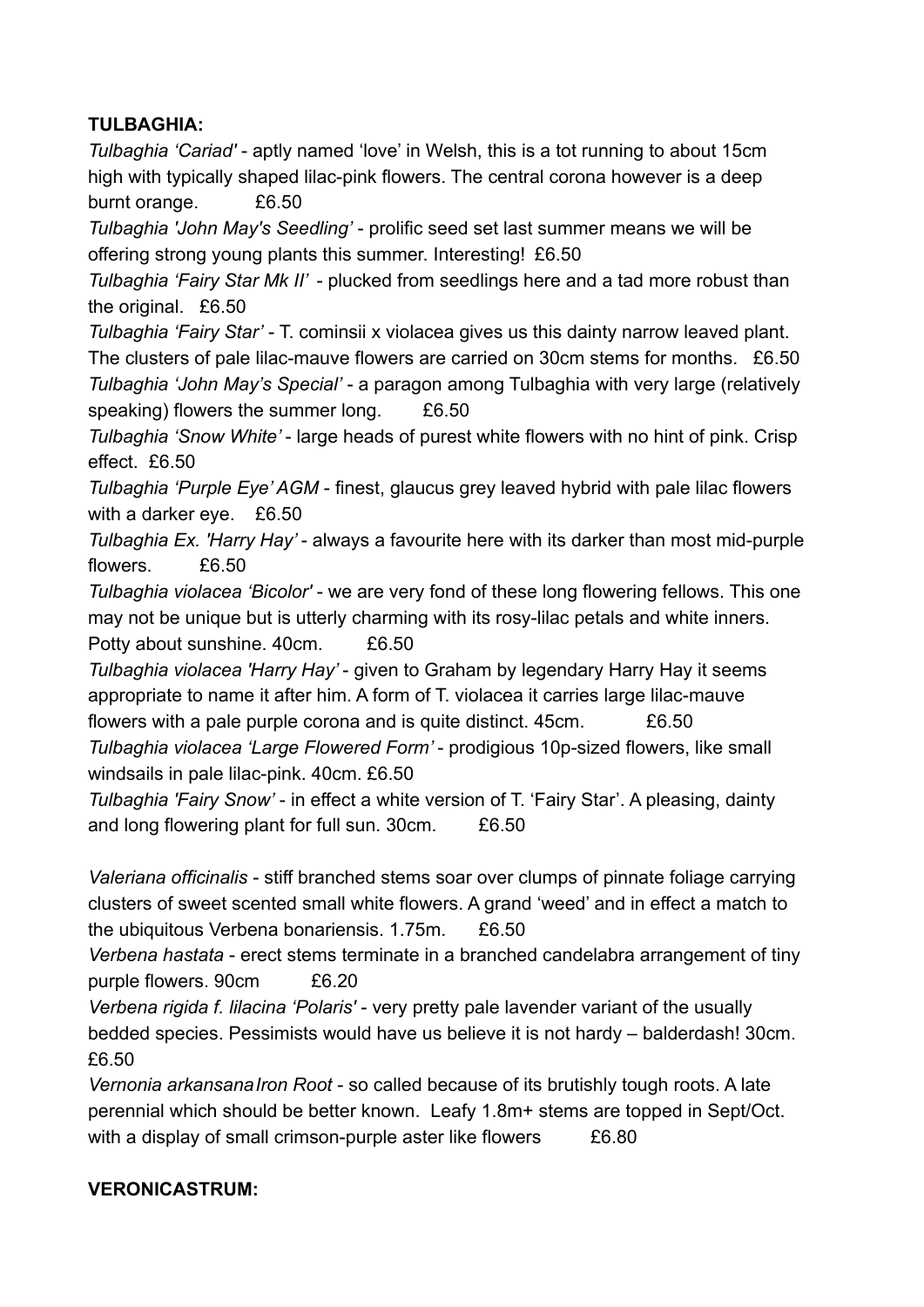## **TULBAGHIA:**

*Tulbaghia 'Cariad'* - aptly named 'love' in Welsh, this is a tot running to about 15cm high with typically shaped lilac-pink flowers. The central corona however is a deep burnt orange. £6.50

*Tulbaghia 'John May's Seedling'* - prolific seed set last summer means we will be offering strong young plants this summer. Interesting! £6.50

*Tulbaghia 'Fairy Star Mk II'* - plucked from seedlings here and a tad more robust than the original. £6.50

*Tulbaghia 'Fairy Star'* - T. cominsii x violacea gives us this dainty narrow leaved plant. The clusters of pale lilac-mauve flowers are carried on 30cm stems for months. £6.50 *Tulbaghia 'John May's Special'* - a paragon among Tulbaghia with very large (relatively speaking) flowers the summer long. £6.50

*Tulbaghia 'Snow White'* - large heads of purest white flowers with no hint of pink. Crisp effect. £6.50

*Tulbaghia 'Purple Eye' AGM* - finest, glaucus grey leaved hybrid with pale lilac flowers with a darker eye. £6.50

*Tulbaghia Ex. 'Harry Hay'* - always a favourite here with its darker than most mid-purple flowers. £6.50

*Tulbaghia violacea 'Bicolor'* - we are very fond of these long flowering fellows. This one may not be unique but is utterly charming with its rosy-lilac petals and white inners.

Potty about sunshine. 40cm. £6.50

*Tulbaghia violacea 'Harry Hay'* - given to Graham by legendary Harry Hay it seems appropriate to name it after him. A form of T. violacea it carries large lilac-mauve flowers with a pale purple corona and is quite distinct. 45cm. £6.50

*Tulbaghia violacea 'Large Flowered Form'* - prodigious 10p-sized flowers, like small windsails in pale lilac-pink. 40cm. £6.50

*Tulbaghia 'Fairy Snow'* - in effect a white version of T. 'Fairy Star'. A pleasing, dainty and long flowering plant for full sun. 30cm. £6.50

*Valeriana officinalis* - stiff branched stems soar over clumps of pinnate foliage carrying clusters of sweet scented small white flowers. A grand 'weed' and in effect a match to the ubiquitous Verbena bonariensis. 1.75m. £6.50

*Verbena hastata* - erect stems terminate in a branched candelabra arrangement of tiny purple flowers. 90cm £6.20

*Verbena rigida f. lilacina 'Polaris'* - very pretty pale lavender variant of the usually bedded species. Pessimists would have us believe it is not hardy – balderdash! 30cm. £6.50

*Vernonia arkansanaIron Root* - so called because of its brutishly tough roots. A late perennial which should be better known. Leafy 1.8m+ stems are topped in Sept/Oct. with a display of small crimson-purple aster like flowers E6.80

## **VERONICASTRUM:**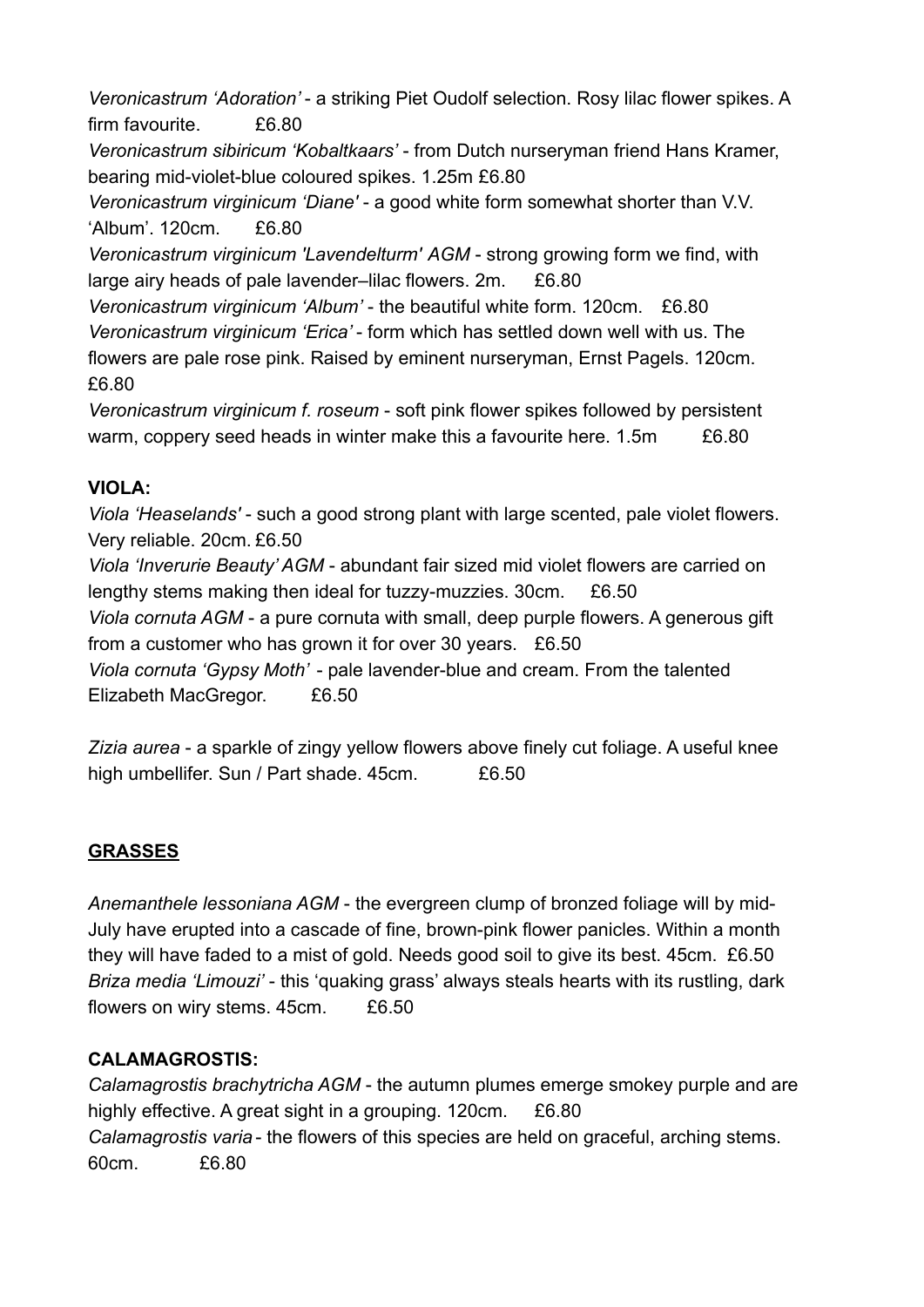*Veronicastrum 'Adoration'* - a striking Piet Oudolf selection. Rosy lilac flower spikes. A firm favourite. £6.80

*Veronicastrum sibiricum 'Kobaltkaars'* - from Dutch nurseryman friend Hans Kramer, bearing mid-violet-blue coloured spikes. 1.25m £6.80

*Veronicastrum virginicum 'Diane'* - a good white form somewhat shorter than V.V. 'Album'. 120cm. £6.80

*Veronicastrum virginicum 'Lavendelturm' AGM* - strong growing form we find, with large airy heads of pale lavender–lilac flowers. 2m. £6.80

*Veronicastrum virginicum 'Album'* - the beautiful white form. 120cm. £6.80 *Veronicastrum virginicum 'Erica'* - form which has settled down well with us. The flowers are pale rose pink. Raised by eminent nurseryman, Ernst Pagels. 120cm. £6.80

*Veronicastrum virginicum f. roseum* - soft pink flower spikes followed by persistent warm, coppery seed heads in winter make this a favourite here, 1.5m  $E6.80$ 

## **VIOLA:**

*Viola 'Heaselands'* - such a good strong plant with large scented, pale violet flowers. Very reliable. 20cm. £6.50 *Viola 'Inverurie Beauty' AGM* - abundant fair sized mid violet flowers are carried on

lengthy stems making then ideal for tuzzy-muzzies. 30cm. £6.50

*Viola cornuta AGM* - a pure cornuta with small, deep purple flowers. A generous gift from a customer who has grown it for over 30 years. £6.50

*Viola cornuta 'Gypsy Moth'* - pale lavender-blue and cream. From the talented Elizabeth MacGregor. £6.50

*Zizia aurea* - a sparkle of zingy yellow flowers above finely cut foliage. A useful knee high umbellifer. Sun / Part shade. 45cm. £6.50

# **GRASSES**

*Anemanthele lessoniana AGM* - the evergreen clump of bronzed foliage will by mid-July have erupted into a cascade of fine, brown-pink flower panicles. Within a month they will have faded to a mist of gold. Needs good soil to give its best. 45cm. £6.50 *Briza media 'Limouzi'* - this 'quaking grass' always steals hearts with its rustling, dark flowers on wiry stems. 45cm. £6.50

# **CALAMAGROSTIS:**

*Calamagrostis brachytricha AGM* - the autumn plumes emerge smokey purple and are highly effective. A great sight in a grouping. 120cm. £6.80 *Calamagrostis varia* - the flowers of this species are held on graceful, arching stems. 60cm. £6.80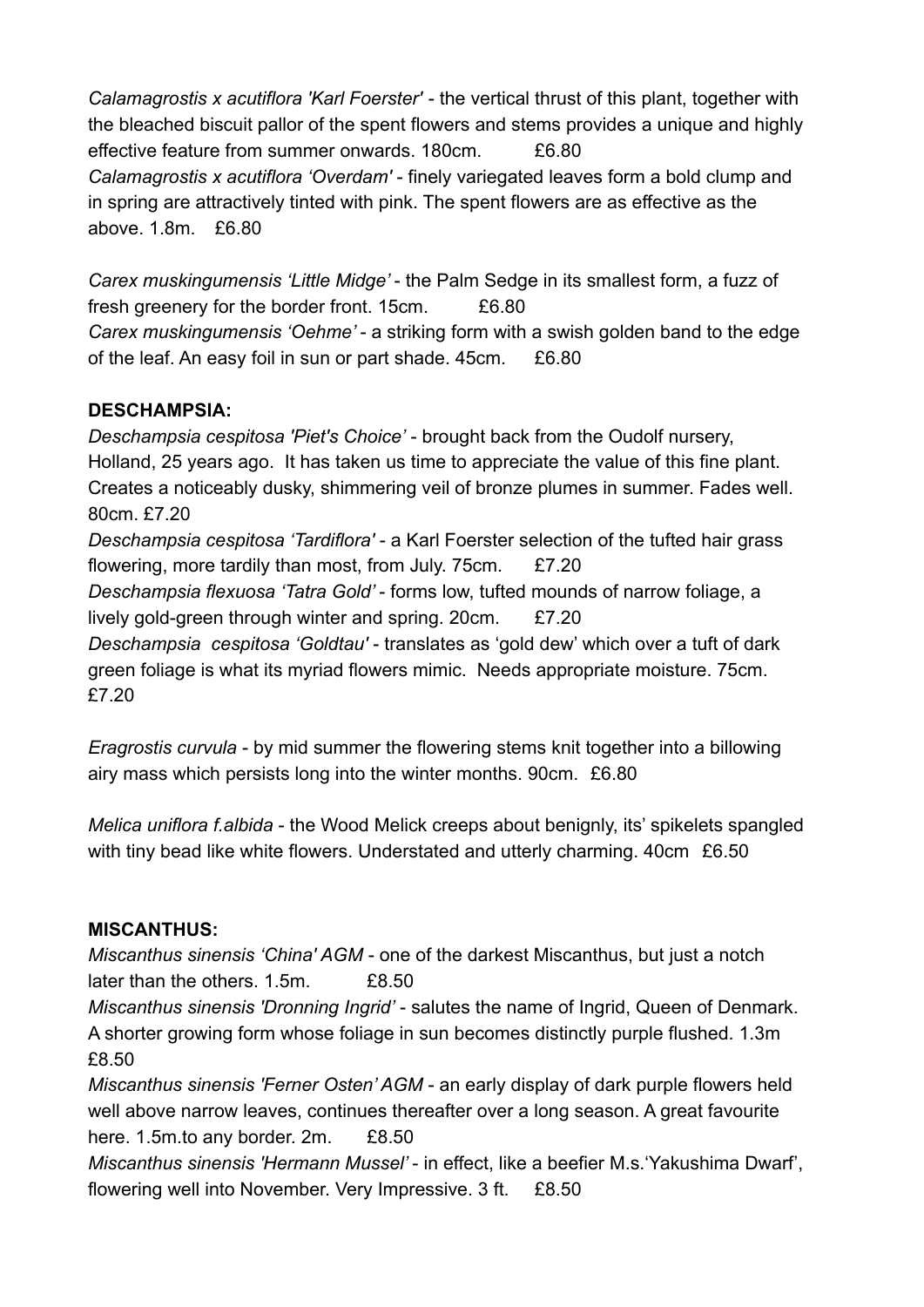*Calamagrostis x acutiflora 'Karl Foerster'* - the vertical thrust of this plant, together with the bleached biscuit pallor of the spent flowers and stems provides a unique and highly effective feature from summer onwards. 180cm. £6.80 *Calamagrostis x acutiflora 'Overdam'* - finely variegated leaves form a bold clump and in spring are attractively tinted with pink. The spent flowers are as effective as the above. 1.8m. £6.80

*Carex muskingumensis 'Little Midge'* - the Palm Sedge in its smallest form, a fuzz of fresh greenery for the border front. 15cm. £6.80 *Carex muskingumensis 'Oehme'* - a striking form with a swish golden band to the edge of the leaf. An easy foil in sun or part shade. 45cm. £6.80

### **DESCHAMPSIA:**

*Deschampsia cespitosa 'Piet's Choice'* - brought back from the Oudolf nursery, Holland, 25 years ago. It has taken us time to appreciate the value of this fine plant. Creates a noticeably dusky, shimmering veil of bronze plumes in summer. Fades well. 80cm. £7.20 *Deschampsia cespitosa 'Tardiflora'* - a Karl Foerster selection of the tufted hair grass flowering, more tardily than most, from July. 75cm. £7.20 *Deschampsia flexuosa 'Tatra Gold'* - forms low, tufted mounds of narrow foliage, a lively gold-green through winter and spring. 20cm. £7.20 *Deschampsia cespitosa 'Goldtau'* - translates as 'gold dew' which over a tuft of dark green foliage is what its myriad flowers mimic. Needs appropriate moisture. 75cm. £7.20

*Eragrostis curvula* - by mid summer the flowering stems knit together into a billowing airy mass which persists long into the winter months. 90cm. £6.80

*Melica uniflora f.albida* - the Wood Melick creeps about benignly, its' spikelets spangled with tiny bead like white flowers. Understated and utterly charming. 40cm £6.50

## **MISCANTHUS:**

*Miscanthus sinensis 'China' AGM* - one of the darkest Miscanthus, but just a notch later than the others. 1.5m. £8.50

*Miscanthus sinensis 'Dronning Ingrid'* - salutes the name of Ingrid, Queen of Denmark. A shorter growing form whose foliage in sun becomes distinctly purple flushed. 1.3m £8.50

*Miscanthus sinensis 'Ferner Osten' AGM* - an early display of dark purple flowers held well above narrow leaves, continues thereafter over a long season. A great favourite here. 1.5m.to any border. 2m. £8.50

*Miscanthus sinensis 'Hermann Mussel'* - in effect, like a beefier M.s.'Yakushima Dwarf', flowering well into November. Very Impressive. 3 ft. £8.50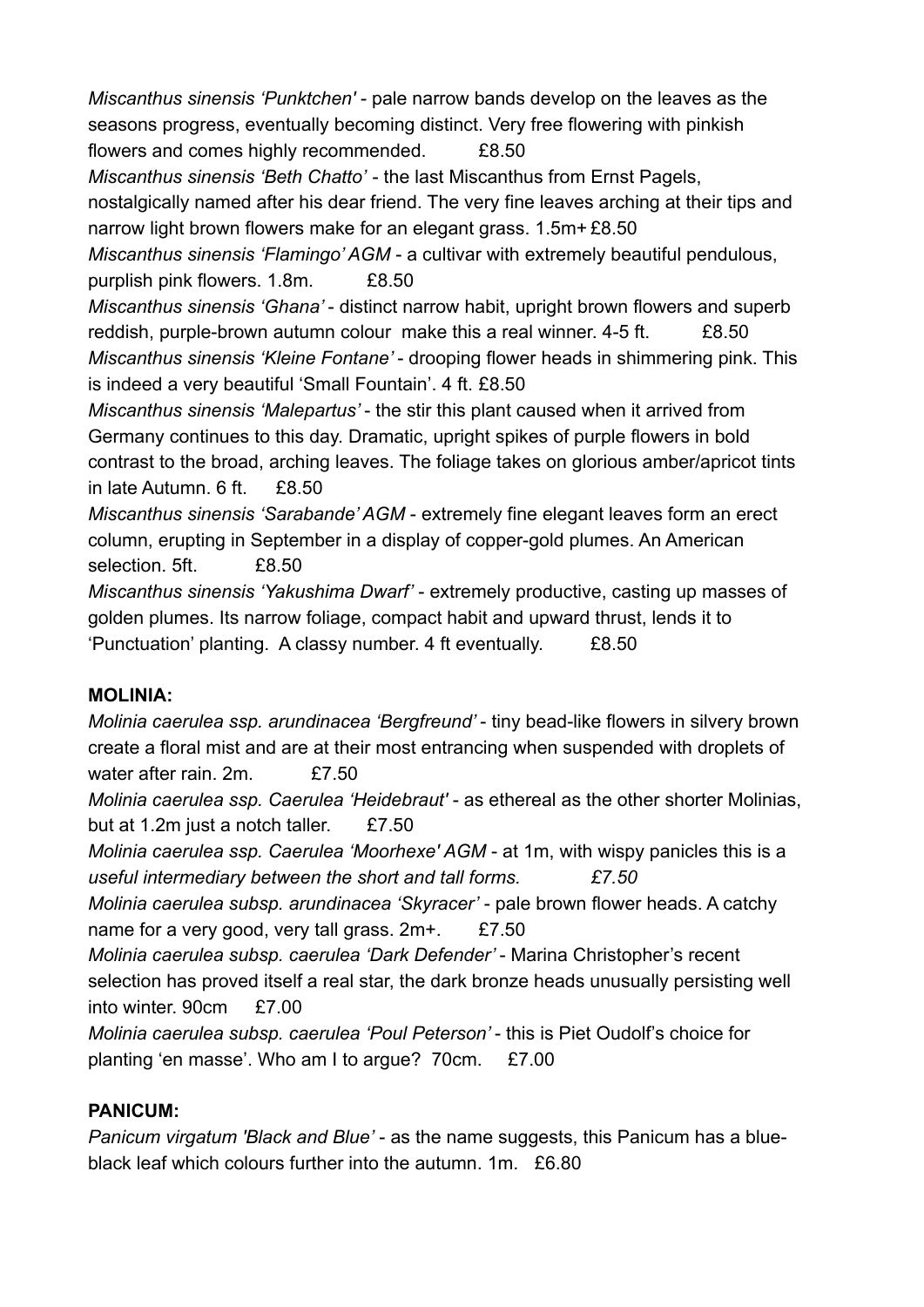*Miscanthus sinensis 'Punktchen'* - pale narrow bands develop on the leaves as the seasons progress, eventually becoming distinct. Very free flowering with pinkish flowers and comes highly recommended. £8.50

*Miscanthus sinensis 'Beth Chatto'* - the last Miscanthus from Ernst Pagels,

nostalgically named after his dear friend. The very fine leaves arching at their tips and narrow light brown flowers make for an elegant grass. 1.5m+ £8.50

*Miscanthus sinensis 'Flamingo' AGM* - a cultivar with extremely beautiful pendulous, purplish pink flowers. 1.8m. £8.50

*Miscanthus sinensis 'Ghana'* - distinct narrow habit, upright brown flowers and superb reddish, purple-brown autumn colour make this a real winner. 4-5 ft.  $\overline{28.50}$ *Miscanthus sinensis 'Kleine Fontane'* - drooping flower heads in shimmering pink. This is indeed a very beautiful 'Small Fountain'. 4 ft. £8.50

*Miscanthus sinensis 'Malepartus'* - the stir this plant caused when it arrived from Germany continues to this day. Dramatic, upright spikes of purple flowers in bold contrast to the broad, arching leaves. The foliage takes on glorious amber/apricot tints in late Autumn.  $6 \text{ ft}$ .  $\text{f8}$  50

*Miscanthus sinensis 'Sarabande' AGM* - extremely fine elegant leaves form an erect column, erupting in September in a display of copper-gold plumes. An American selection. 5ft. £8.50

*Miscanthus sinensis 'Yakushima Dwarf'* - extremely productive, casting up masses of golden plumes. Its narrow foliage, compact habit and upward thrust, lends it to 'Punctuation' planting. A classy number. 4 ft eventually. £8.50

## **MOLINIA:**

*Molinia caerulea ssp. arundinacea 'Bergfreund'* - tiny bead-like flowers in silvery brown create a floral mist and are at their most entrancing when suspended with droplets of water after rain. 2m. **£7.50** 

*Molinia caerulea ssp. Caerulea 'Heidebraut'* - as ethereal as the other shorter Molinias, but at 1.2m just a notch taller. £7.50

*Molinia caerulea ssp. Caerulea 'Moorhexe' AGM* - at 1m, with wispy panicles this is a *useful intermediary between the short and tall forms. £7.50*

*Molinia caerulea subsp. arundinacea 'Skyracer'* - pale brown flower heads. A catchy name for a very good, very tall grass.  $2m+$ . £7.50

*Molinia caerulea subsp. caerulea 'Dark Defender'* - Marina Christopher's recent selection has proved itself a real star, the dark bronze heads unusually persisting well into winter.  $90cm$   $f7.00$ 

*Molinia caerulea subsp. caerulea 'Poul Peterson'* - this is Piet Oudolf's choice for planting 'en masse'. Who am I to argue? 70cm. £7.00

## **PANICUM:**

*Panicum virgatum 'Black and Blue'* - as the name suggests, this Panicum has a blueblack leaf which colours further into the autumn. 1m. £6.80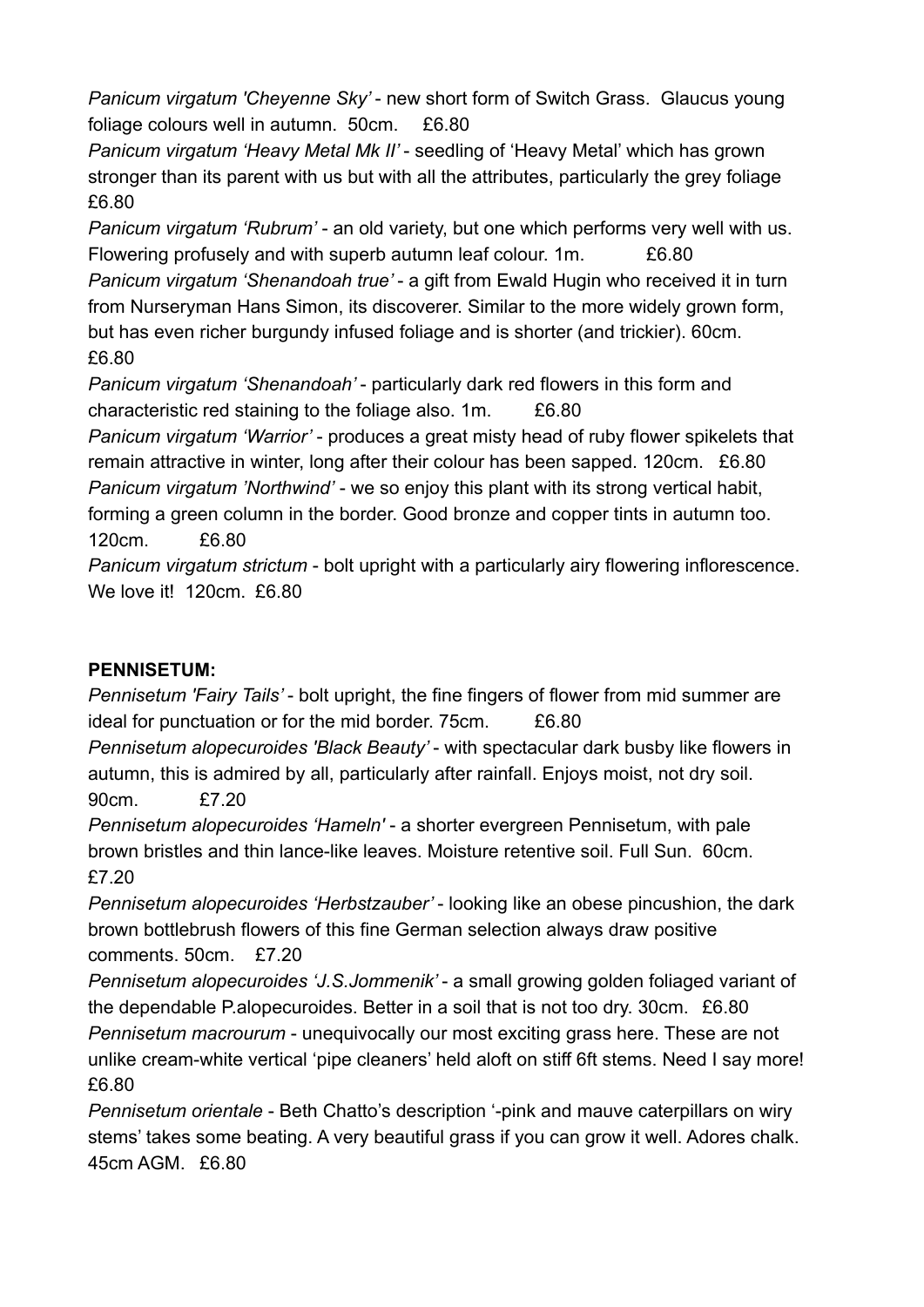*Panicum virgatum 'Cheyenne Sky'* - new short form of Switch Grass. Glaucus young foliage colours well in autumn. 50cm. £6.80

*Panicum virgatum 'Heavy Metal Mk II'* - seedling of 'Heavy Metal' which has grown stronger than its parent with us but with all the attributes, particularly the grey foliage £6.80

*Panicum virgatum 'Rubrum'* - an old variety, but one which performs very well with us. Flowering profusely and with superb autumn leaf colour. 1m. £6.80 *Panicum virgatum 'Shenandoah true'* - a gift from Ewald Hugin who received it in turn from Nurseryman Hans Simon, its discoverer. Similar to the more widely grown form, but has even richer burgundy infused foliage and is shorter (and trickier). 60cm.

£6.80

*Panicum virgatum 'Shenandoah'* - particularly dark red flowers in this form and characteristic red staining to the foliage also. 1m. £6.80

*Panicum virgatum 'Warrior'* - produces a great misty head of ruby flower spikelets that remain attractive in winter, long after their colour has been sapped. 120cm. £6.80 *Panicum virgatum 'Northwind'* - we so enjoy this plant with its strong vertical habit, forming a green column in the border. Good bronze and copper tints in autumn too. 120cm. £6.80

*Panicum virgatum strictum* - bolt upright with a particularly airy flowering inflorescence. We love it! 120cm. £6.80

## **PENNISETUM:**

*Pennisetum 'Fairy Tails'* - bolt upright, the fine fingers of flower from mid summer are ideal for punctuation or for the mid border. 75cm. £6.80

*Pennisetum alopecuroides 'Black Beauty'* - with spectacular dark busby like flowers in autumn, this is admired by all, particularly after rainfall. Enjoys moist, not dry soil.

90cm. £7.20

*Pennisetum alopecuroides 'Hameln'* - a shorter evergreen Pennisetum, with pale brown bristles and thin lance-like leaves. Moisture retentive soil. Full Sun. 60cm. £7.20

*Pennisetum alopecuroides 'Herbstzauber'* - looking like an obese pincushion, the dark brown bottlebrush flowers of this fine German selection always draw positive comments. 50cm. £7.20

*Pennisetum alopecuroides 'J.S.Jommenik'* - a small growing golden foliaged variant of the dependable P.alopecuroides. Better in a soil that is not too dry. 30cm. £6.80 *Pennisetum macrourum* - unequivocally our most exciting grass here. These are not unlike cream-white vertical 'pipe cleaners' held aloft on stiff 6ft stems. Need I say more! £6.80

*Pennisetum orientale* - Beth Chatto's description '-pink and mauve caterpillars on wiry stems' takes some beating. A very beautiful grass if you can grow it well. Adores chalk. 45cm AGM. £6.80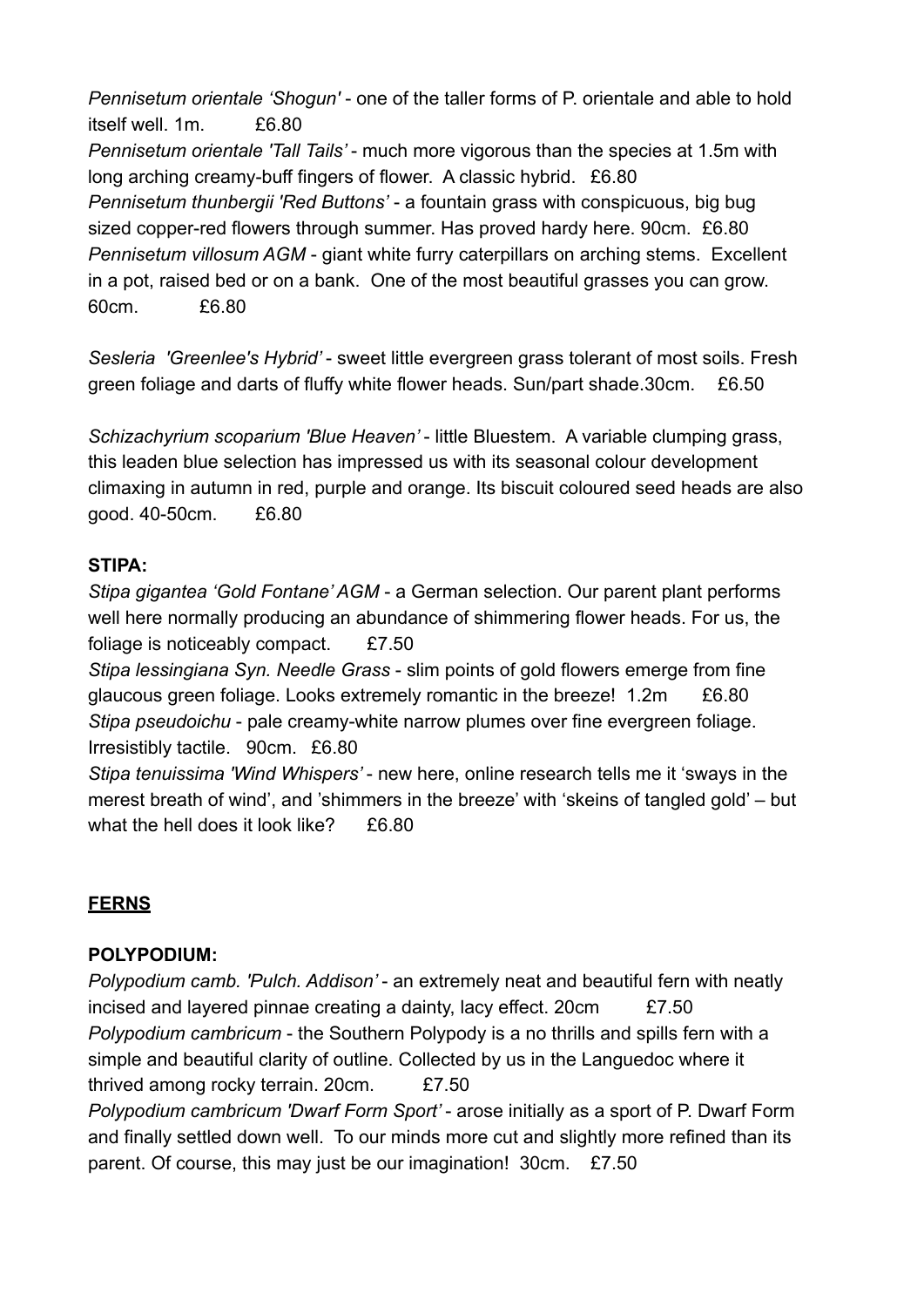*Pennisetum orientale 'Shogun'* - one of the taller forms of P. orientale and able to hold itself well. 1m. £6.80 *Pennisetum orientale 'Tall Tails'* - much more vigorous than the species at 1.5m with long arching creamy-buff fingers of flower. A classic hybrid. £6.80 *Pennisetum thunbergii 'Red Buttons'* - a fountain grass with conspicuous, big bug sized copper-red flowers through summer. Has proved hardy here. 90cm. £6.80 *Pennisetum villosum AGM* - giant white furry caterpillars on arching stems. Excellent in a pot, raised bed or on a bank. One of the most beautiful grasses you can grow. 60cm. £6.80

*Sesleria 'Greenlee's Hybrid'* - sweet little evergreen grass tolerant of most soils. Fresh green foliage and darts of fluffy white flower heads. Sun/part shade.30cm. £6.50

*Schizachyrium scoparium 'Blue Heaven'* - little Bluestem. A variable clumping grass, this leaden blue selection has impressed us with its seasonal colour development climaxing in autumn in red, purple and orange. Its biscuit coloured seed heads are also good. 40-50cm. £6.80

#### **STIPA:**

*Stipa gigantea 'Gold Fontane' AGM* - a German selection. Our parent plant performs well here normally producing an abundance of shimmering flower heads. For us, the foliage is noticeably compact. £7.50 *Stipa lessingiana Syn. Needle Grass* - slim points of gold flowers emerge from fine glaucous green foliage. Looks extremely romantic in the breeze! 1.2m £6.80 *Stipa pseudoichu* - pale creamy-white narrow plumes over fine evergreen foliage. Irresistibly tactile. 90cm. £6.80

*Stipa tenuissima 'Wind Whispers'* - new here, online research tells me it 'sways in the merest breath of wind', and 'shimmers in the breeze' with 'skeins of tangled gold' – but what the hell does it look like? £6.80

## **FERNS**

## **POLYPODIUM:**

*Polypodium camb. 'Pulch. Addison'* - an extremely neat and beautiful fern with neatly incised and layered pinnae creating a dainty, lacy effect. 20cm £7.50 *Polypodium cambricum* - the Southern Polypody is a no thrills and spills fern with a simple and beautiful clarity of outline. Collected by us in the Languedoc where it thrived among rocky terrain. 20cm. £7.50

*Polypodium cambricum 'Dwarf Form Sport'* - arose initially as a sport of P. Dwarf Form and finally settled down well. To our minds more cut and slightly more refined than its parent. Of course, this may just be our imagination! 30cm. £7.50